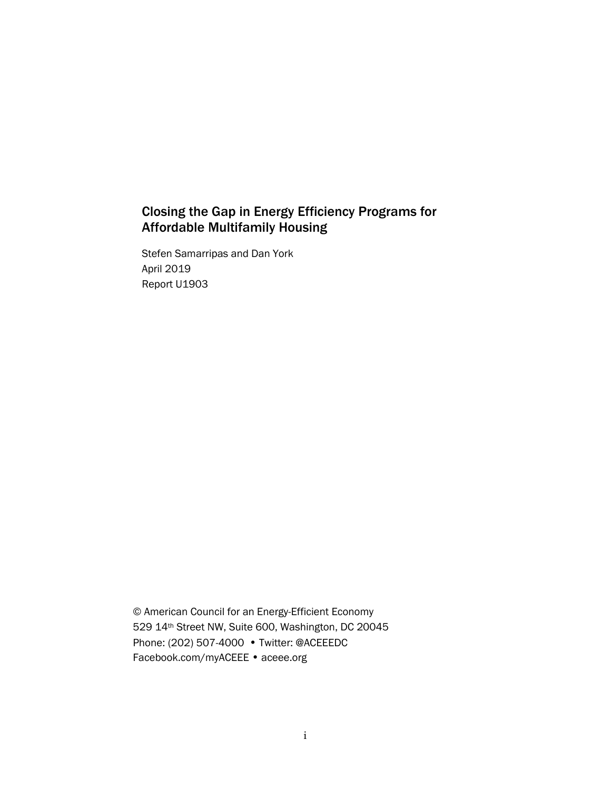# Closing the Gap in Energy Efficiency Programs for Affordable Multifamily Housing

Stefen Samarripas and Dan York April 2019 Report U1903

© American Council for an Energy-Efficient Economy 529 14th Street NW, Suite 600, Washington, DC 20045 Phone: (202) 507-4000 • Twitter: @ACEEEDC Facebook.com/myACEEE • aceee.org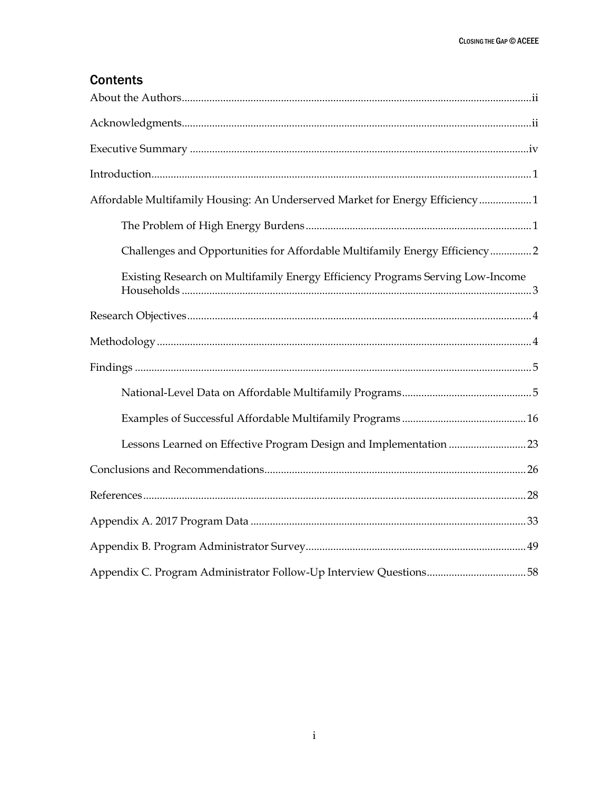# **Contents**

| Affordable Multifamily Housing: An Underserved Market for Energy Efficiency 1  |
|--------------------------------------------------------------------------------|
|                                                                                |
| Challenges and Opportunities for Affordable Multifamily Energy Efficiency2     |
| Existing Research on Multifamily Energy Efficiency Programs Serving Low-Income |
|                                                                                |
|                                                                                |
|                                                                                |
|                                                                                |
|                                                                                |
| Lessons Learned on Effective Program Design and Implementation 23              |
|                                                                                |
|                                                                                |
|                                                                                |
|                                                                                |
| Appendix C. Program Administrator Follow-Up Interview Questions58              |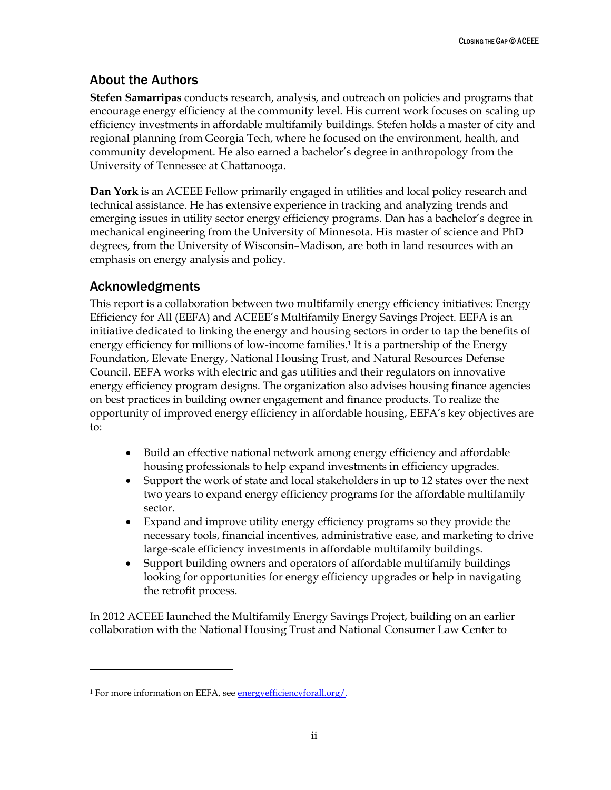# <span id="page-2-0"></span>About the Authors

**Stefen Samarripas** conducts research, analysis, and outreach on policies and programs that encourage energy efficiency at the community level. His current work focuses on scaling up efficiency investments in affordable multifamily buildings. Stefen holds a master of city and regional planning from Georgia Tech, where he focused on the environment, health, and community development. He also earned a bachelor's degree in anthropology from the University of Tennessee at Chattanooga.

**Dan York** is an ACEEE Fellow primarily engaged in utilities and local policy research and technical assistance. He has extensive experience in tracking and analyzing trends and emerging issues in utility sector energy efficiency programs. Dan has a bachelor's degree in mechanical engineering from the University of Minnesota. His master of science and PhD degrees, from the University of Wisconsin–Madison, are both in land resources with an emphasis on energy analysis and policy.

## <span id="page-2-1"></span>Acknowledgments

 $\overline{a}$ 

This report is a collaboration between two multifamily energy efficiency initiatives: Energy Efficiency for All (EEFA) and ACEEE's Multifamily Energy Savings Project. EEFA is an initiative dedicated to linking the energy and housing sectors in order to tap the benefits of energy efficiency for millions of low-income families.<sup>1</sup> It is a partnership of the Energy Foundation, Elevate Energy, National Housing Trust, and Natural Resources Defense Council. EEFA works with electric and gas utilities and their regulators on innovative energy efficiency program designs. The organization also advises housing finance agencies on best practices in building owner engagement and finance products. To realize the opportunity of improved energy efficiency in affordable housing, EEFA's key objectives are to:

- Build an effective national network among energy efficiency and affordable housing professionals to help expand investments in efficiency upgrades.
- Support the work of state and local stakeholders in up to 12 states over the next two years to expand energy efficiency programs for the affordable multifamily sector.
- Expand and improve utility energy efficiency programs so they provide the necessary tools, financial incentives, administrative ease, and marketing to drive large-scale efficiency investments in affordable multifamily buildings.
- Support building owners and operators of affordable multifamily buildings looking for opportunities for energy efficiency upgrades or help in navigating the retrofit process.

In 2012 ACEEE launched the Multifamily Energy Savings Project, building on an earlier collaboration with the National Housing Trust and National Consumer Law Center to

<sup>1</sup> For more information on EEFA, see [energyefficiencyforall.org/.](https://energyefficiencyforall.org/)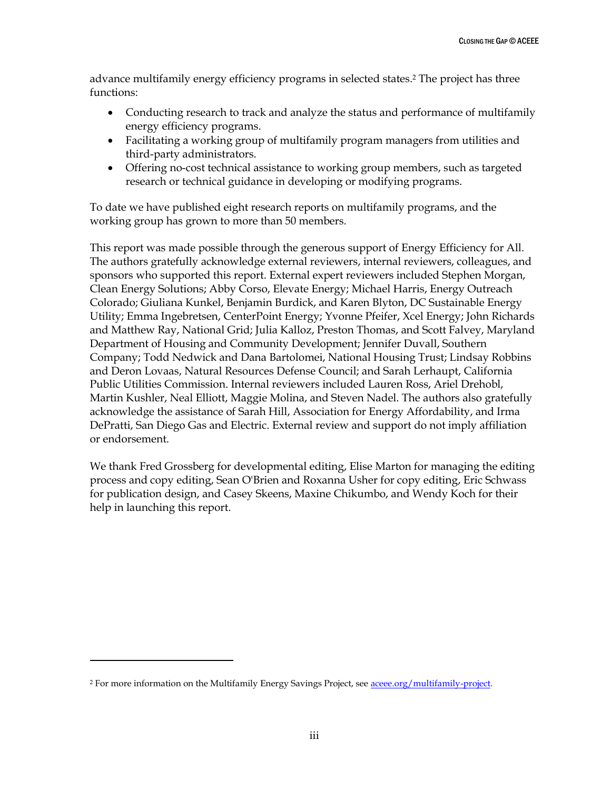advance multifamily energy efficiency programs in selected states.<sup>2</sup> The project has three functions:

- Conducting research to track and analyze the status and performance of multifamily energy efficiency programs.
- Facilitating a working group of multifamily program managers from utilities and third-party administrators.
- Offering no-cost technical assistance to working group members, such as targeted research or technical guidance in developing or modifying programs.

To date we have published eight research reports on multifamily programs, and the working group has grown to more than 50 members.

This report was made possible through the generous support of Energy Efficiency for All. The authors gratefully acknowledge external reviewers, internal reviewers, colleagues, and sponsors who supported this report. External expert reviewers included Stephen Morgan, Clean Energy Solutions; Abby Corso, Elevate Energy; Michael Harris, Energy Outreach Colorado; Giuliana Kunkel, Benjamin Burdick, and Karen Blyton, DC Sustainable Energy Utility; Emma Ingebretsen, CenterPoint Energy; Yvonne Pfeifer, Xcel Energy; John Richards and Matthew Ray, National Grid; Julia Kalloz, Preston Thomas, and Scott Falvey, Maryland Department of Housing and Community Development; Jennifer Duvall, Southern Company; Todd Nedwick and Dana Bartolomei, National Housing Trust; Lindsay Robbins and Deron Lovaas, Natural Resources Defense Council; and Sarah Lerhaupt, California Public Utilities Commission. Internal reviewers included Lauren Ross, Ariel Drehobl, Martin Kushler, Neal Elliott, Maggie Molina, and Steven Nadel. The authors also gratefully acknowledge the assistance of Sarah Hill, Association for Energy Affordability, and Irma DePratti, San Diego Gas and Electric. External review and support do not imply affiliation or endorsement.

We thank Fred Grossberg for developmental editing, Elise Marton for managing the editing process and copy editing, Sean O'Brien and Roxanna Usher for copy editing, Eric Schwass for publication design, and Casey Skeens, Maxine Chikumbo, and Wendy Koch for their help in launching this report.

 $\overline{a}$ 

<sup>&</sup>lt;sup>2</sup> For more information on the Multifamily Energy Savings Project, se[e aceee.org/multifamily-project.](https://aceee.org/multifamily-project)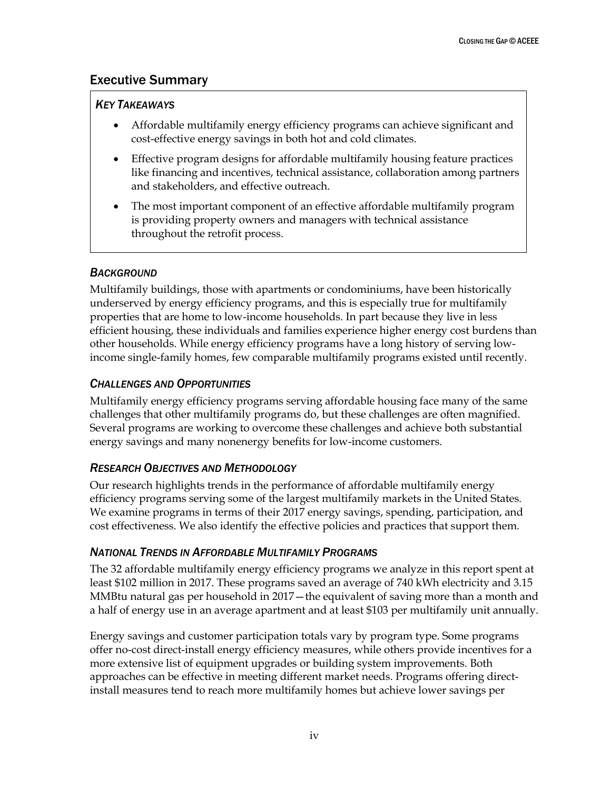## <span id="page-4-0"></span>Executive Summary

## *KEY TAKEAWAYS*

- Affordable multifamily energy efficiency programs can achieve significant and cost-effective energy savings in both hot and cold climates.
- Effective program designs for affordable multifamily housing feature practices like financing and incentives, technical assistance, collaboration among partners and stakeholders, and effective outreach.
- The most important component of an effective affordable multifamily program is providing property owners and managers with technical assistance throughout the retrofit process.

## *BACKGROUND*

Multifamily buildings, those with apartments or condominiums, have been historically underserved by energy efficiency programs, and this is especially true for multifamily properties that are home to low-income households. In part because they live in less efficient housing, these individuals and families experience higher energy cost burdens than other households. While energy efficiency programs have a long history of serving lowincome single-family homes, few comparable multifamily programs existed until recently.

## *CHALLENGES AND OPPORTUNITIES*

Multifamily energy efficiency programs serving affordable housing face many of the same challenges that other multifamily programs do, but these challenges are often magnified. Several programs are working to overcome these challenges and achieve both substantial energy savings and many nonenergy benefits for low-income customers.

## *RESEARCH OBJECTIVES AND METHODOLOGY*

Our research highlights trends in the performance of affordable multifamily energy efficiency programs serving some of the largest multifamily markets in the United States. We examine programs in terms of their 2017 energy savings, spending, participation, and cost effectiveness. We also identify the effective policies and practices that support them.

## *NATIONAL TRENDS IN AFFORDABLE MULTIFAMILY PROGRAMS*

The 32 affordable multifamily energy efficiency programs we analyze in this report spent at least \$102 million in 2017. These programs saved an average of 740 kWh electricity and 3.15 MMBtu natural gas per household in 2017—the equivalent of saving more than a month and a half of energy use in an average apartment and at least \$103 per multifamily unit annually.

Energy savings and customer participation totals vary by program type. Some programs offer no-cost direct-install energy efficiency measures, while others provide incentives for a more extensive list of equipment upgrades or building system improvements. Both approaches can be effective in meeting different market needs. Programs offering directinstall measures tend to reach more multifamily homes but achieve lower savings per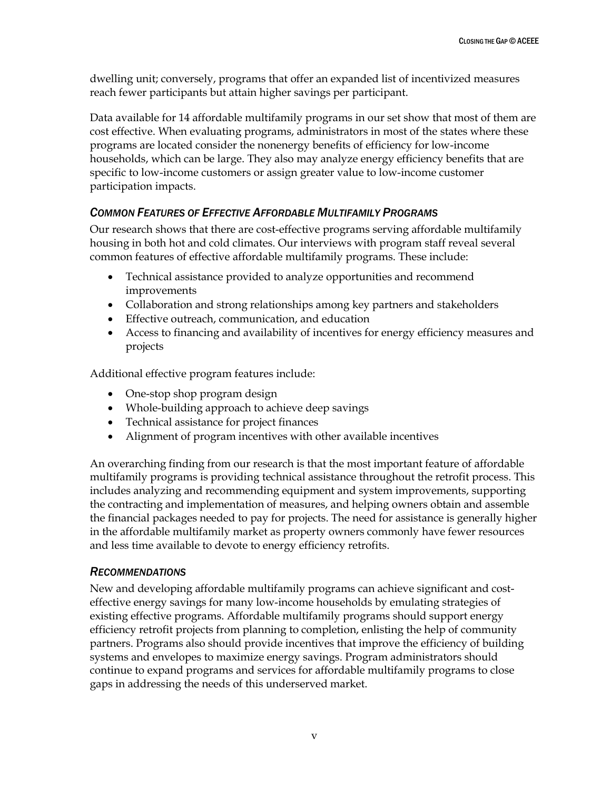dwelling unit; conversely, programs that offer an expanded list of incentivized measures reach fewer participants but attain higher savings per participant.

Data available for 14 affordable multifamily programs in our set show that most of them are cost effective. When evaluating programs, administrators in most of the states where these programs are located consider the nonenergy benefits of efficiency for low-income households, which can be large. They also may analyze energy efficiency benefits that are specific to low-income customers or assign greater value to low-income customer participation impacts.

## *COMMON FEATURES OF EFFECTIVE AFFORDABLE MULTIFAMILY PROGRAMS*

Our research shows that there are cost-effective programs serving affordable multifamily housing in both hot and cold climates. Our interviews with program staff reveal several common features of effective affordable multifamily programs. These include:

- Technical assistance provided to analyze opportunities and recommend improvements
- Collaboration and strong relationships among key partners and stakeholders
- Effective outreach, communication, and education
- Access to financing and availability of incentives for energy efficiency measures and projects

Additional effective program features include:

- One-stop shop program design
- Whole-building approach to achieve deep savings
- Technical assistance for project finances
- Alignment of program incentives with other available incentives

An overarching finding from our research is that the most important feature of affordable multifamily programs is providing technical assistance throughout the retrofit process. This includes analyzing and recommending equipment and system improvements, supporting the contracting and implementation of measures, and helping owners obtain and assemble the financial packages needed to pay for projects. The need for assistance is generally higher in the affordable multifamily market as property owners commonly have fewer resources and less time available to devote to energy efficiency retrofits.

## *RECOMMENDATIONS*

New and developing affordable multifamily programs can achieve significant and costeffective energy savings for many low-income households by emulating strategies of existing effective programs. Affordable multifamily programs should support energy efficiency retrofit projects from planning to completion, enlisting the help of community partners. Programs also should provide incentives that improve the efficiency of building systems and envelopes to maximize energy savings. Program administrators should continue to expand programs and services for affordable multifamily programs to close gaps in addressing the needs of this underserved market.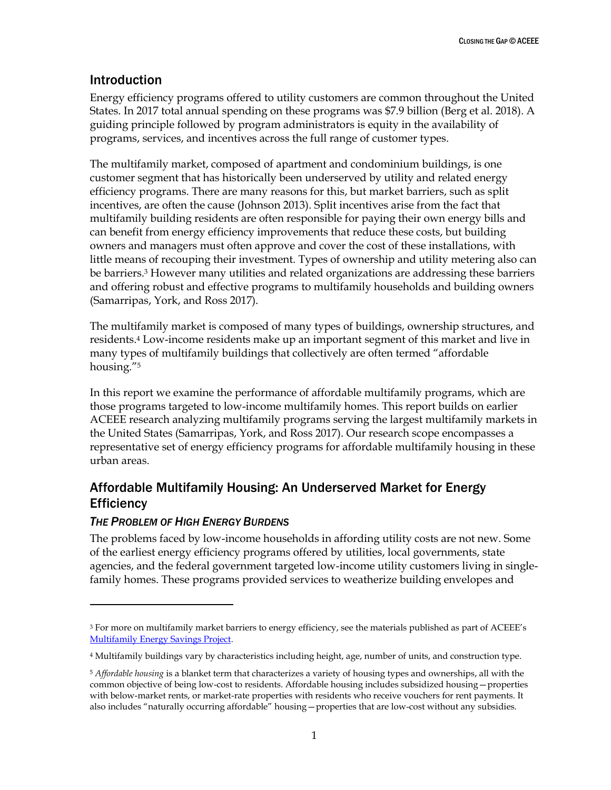## <span id="page-6-0"></span>Introduction

Energy efficiency programs offered to utility customers are common throughout the United States. In 2017 total annual spending on these programs was \$7.9 billion (Berg et al. 2018). A guiding principle followed by program administrators is equity in the availability of programs, services, and incentives across the full range of customer types.

The multifamily market, composed of apartment and condominium buildings, is one customer segment that has historically been underserved by utility and related energy efficiency programs. There are many reasons for this, but market barriers, such as split incentives, are often the cause (Johnson 2013). Split incentives arise from the fact that multifamily building residents are often responsible for paying their own energy bills and can benefit from energy efficiency improvements that reduce these costs, but building owners and managers must often approve and cover the cost of these installations, with little means of recouping their investment. Types of ownership and utility metering also can be barriers.<sup>3</sup> However many utilities and related organizations are addressing these barriers and offering robust and effective programs to multifamily households and building owners (Samarripas, York, and Ross 2017).

The multifamily market is composed of many types of buildings, ownership structures, and residents.<sup>4</sup> Low-income residents make up an important segment of this market and live in many types of multifamily buildings that collectively are often termed "affordable housing."<sup>5</sup>

In this report we examine the performance of affordable multifamily programs, which are those programs targeted to low-income multifamily homes. This report builds on earlier ACEEE research analyzing multifamily programs serving the largest multifamily markets in the United States (Samarripas, York, and Ross 2017). Our research scope encompasses a representative set of energy efficiency programs for affordable multifamily housing in these urban areas.

# <span id="page-6-1"></span>Affordable Multifamily Housing: An Underserved Market for Energy **Efficiency**

## <span id="page-6-2"></span>*THE PROBLEM OF HIGH ENERGY BURDENS*

 $\ddot{\phantom{a}}$ 

The problems faced by low-income households in affording utility costs are not new. Some of the earliest energy efficiency programs offered by utilities, local governments, state agencies, and the federal government targeted low-income utility customers living in singlefamily homes. These programs provided services to weatherize building envelopes and

<sup>&</sup>lt;sup>3</sup> For more on multifamily market barriers to energy efficiency, see the materials published as part of ACEEE's [Multifamily Energy Savings Project.](https://aceee.org/multifamily-project)

<sup>4</sup> Multifamily buildings vary by characteristics including height, age, number of units, and construction type.

<sup>5</sup> *Affordable housing* is a blanket term that characterizes a variety of housing types and ownerships, all with the common objective of being low-cost to residents. Affordable housing includes subsidized housing—properties with below-market rents, or market-rate properties with residents who receive vouchers for rent payments. It also includes "naturally occurring affordable" housing—properties that are low-cost without any subsidies.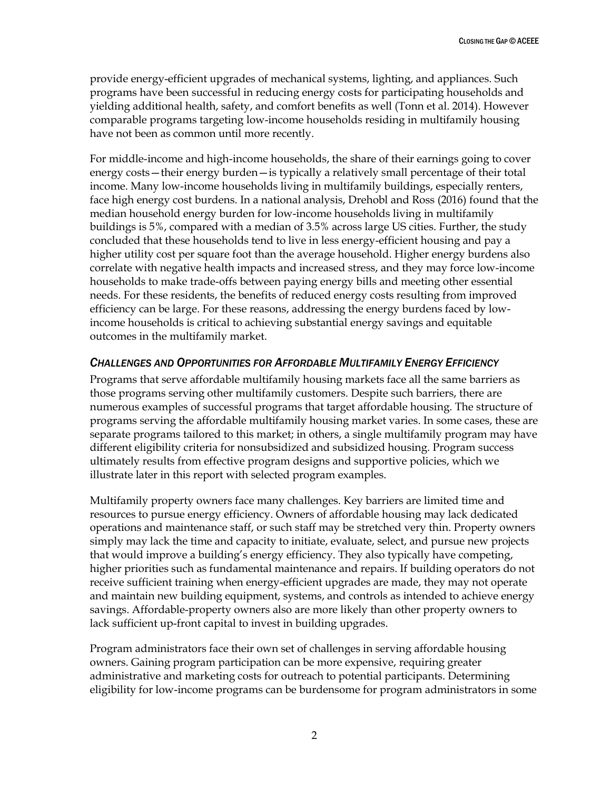provide energy-efficient upgrades of mechanical systems, lighting, and appliances. Such programs have been successful in reducing energy costs for participating households and yielding additional health, safety, and comfort benefits as well (Tonn et al. 2014). However comparable programs targeting low-income households residing in multifamily housing have not been as common until more recently.

For middle-income and high-income households, the share of their earnings going to cover energy costs—their energy burden—is typically a relatively small percentage of their total income. Many low-income households living in multifamily buildings, especially renters, face high energy cost burdens. In a national analysis, Drehobl and Ross (2016) found that the median household energy burden for low-income households living in multifamily buildings is 5%, compared with a median of 3.5% across large US cities. Further, the study concluded that these households tend to live in less energy-efficient housing and pay a higher utility cost per square foot than the average household. Higher energy burdens also correlate with negative health impacts and increased stress, and they may force low-income households to make trade-offs between paying energy bills and meeting other essential needs. For these residents, the benefits of reduced energy costs resulting from improved efficiency can be large. For these reasons, addressing the energy burdens faced by lowincome households is critical to achieving substantial energy savings and equitable outcomes in the multifamily market.

#### <span id="page-7-0"></span>*CHALLENGES AND OPPORTUNITIES FOR AFFORDABLE MULTIFAMILY ENERGY EFFICIENCY*

Programs that serve affordable multifamily housing markets face all the same barriers as those programs serving other multifamily customers. Despite such barriers, there are numerous examples of successful programs that target affordable housing. The structure of programs serving the affordable multifamily housing market varies. In some cases, these are separate programs tailored to this market; in others, a single multifamily program may have different eligibility criteria for nonsubsidized and subsidized housing. Program success ultimately results from effective program designs and supportive policies, which we illustrate later in this report with selected program examples.

Multifamily property owners face many challenges. Key barriers are limited time and resources to pursue energy efficiency. Owners of affordable housing may lack dedicated operations and maintenance staff, or such staff may be stretched very thin. Property owners simply may lack the time and capacity to initiate, evaluate, select, and pursue new projects that would improve a building's energy efficiency. They also typically have competing, higher priorities such as fundamental maintenance and repairs. If building operators do not receive sufficient training when energy-efficient upgrades are made, they may not operate and maintain new building equipment, systems, and controls as intended to achieve energy savings. Affordable-property owners also are more likely than other property owners to lack sufficient up-front capital to invest in building upgrades.

Program administrators face their own set of challenges in serving affordable housing owners. Gaining program participation can be more expensive, requiring greater administrative and marketing costs for outreach to potential participants. Determining eligibility for low-income programs can be burdensome for program administrators in some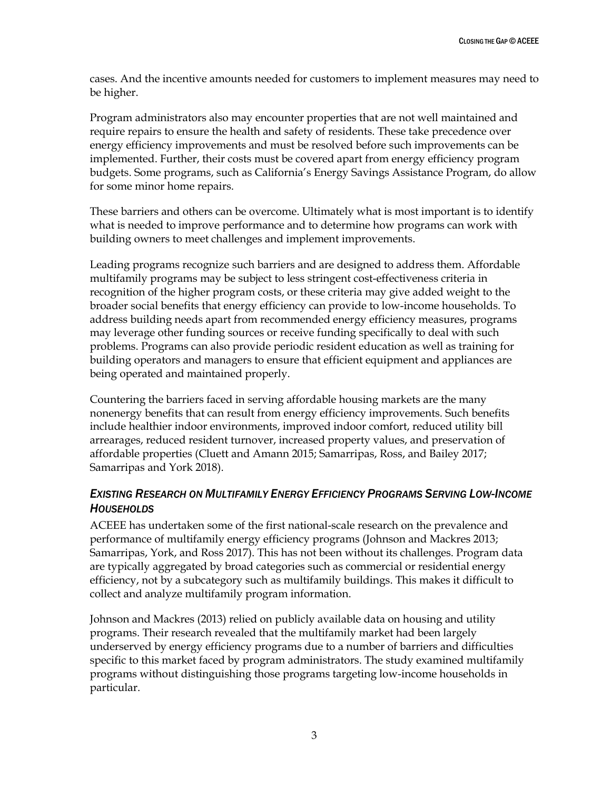cases. And the incentive amounts needed for customers to implement measures may need to be higher.

Program administrators also may encounter properties that are not well maintained and require repairs to ensure the health and safety of residents. These take precedence over energy efficiency improvements and must be resolved before such improvements can be implemented. Further, their costs must be covered apart from energy efficiency program budgets. Some programs, such as California's Energy Savings Assistance Program, do allow for some minor home repairs.

These barriers and others can be overcome. Ultimately what is most important is to identify what is needed to improve performance and to determine how programs can work with building owners to meet challenges and implement improvements.

Leading programs recognize such barriers and are designed to address them. Affordable multifamily programs may be subject to less stringent cost-effectiveness criteria in recognition of the higher program costs, or these criteria may give added weight to the broader social benefits that energy efficiency can provide to low-income households. To address building needs apart from recommended energy efficiency measures, programs may leverage other funding sources or receive funding specifically to deal with such problems. Programs can also provide periodic resident education as well as training for building operators and managers to ensure that efficient equipment and appliances are being operated and maintained properly.

Countering the barriers faced in serving affordable housing markets are the many nonenergy benefits that can result from energy efficiency improvements. Such benefits include healthier indoor environments, improved indoor comfort, reduced utility bill arrearages, reduced resident turnover, increased property values, and preservation of affordable properties (Cluett and Amann 2015; Samarripas, Ross, and Bailey 2017; Samarripas and York 2018).

## <span id="page-8-0"></span>*EXISTING RESEARCH ON MULTIFAMILY ENERGY EFFICIENCY PROGRAMS SERVING LOW-INCOME HOUSEHOLDS*

ACEEE has undertaken some of the first national-scale research on the prevalence and performance of multifamily energy efficiency programs (Johnson and Mackres 2013; Samarripas, York, and Ross 2017). This has not been without its challenges. Program data are typically aggregated by broad categories such as commercial or residential energy efficiency, not by a subcategory such as multifamily buildings. This makes it difficult to collect and analyze multifamily program information.

Johnson and Mackres (2013) relied on publicly available data on housing and utility programs. Their research revealed that the multifamily market had been largely underserved by energy efficiency programs due to a number of barriers and difficulties specific to this market faced by program administrators. The study examined multifamily programs without distinguishing those programs targeting low-income households in particular.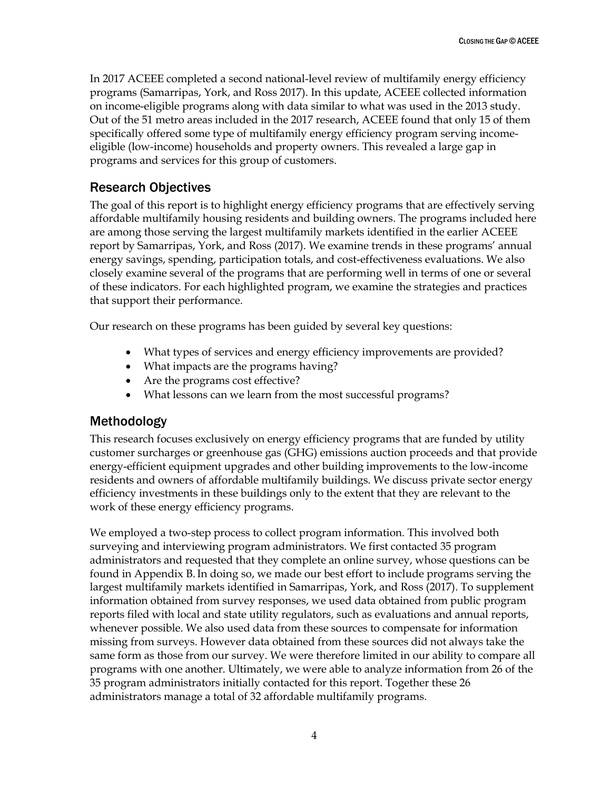In 2017 ACEEE completed a second national-level review of multifamily energy efficiency programs (Samarripas, York, and Ross 2017). In this update, ACEEE collected information on income-eligible programs along with data similar to what was used in the 2013 study. Out of the 51 metro areas included in the 2017 research, ACEEE found that only 15 of them specifically offered some type of multifamily energy efficiency program serving incomeeligible (low-income) households and property owners. This revealed a large gap in programs and services for this group of customers.

# <span id="page-9-0"></span>Research Objectives

The goal of this report is to highlight energy efficiency programs that are effectively serving affordable multifamily housing residents and building owners. The programs included here are among those serving the largest multifamily markets identified in the earlier ACEEE report by Samarripas, York, and Ross (2017). We examine trends in these programs' annual energy savings, spending, participation totals, and cost-effectiveness evaluations. We also closely examine several of the programs that are performing well in terms of one or several of these indicators. For each highlighted program, we examine the strategies and practices that support their performance.

Our research on these programs has been guided by several key questions:

- What types of services and energy efficiency improvements are provided?
- What impacts are the programs having?
- Are the programs cost effective?
- What lessons can we learn from the most successful programs?

# <span id="page-9-1"></span>Methodology

This research focuses exclusively on energy efficiency programs that are funded by utility customer surcharges or greenhouse gas (GHG) emissions auction proceeds and that provide energy-efficient equipment upgrades and other building improvements to the low-income residents and owners of affordable multifamily buildings. We discuss private sector energy efficiency investments in these buildings only to the extent that they are relevant to the work of these energy efficiency programs.

We employed a two-step process to collect program information. This involved both surveying and interviewing program administrators. We first contacted 35 program administrators and requested that they complete an online survey, whose questions can be found in Appendix B.In doing so, we made our best effort to include programs serving the largest multifamily markets identified in Samarripas, York, and Ross (2017). To supplement information obtained from survey responses, we used data obtained from public program reports filed with local and state utility regulators, such as evaluations and annual reports, whenever possible. We also used data from these sources to compensate for information missing from surveys. However data obtained from these sources did not always take the same form as those from our survey. We were therefore limited in our ability to compare all programs with one another. Ultimately, we were able to analyze information from 26 of the 35 program administrators initially contacted for this report. Together these 26 administrators manage a total of 32 affordable multifamily programs.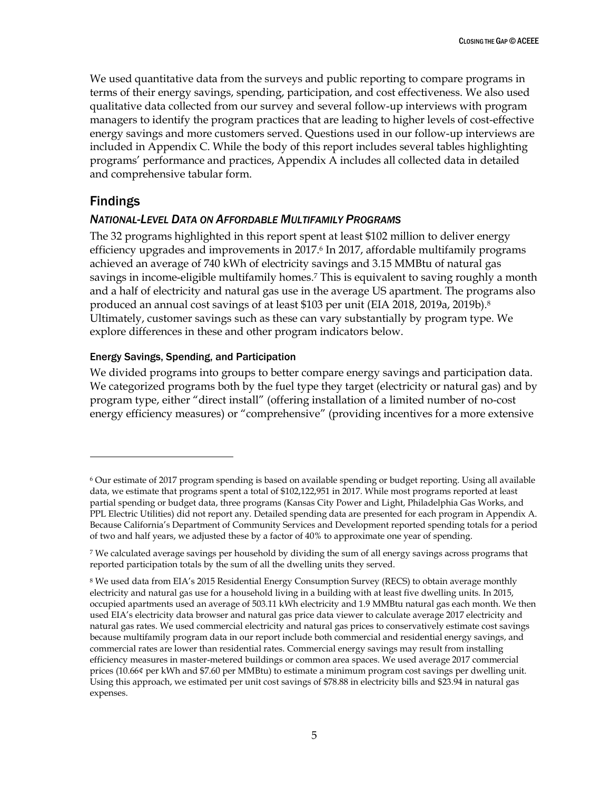We used quantitative data from the surveys and public reporting to compare programs in terms of their energy savings, spending, participation, and cost effectiveness. We also used qualitative data collected from our survey and several follow-up interviews with program managers to identify the program practices that are leading to higher levels of cost-effective energy savings and more customers served. Questions used in our follow-up interviews are included in Appendix C. While the body of this report includes several tables highlighting programs' performance and practices, Appendix A includes all collected data in detailed and comprehensive tabular form.

#### <span id="page-10-0"></span>Findings

 $\overline{a}$ 

#### <span id="page-10-1"></span>*NATIONAL-LEVEL DATA ON AFFORDABLE MULTIFAMILY PROGRAMS*

The 32 programs highlighted in this report spent at least \$102 million to deliver energy efficiency upgrades and improvements in 2017.<sup>6</sup> In 2017, affordable multifamily programs achieved an average of 740 kWh of electricity savings and 3.15 MMBtu of natural gas savings in income-eligible multifamily homes.<sup>7</sup> This is equivalent to saving roughly a month and a half of electricity and natural gas use in the average US apartment. The programs also produced an annual cost savings of at least \$103 per unit (EIA 2018, 2019a, 2019b).<sup>8</sup> Ultimately, customer savings such as these can vary substantially by program type. We explore differences in these and other program indicators below.

#### Energy Savings, Spending, and Participation

We divided programs into groups to better compare energy savings and participation data. We categorized programs both by the fuel type they target (electricity or natural gas) and by program type, either "direct install" (offering installation of a limited number of no-cost energy efficiency measures) or "comprehensive" (providing incentives for a more extensive

<sup>6</sup> Our estimate of 2017 program spending is based on available spending or budget reporting. Using all available data, we estimate that programs spent a total of \$102,122,951 in 2017. While most programs reported at least partial spending or budget data, three programs (Kansas City Power and Light, Philadelphia Gas Works, and PPL Electric Utilities) did not report any. Detailed spending data are presented for each program in Appendix A. Because California's Department of Community Services and Development reported spending totals for a period of two and half years, we adjusted these by a factor of 40% to approximate one year of spending.

<sup>7</sup> We calculated average savings per household by dividing the sum of all energy savings across programs that reported participation totals by the sum of all the dwelling units they served.

<sup>&</sup>lt;sup>8</sup> We used data from EIA's 2015 Residential Energy Consumption Survey (RECS) to obtain average monthly electricity and natural gas use for a household living in a building with at least five dwelling units. In 2015, occupied apartments used an average of 503.11 kWh electricity and 1.9 MMBtu natural gas each month. We then used EIA's electricity data browser and natural gas price data viewer to calculate average 2017 electricity and natural gas rates. We used commercial electricity and natural gas prices to conservatively estimate cost savings because multifamily program data in our report include both commercial and residential energy savings, and commercial rates are lower than residential rates. Commercial energy savings may result from installing efficiency measures in master-metered buildings or common area spaces. We used average 2017 commercial prices (10.66¢ per kWh and \$7.60 per MMBtu) to estimate a minimum program cost savings per dwelling unit. Using this approach, we estimated per unit cost savings of \$78.88 in electricity bills and \$23.94 in natural gas expenses.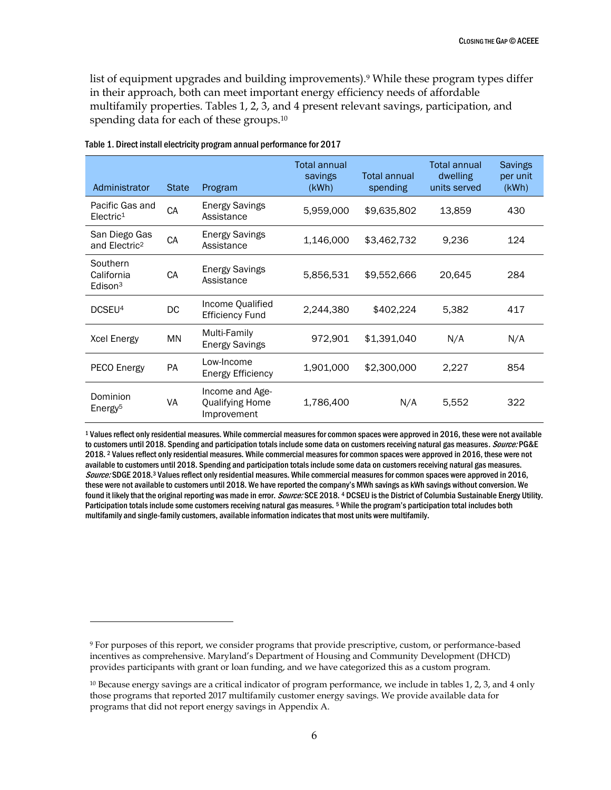list of equipment upgrades and building improvements).<sup>9</sup> While these program types differ in their approach, both can meet important energy efficiency needs of affordable multifamily properties. Tables 1, 2, 3, and 4 present relevant savings, participation, and spending data for each of these groups.<sup>10</sup>

| Administrator                              | <b>State</b> | Program                                                  | Total annual<br>savings<br>(KWh) | Total annual<br>spending | Total annual<br>dwelling<br>units served | <b>Savings</b><br>per unit<br>(KWh) |
|--------------------------------------------|--------------|----------------------------------------------------------|----------------------------------|--------------------------|------------------------------------------|-------------------------------------|
| Pacific Gas and<br>Electric <sup>1</sup>   | CA           | <b>Energy Savings</b><br>Assistance                      | 5,959,000                        | \$9,635,802              | 13,859                                   | 430                                 |
| San Diego Gas<br>and Electric <sup>2</sup> | CA           | <b>Energy Savings</b><br>Assistance                      | 1,146,000                        | \$3,462,732              | 9,236                                    | 124                                 |
| Southern<br>California<br>Edison $3$       | CA           | <b>Energy Savings</b><br>Assistance                      | 5,856,531                        | \$9,552,666              | 20,645                                   | 284                                 |
| DCSEU <sup>4</sup>                         | DC           | Income Qualified<br><b>Efficiency Fund</b>               | 2,244,380                        | \$402,224                | 5,382                                    | 417                                 |
| <b>Xcel Energy</b>                         | ΜN           | Multi-Family<br><b>Energy Savings</b>                    | 972,901                          | \$1,391,040              | N/A                                      | N/A                                 |
| PECO Energy                                | <b>PA</b>    | Low-Income<br><b>Energy Efficiency</b>                   | 1,901,000                        | \$2,300,000              | 2,227                                    | 854                                 |
| Dominion<br>Energy <sup>5</sup>            | VA           | Income and Age-<br><b>Qualifying Home</b><br>Improvement | 1,786,400                        | N/A                      | 5,552                                    | 322                                 |

Table 1. Direct install electricity program annual performance for 2017

 $\overline{a}$ 

<sup>1</sup> Values reflect only residential measures. While commercial measures for common spaces were approved in 2016, these were not available to customers until 2018. Spending and participation totals include some data on customers receiving natural gas measures. Source: PG&E 2018. <sup>2</sup> Values reflect only residential measures. While commercial measures for common spaces were approved in 2016, these were not available to customers until 2018. Spending and participation totals include some data on customers receiving natural gas measures. Source: SDGE 2018.<sup>3</sup> Values reflect only residential measures. While commercial measures for common spaces were approved in 2016, these were not available to customers until 2018. We have reported the company's MWh savings as kWh savings without conversion. We found it likely that the original reporting was made in error. Source: SCE 2018. 4 DCSEU is the District of Columbia Sustainable Energy Utility. Participation totals include some customers receiving natural gas measures. <sup>5</sup> While the program's participation total includes both multifamily and single-family customers, available information indicates that most units were multifamily.

<sup>9</sup> For purposes of this report, we consider programs that provide prescriptive, custom, or performance-based incentives as comprehensive. Maryland's Department of Housing and Community Development (DHCD) provides participants with grant or loan funding, and we have categorized this as a custom program.

<sup>&</sup>lt;sup>10</sup> Because energy savings are a critical indicator of program performance, we include in tables 1, 2, 3, and 4 only those programs that reported 2017 multifamily customer energy savings. We provide available data for programs that did not report energy savings in Appendix A.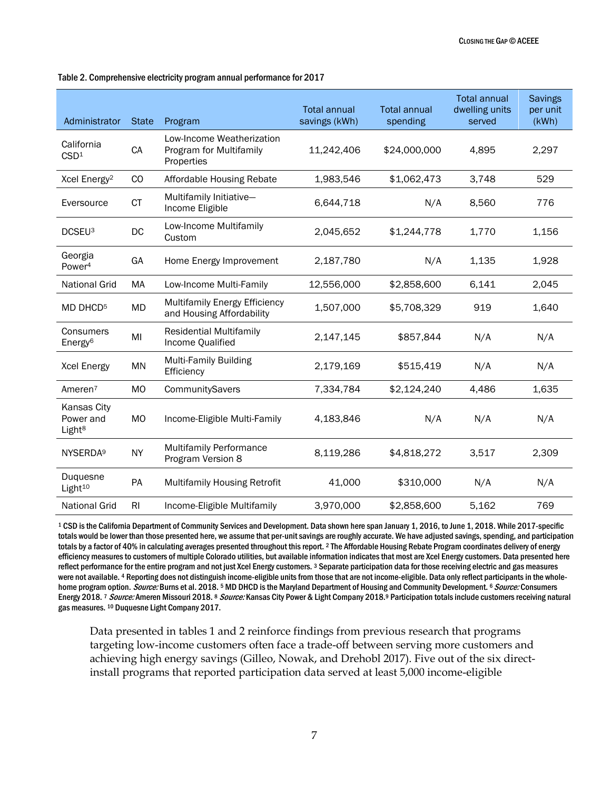| Administrator                                  | <b>State</b>   | Program                                                            | <b>Total annual</b><br><b>Total annual</b><br>savings (kWh)<br>spending |              | <b>Total annual</b><br>dwelling units<br>served | <b>Savings</b><br>per unit<br>(kWh) |
|------------------------------------------------|----------------|--------------------------------------------------------------------|-------------------------------------------------------------------------|--------------|-------------------------------------------------|-------------------------------------|
| California<br>CSD <sup>1</sup>                 | CA             | Low-Income Weatherization<br>Program for Multifamily<br>Properties | 11,242,406                                                              | \$24,000,000 | 4,895                                           | 2,297                               |
| Xcel Energy <sup>2</sup>                       | CO             | Affordable Housing Rebate                                          | 1,983,546                                                               | \$1,062,473  | 3,748                                           | 529                                 |
| Eversource                                     | <b>CT</b>      | Multifamily Initiative-<br>Income Eligible                         | 6,644,718                                                               | N/A          | 8,560                                           | 776                                 |
| DCSEU <sup>3</sup>                             | DC             | Low-Income Multifamily<br>Custom                                   | 2,045,652                                                               | \$1,244,778  | 1,770                                           | 1,156                               |
| Georgia<br>Power <sup>4</sup>                  | GA             | Home Energy Improvement                                            | 2,187,780                                                               | N/A          | 1,135                                           | 1,928                               |
| <b>National Grid</b>                           | MA             | Low-Income Multi-Family                                            | 12,556,000                                                              | \$2,858,600  | 6,141                                           | 2,045                               |
| MD DHCD <sup>5</sup>                           | MD             | Multifamily Energy Efficiency<br>and Housing Affordability         | 1,507,000                                                               | \$5,708,329  | 919                                             | 1,640                               |
| Consumers<br>Energy <sup>6</sup>               | MI             | <b>Residential Multifamily</b><br>Income Qualified                 | 2,147,145                                                               | \$857,844    | N/A                                             | N/A                                 |
| <b>Xcel Energy</b>                             | <b>MN</b>      | <b>Multi-Family Building</b><br>Efficiency                         | 2,179,169                                                               | \$515,419    | N/A                                             | N/A                                 |
| Ameren <sup>7</sup>                            | <b>MO</b>      | CommunitySavers                                                    | 7,334,784                                                               | \$2,124,240  | 4,486                                           | 1,635                               |
| Kansas City<br>Power and<br>Light <sup>8</sup> | <b>MO</b>      | Income-Eligible Multi-Family                                       | 4,183,846                                                               | N/A          | N/A                                             | N/A                                 |
| NYSERDA <sup>9</sup>                           | <b>NY</b>      | Multifamily Performance<br>Program Version 8                       | 8,119,286                                                               | \$4,818,272  | 3,517                                           | 2,309                               |
| Duquesne<br>Light <sup>10</sup>                | PA             | Multifamily Housing Retrofit                                       | 41,000                                                                  | \$310,000    | N/A                                             | N/A                                 |
| <b>National Grid</b>                           | R <sub>l</sub> | Income-Eligible Multifamily                                        | 3,970,000                                                               | \$2,858,600  | 5,162                                           | 769                                 |

Table 2. Comprehensive electricity program annual performance for 2017

<sup>1</sup> CSD is the California Department of Community Services and Development. Data shown here span January 1, 2016, to June 1, 2018. While 2017-specific totals would be lower than those presented here, we assume that per-unit savings are roughly accurate. We have adjusted savings, spending, and participation totals by a factor of 40% in calculating averages presented throughout this report. <sup>2</sup> The Affordable Housing Rebate Program coordinates delivery of energy efficiency measures to customers of multiple Colorado utilities, but available information indicates that most are Xcel Energy customers. Data presented here reflect performance for the entire program and not just Xcel Energy customers. 3 Separate participation data for those receiving electric and gas measures were not available. <sup>4</sup> Reporting does not distinguish income-eligible units from those that are not income-eligible. Data only reflect participants in the wholehome program option. Source: Burns et al. 2018.<sup>5</sup> MD DHCD is the Maryland Department of Housing and Community Development. <sup>6</sup> Source: Consumers Energy 2018. 7 Source: Ameren Missouri 2018. 8 Source: Kansas City Power & Light Company 2018.<sup>9</sup> Participation totals include customers receiving natural gas measures. <sup>10</sup> Duquesne Light Company 2017.

Data presented in tables 1 and 2 reinforce findings from previous research that programs targeting low-income customers often face a trade-off between serving more customers and achieving high energy savings (Gilleo, Nowak, and Drehobl 2017). Five out of the six directinstall programs that reported participation data served at least 5,000 income-eligible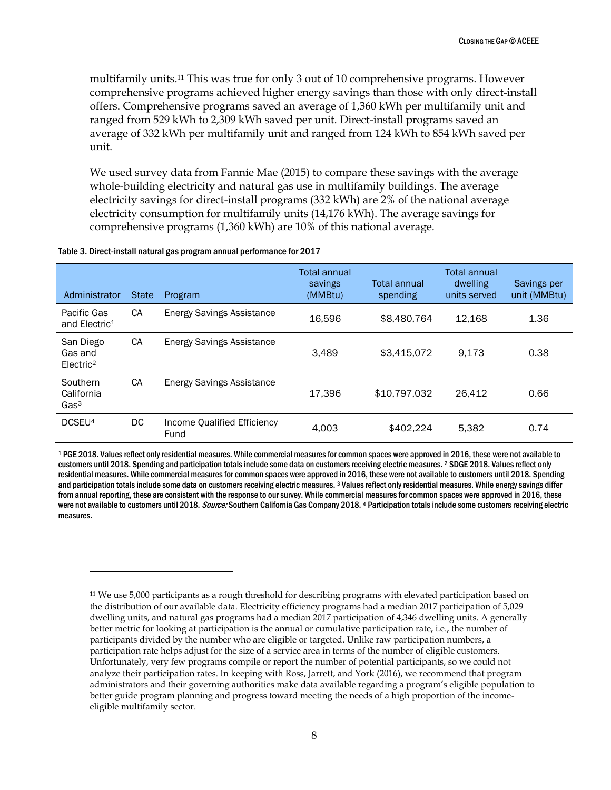multifamily units.<sup>11</sup> This was true for only 3 out of 10 comprehensive programs. However comprehensive programs achieved higher energy savings than those with only direct-install offers. Comprehensive programs saved an average of 1,360 kWh per multifamily unit and ranged from 529 kWh to 2,309 kWh saved per unit. Direct-install programs saved an average of 332 kWh per multifamily unit and ranged from 124 kWh to 854 kWh saved per unit.

We used survey data from Fannie Mae (2015) to compare these savings with the average whole-building electricity and natural gas use in multifamily buildings. The average electricity savings for direct-install programs (332 kWh) are 2% of the national average electricity consumption for multifamily units (14,176 kWh). The average savings for comprehensive programs (1,360 kWh) are 10% of this national average.

| Table 3. Direct-install natural gas program annual performance for 2017 |  |
|-------------------------------------------------------------------------|--|
|-------------------------------------------------------------------------|--|

 $\overline{a}$ 

| Administrator                                 | <b>State</b> | Program                             | Total annual<br>savings<br>(MMBtu) | Total annual<br>spending | Total annual<br>dwelling<br>units served | Savings per<br>unit (MMBtu) |
|-----------------------------------------------|--------------|-------------------------------------|------------------------------------|--------------------------|------------------------------------------|-----------------------------|
| Pacific Gas<br>and Electric <sup>1</sup>      | <b>CA</b>    | <b>Energy Savings Assistance</b>    | 16.596                             | \$8,480,764              | 12.168                                   | 1.36                        |
| San Diego<br>Gas and<br>Electric <sup>2</sup> | <b>CA</b>    | <b>Energy Savings Assistance</b>    | 3.489                              | \$3,415,072              | 9.173                                    | 0.38                        |
| Southern<br>California<br>Gas <sup>3</sup>    | <b>CA</b>    | <b>Energy Savings Assistance</b>    | 17.396                             | \$10,797,032             | 26.412                                   | 0.66                        |
| DCSEU <sup>4</sup>                            | DC.          | Income Qualified Efficiency<br>Fund | 4.003                              | \$402.224                | 5.382                                    | 0.74                        |

<sup>1</sup> PGE 2018. Values reflect only residential measures. While commercial measures for common spaces were approved in 2016, these were not available to customers until 2018. Spending and participation totals include some data on customers receiving electric measures. <sup>2</sup> SDGE 2018. Values reflect only residential measures. While commercial measures for common spaces were approved in 2016, these were not available to customers until 2018. Spending and participation totals include some data on customers receiving electric measures. 3 Values reflect only residential measures. While energy savings differ from annual reporting, these are consistent with the response to our survey. While commercial measures for common spaces were approved in 2016, these were not available to customers until 2018. Source: Southern California Gas Company 2018. 4 Participation totals include some customers receiving electric measures.

<sup>11</sup> We use 5,000 participants as a rough threshold for describing programs with elevated participation based on the distribution of our available data. Electricity efficiency programs had a median 2017 participation of 5,029 dwelling units, and natural gas programs had a median 2017 participation of 4,346 dwelling units. A generally better metric for looking at participation is the annual or cumulative participation rate, i.e., the number of participants divided by the number who are eligible or targeted. Unlike raw participation numbers, a participation rate helps adjust for the size of a service area in terms of the number of eligible customers. Unfortunately, very few programs compile or report the number of potential participants, so we could not analyze their participation rates. In keeping with Ross, Jarrett, and York (2016), we recommend that program administrators and their governing authorities make data available regarding a program's eligible population to better guide program planning and progress toward meeting the needs of a high proportion of the incomeeligible multifamily sector.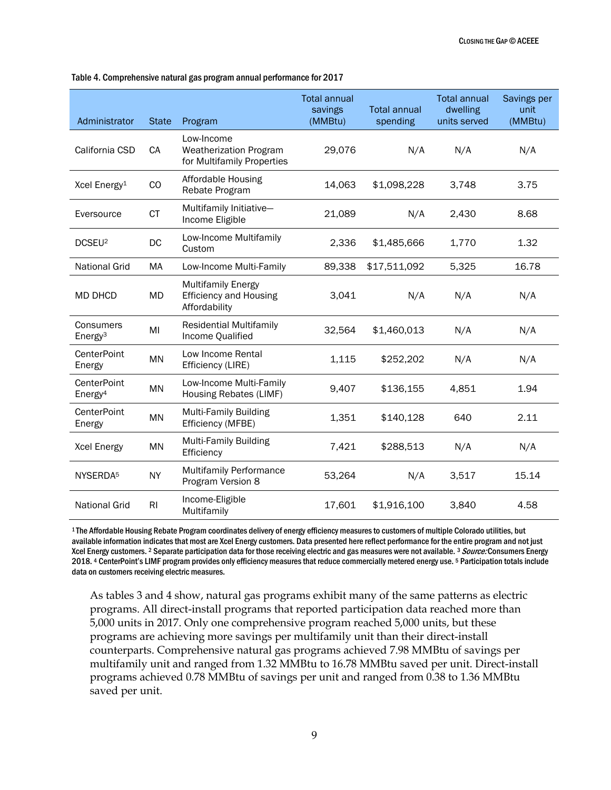| Administrator                             | <b>State</b> | Program                                                                     | <b>Total annual</b><br>savings<br>(MMBtu) | <b>Total annual</b><br>spending | <b>Total annual</b><br>dwelling<br>units served | Savings per<br>unit<br>(MMBtu) |
|-------------------------------------------|--------------|-----------------------------------------------------------------------------|-------------------------------------------|---------------------------------|-------------------------------------------------|--------------------------------|
| California CSD                            | CA           | Low-Income<br><b>Weatherization Program</b><br>for Multifamily Properties   | 29,076                                    | N/A                             | N/A                                             | N/A                            |
| Xcel Energy <sup>1</sup>                  | CO           | Affordable Housing<br>Rebate Program                                        | 14,063                                    | \$1,098,228                     | 3,748                                           | 3.75                           |
| Eversource                                | <b>CT</b>    | Multifamily Initiative-<br>Income Eligible                                  | 21,089                                    | N/A                             | 2,430                                           | 8.68                           |
| DCSEU <sup>2</sup>                        | DC           | Low-Income Multifamily<br>Custom                                            | 2,336                                     | \$1,485,666                     |                                                 | 1.32                           |
| <b>National Grid</b>                      | MA           | Low-Income Multi-Family                                                     | 89,338                                    | \$17,511,092                    | 5,325                                           | 16.78                          |
| MD DHCD                                   | MD           | <b>Multifamily Energy</b><br><b>Efficiency and Housing</b><br>Affordability | 3,041                                     | N/A                             | N/A                                             | N/A                            |
| Consumers<br>Energy <sup>3</sup>          | MI           | <b>Residential Multifamily</b><br>Income Qualified                          | 32,564                                    | \$1,460,013                     | N/A                                             | N/A                            |
| CenterPoint<br>Energy                     | <b>MN</b>    | Low Income Rental<br>Efficiency (LIRE)                                      | 1,115                                     | \$252,202                       | N/A                                             | N/A                            |
| <b>CenterPoint</b><br>Energy <sup>4</sup> | MN           | Low-Income Multi-Family<br>Housing Rebates (LIMF)                           | 9,407                                     | \$136,155                       | 4,851                                           | 1.94                           |
| CenterPoint<br>Energy                     | MN           | <b>Multi-Family Building</b><br>Efficiency (MFBE)                           | 1,351                                     | \$140,128                       | 640                                             | 2.11                           |
| Xcel Energy                               | ΜN           | <b>Multi-Family Building</b><br>Efficiency                                  | 7,421                                     | \$288,513                       | N/A                                             | N/A                            |
| NYSERDA <sup>5</sup>                      | <b>NY</b>    | <b>Multifamily Performance</b><br>Program Version 8                         | 53,264                                    | N/A                             | 3,517                                           | 15.14                          |
| <b>National Grid</b>                      | RI           | Income-Eligible<br>Multifamily                                              | 17,601                                    | \$1,916,100                     | 3,840                                           | 4.58                           |

Table 4. Comprehensive natural gas program annual performance for 2017

<sup>1</sup>The Affordable Housing Rebate Program coordinates delivery of energy efficiency measures to customers of multiple Colorado utilities, but available information indicates that most are Xcel Energy customers. Data presented here reflect performance for the entire program and not just Xcel Energy customers. 2 Separate participation data for those receiving electric and gas measures were not available. 3 Source: Consumers Energy 2018. <sup>4</sup> CenterPoint's LIMF program provides only efficiency measures that reduce commercially metered energy use. <sup>5</sup> Participation totals include data on customers receiving electric measures.

As tables 3 and 4 show, natural gas programs exhibit many of the same patterns as electric programs. All direct-install programs that reported participation data reached more than 5,000 units in 2017. Only one comprehensive program reached 5,000 units, but these programs are achieving more savings per multifamily unit than their direct-install counterparts. Comprehensive natural gas programs achieved 7.98 MMBtu of savings per multifamily unit and ranged from 1.32 MMBtu to 16.78 MMBtu saved per unit. Direct-install programs achieved 0.78 MMBtu of savings per unit and ranged from 0.38 to 1.36 MMBtu saved per unit.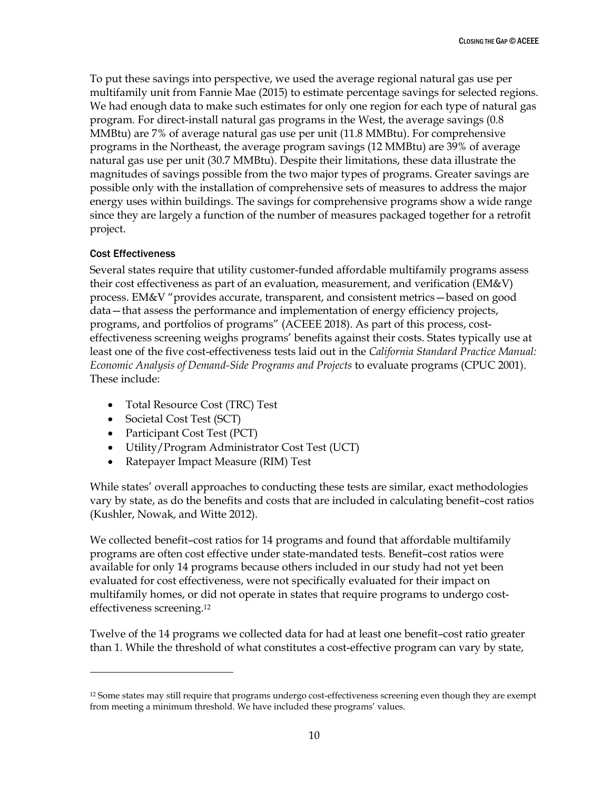To put these savings into perspective, we used the average regional natural gas use per multifamily unit from Fannie Mae (2015) to estimate percentage savings for selected regions. We had enough data to make such estimates for only one region for each type of natural gas program. For direct-install natural gas programs in the West, the average savings (0.8 MMBtu) are 7% of average natural gas use per unit (11.8 MMBtu). For comprehensive programs in the Northeast, the average program savings (12 MMBtu) are 39% of average natural gas use per unit (30.7 MMBtu). Despite their limitations, these data illustrate the magnitudes of savings possible from the two major types of programs. Greater savings are possible only with the installation of comprehensive sets of measures to address the major energy uses within buildings. The savings for comprehensive programs show a wide range since they are largely a function of the number of measures packaged together for a retrofit project.

#### Cost Effectiveness

 $\overline{a}$ 

Several states require that utility customer-funded affordable multifamily programs assess their cost effectiveness as part of an evaluation, measurement, and verification (EM&V) process. EM&V "provides accurate, transparent, and consistent metrics—based on good data—that assess the performance and implementation of energy efficiency projects, programs, and portfolios of programs" (ACEEE 2018). As part of this process, costeffectiveness screening weighs programs' benefits against their costs. States typically use at least one of the five cost-effectiveness tests laid out in the *California Standard Practice Manual: Economic Analysis of Demand-Side Programs and Projects* to evaluate programs (CPUC 2001). These include:

- Total Resource Cost (TRC) Test
- Societal Cost Test (SCT)
- Participant Cost Test (PCT)
- Utility/Program Administrator Cost Test (UCT)
- Ratepayer Impact Measure (RIM) Test

While states' overall approaches to conducting these tests are similar, exact methodologies vary by state, as do the benefits and costs that are included in calculating benefit–cost ratios (Kushler, Nowak, and Witte 2012).

We collected benefit–cost ratios for 14 programs and found that affordable multifamily programs are often cost effective under state-mandated tests. Benefit–cost ratios were available for only 14 programs because others included in our study had not yet been evaluated for cost effectiveness, were not specifically evaluated for their impact on multifamily homes, or did not operate in states that require programs to undergo costeffectiveness screening.<sup>12</sup>

Twelve of the 14 programs we collected data for had at least one benefit–cost ratio greater than 1. While the threshold of what constitutes a cost-effective program can vary by state,

<sup>&</sup>lt;sup>12</sup> Some states may still require that programs undergo cost-effectiveness screening even though they are exempt from meeting a minimum threshold. We have included these programs' values.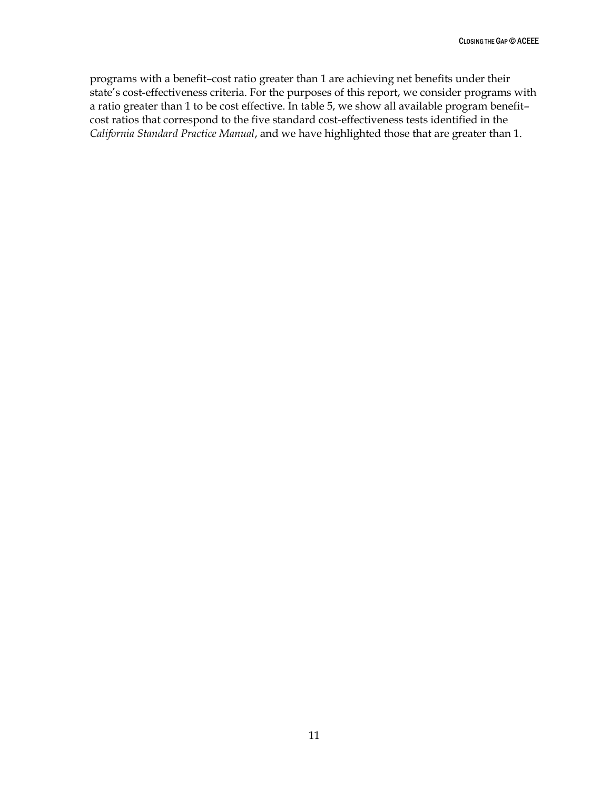programs with a benefit–cost ratio greater than 1 are achieving net benefits under their state's cost-effectiveness criteria. For the purposes of this report, we consider programs with a ratio greater than 1 to be cost effective. In table 5, we show all available program benefit– cost ratios that correspond to the five standard cost-effectiveness tests identified in the *California Standard Practice Manual*, and we have highlighted those that are greater than 1.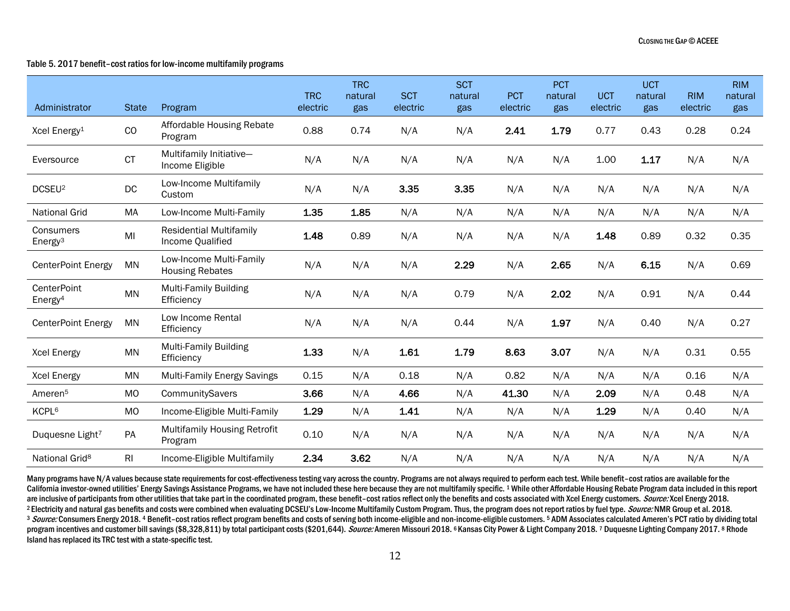#### Table 5. 2017 benefit–cost ratios for low-income multifamily programs

| Administrator                             | <b>State</b>   | Program                                            | <b>TRC</b><br>electric | <b>TRC</b><br>natural<br>gas | <b>SCT</b><br>electric | <b>SCT</b><br>natural<br>gas | <b>PCT</b><br>electric | <b>PCT</b><br>natural<br>gas | <b>UCT</b><br>electric | <b>UCT</b><br>natural<br>gas | <b>RIM</b><br>electric | <b>RIM</b><br>natural<br>gas |
|-------------------------------------------|----------------|----------------------------------------------------|------------------------|------------------------------|------------------------|------------------------------|------------------------|------------------------------|------------------------|------------------------------|------------------------|------------------------------|
| Xcel Energy <sup>1</sup>                  | CO             | Affordable Housing Rebate<br>Program               | 0.88                   | 0.74                         | N/A                    | N/A                          | 2.41                   | 1.79                         | 0.77                   | 0.43                         | 0.28                   | 0.24                         |
| Eversource                                | <b>CT</b>      | Multifamily Initiative-<br>Income Eligible         | N/A                    | N/A                          | N/A                    | N/A                          | N/A                    | N/A                          | 1.00                   | 1.17                         | N/A                    | N/A                          |
| DCSEU <sup>2</sup>                        | DC             | Low-Income Multifamily<br>Custom                   | N/A                    | N/A                          | 3.35                   | 3.35                         | N/A                    | N/A                          | N/A                    | N/A                          | N/A                    | N/A                          |
| <b>National Grid</b>                      | MA             | Low-Income Multi-Family                            | 1.35                   | 1.85                         | N/A                    | N/A                          | N/A                    | N/A                          | N/A                    | N/A                          | N/A                    | N/A                          |
| Consumers<br>Energy <sup>3</sup>          | MI             | <b>Residential Multifamily</b><br>Income Qualified | 1.48                   | 0.89                         | N/A                    | N/A                          | N/A                    | N/A                          | 1.48                   | 0.89                         | 0.32                   | 0.35                         |
| <b>CenterPoint Energy</b>                 | <b>MN</b>      | Low-Income Multi-Family<br><b>Housing Rebates</b>  | N/A                    | N/A                          | N/A                    | 2.29                         | N/A                    | 2.65                         | N/A                    | 6.15                         | N/A                    | 0.69                         |
| <b>CenterPoint</b><br>Energy <sup>4</sup> | <b>MN</b>      | <b>Multi-Family Building</b><br>Efficiency         | N/A                    | N/A                          | N/A                    | 0.79                         | N/A                    | 2.02                         | N/A                    | 0.91                         | N/A                    | 0.44                         |
| <b>CenterPoint Energy</b>                 | MN             | Low Income Rental<br>Efficiency                    | N/A                    | N/A                          | N/A                    | 0.44                         | N/A                    | 1.97                         | N/A                    | 0.40                         | N/A                    | 0.27                         |
| <b>Xcel Energy</b>                        | <b>MN</b>      | <b>Multi-Family Building</b><br>Efficiency         | 1.33                   | N/A                          | 1.61                   | 1.79                         | 8.63                   | 3.07                         | N/A                    | N/A                          | 0.31                   | 0.55                         |
| <b>Xcel Energy</b>                        | <b>MN</b>      | Multi-Family Energy Savings                        | 0.15                   | N/A                          | 0.18                   | N/A                          | 0.82                   | N/A                          | N/A                    | N/A                          | 0.16                   | N/A                          |
| Ameren <sup>5</sup>                       | <b>MO</b>      | CommunitySavers                                    | 3.66                   | N/A                          | 4.66                   | N/A                          | 41.30                  | N/A                          | 2.09                   | N/A                          | 0.48                   | N/A                          |
| KCPL <sup>6</sup>                         | MO             | Income-Eligible Multi-Family                       | 1.29                   | N/A                          | 1.41                   | N/A                          | N/A                    | N/A                          | 1.29                   | N/A                          | 0.40                   | N/A                          |
| Duquesne Light <sup>7</sup>               | PA             | Multifamily Housing Retrofit<br>Program            | 0.10                   | N/A                          | N/A                    | N/A                          | N/A                    | N/A                          | N/A                    | N/A                          | N/A                    | N/A                          |
| National Grid <sup>8</sup>                | R <sub>l</sub> | Income-Eligible Multifamily                        | 2.34                   | 3.62                         | N/A                    | N/A                          | N/A                    | N/A                          | N/A                    | N/A                          | N/A                    | N/A                          |

Many programs have N/A values because state requirements for cost-effectiveness testing vary across the country. Programs are not always required to perform each test. While benefit-cost ratios are available for the California investor-owned utilities' Energy Savings Assistance Programs, we have not included these here because they are not multifamily specific. 1 While other Affordable Housing Rebate Program data included in this repo are inclusive of participants from other utilities that take part in the coordinated program, these benefit-cost ratios reflect only the benefits and costs associated with Xcel Energy customers. Source: Xcel Energy 2018. <sup>2</sup> Electricity and natural gas benefits and costs were combined when evaluating DCSEU's Low-Income Multifamily Custom Program. Thus, the program does not report ratios by fuel type. Source: NMR Group et al. 2018. 3 Source: Consumers Energy 2018. 4 Benefit-cost ratios reflect program benefits and costs of serving both income-eligible and non-income-eligible customers. 5 ADM Associates calculated Ameren's PCT ratio by dividing total program incentives and customer bill savings (\$8,328,811) by total participant costs (\$201,644). Source: Ameren Missouri 2018. 6 Kansas City Power & Light Company 2018. 7 Duquesne Lighting Company 2017. 8 Rhode Island has replaced its TRC test with a state-specific test.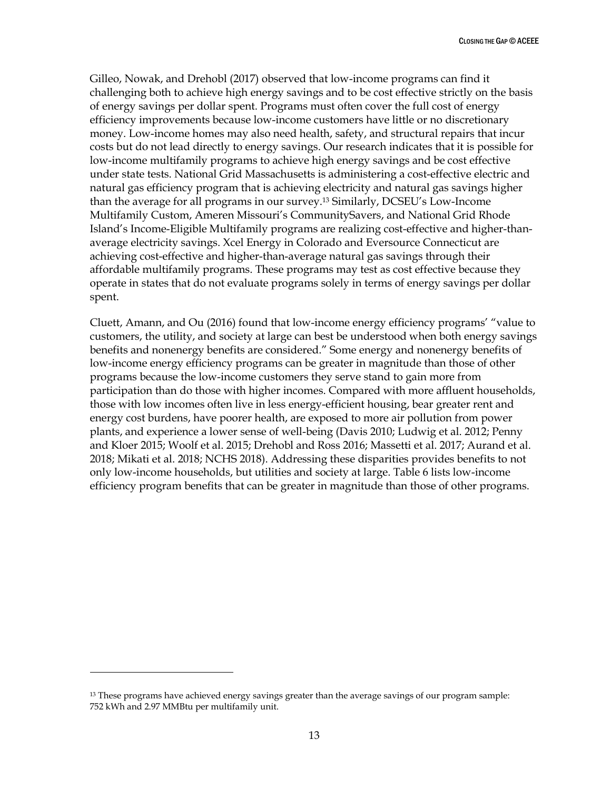Gilleo, Nowak, and Drehobl (2017) observed that low-income programs can find it challenging both to achieve high energy savings and to be cost effective strictly on the basis of energy savings per dollar spent. Programs must often cover the full cost of energy efficiency improvements because low-income customers have little or no discretionary money. Low-income homes may also need health, safety, and structural repairs that incur costs but do not lead directly to energy savings. Our research indicates that it is possible for low-income multifamily programs to achieve high energy savings and be cost effective under state tests. National Grid Massachusetts is administering a cost-effective electric and natural gas efficiency program that is achieving electricity and natural gas savings higher than the average for all programs in our survey.<sup>13</sup> Similarly, DCSEU's Low-Income Multifamily Custom, Ameren Missouri's CommunitySavers, and National Grid Rhode Island's Income-Eligible Multifamily programs are realizing cost-effective and higher-thanaverage electricity savings. Xcel Energy in Colorado and Eversource Connecticut are achieving cost-effective and higher-than-average natural gas savings through their affordable multifamily programs. These programs may test as cost effective because they operate in states that do not evaluate programs solely in terms of energy savings per dollar spent.

Cluett, Amann, and Ou (2016) found that low-income energy efficiency programs' "value to customers, the utility, and society at large can best be understood when both energy savings benefits and nonenergy benefits are considered." Some energy and nonenergy benefits of low-income energy efficiency programs can be greater in magnitude than those of other programs because the low-income customers they serve stand to gain more from participation than do those with higher incomes. Compared with more affluent households, those with low incomes often live in less energy-efficient housing, bear greater rent and energy cost burdens, have poorer health, are exposed to more air pollution from power plants, and experience a lower sense of well-being (Davis 2010; Ludwig et al. 2012; Penny and Kloer 2015; Woolf et al. 2015; Drehobl and Ross 2016; Massetti et al. 2017; Aurand et al. 2018; Mikati et al. 2018; NCHS 2018). Addressing these disparities provides benefits to not only low-income households, but utilities and society at large. Table 6 lists low-income efficiency program benefits that can be greater in magnitude than those of other programs.

 $\overline{a}$ 

<sup>13</sup> These programs have achieved energy savings greater than the average savings of our program sample: 752 kWh and 2.97 MMBtu per multifamily unit.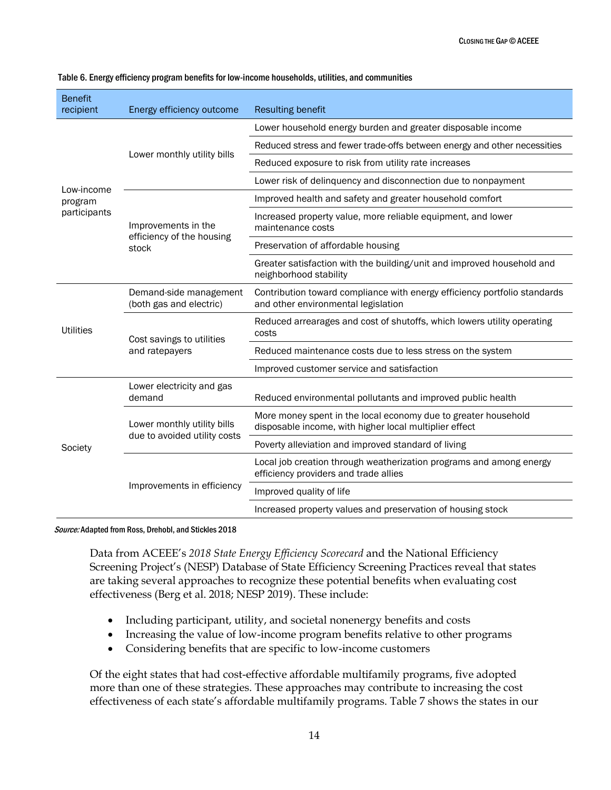| <b>Benefit</b><br>recipient | Energy efficiency outcome                         | <b>Resulting benefit</b>                                                                                                 |  |  |  |  |
|-----------------------------|---------------------------------------------------|--------------------------------------------------------------------------------------------------------------------------|--|--|--|--|
|                             |                                                   | Lower household energy burden and greater disposable income                                                              |  |  |  |  |
|                             | Lower monthly utility bills                       | Reduced stress and fewer trade-offs between energy and other necessities                                                 |  |  |  |  |
|                             |                                                   | Reduced exposure to risk from utility rate increases                                                                     |  |  |  |  |
| Low-income                  |                                                   | Lower risk of delinquency and disconnection due to nonpayment                                                            |  |  |  |  |
| program                     |                                                   | Improved health and safety and greater household comfort                                                                 |  |  |  |  |
| participants                | Improvements in the<br>efficiency of the housing  | Increased property value, more reliable equipment, and lower<br>maintenance costs                                        |  |  |  |  |
|                             | stock                                             | Preservation of affordable housing                                                                                       |  |  |  |  |
|                             |                                                   | Greater satisfaction with the building/unit and improved household and<br>neighborhood stability                         |  |  |  |  |
|                             | Demand-side management<br>(both gas and electric) | Contribution toward compliance with energy efficiency portfolio standards<br>and other environmental legislation         |  |  |  |  |
| <b>Utilities</b>            | Cost savings to utilities                         | Reduced arrearages and cost of shutoffs, which lowers utility operating<br>costs                                         |  |  |  |  |
|                             | and ratepayers                                    | Reduced maintenance costs due to less stress on the system                                                               |  |  |  |  |
|                             |                                                   | Improved customer service and satisfaction                                                                               |  |  |  |  |
|                             | Lower electricity and gas<br>demand               | Reduced environmental pollutants and improved public health                                                              |  |  |  |  |
|                             | Lower monthly utility bills                       | More money spent in the local economy due to greater household<br>disposable income, with higher local multiplier effect |  |  |  |  |
| Society                     | due to avoided utility costs                      | Poverty alleviation and improved standard of living                                                                      |  |  |  |  |
|                             |                                                   | Local job creation through weatherization programs and among energy<br>efficiency providers and trade allies             |  |  |  |  |
|                             | Improvements in efficiency                        | Improved quality of life                                                                                                 |  |  |  |  |
|                             |                                                   | Increased property values and preservation of housing stock                                                              |  |  |  |  |

#### Table 6. Energy efficiency program benefits for low-income households, utilities, and communities

Source: Adapted from Ross, Drehobl, and Stickles 2018

Data from ACEEE's *2018 State Energy Efficiency Scorecard* and the National Efficiency Screening Project's (NESP) Database of State Efficiency Screening Practices reveal that states are taking several approaches to recognize these potential benefits when evaluating cost effectiveness (Berg et al. 2018; NESP 2019). These include:

- Including participant, utility, and societal nonenergy benefits and costs
- Increasing the value of low-income program benefits relative to other programs
- Considering benefits that are specific to low-income customers

Of the eight states that had cost-effective affordable multifamily programs, five adopted more than one of these strategies. These approaches may contribute to increasing the cost effectiveness of each state's affordable multifamily programs. Table 7 shows the states in our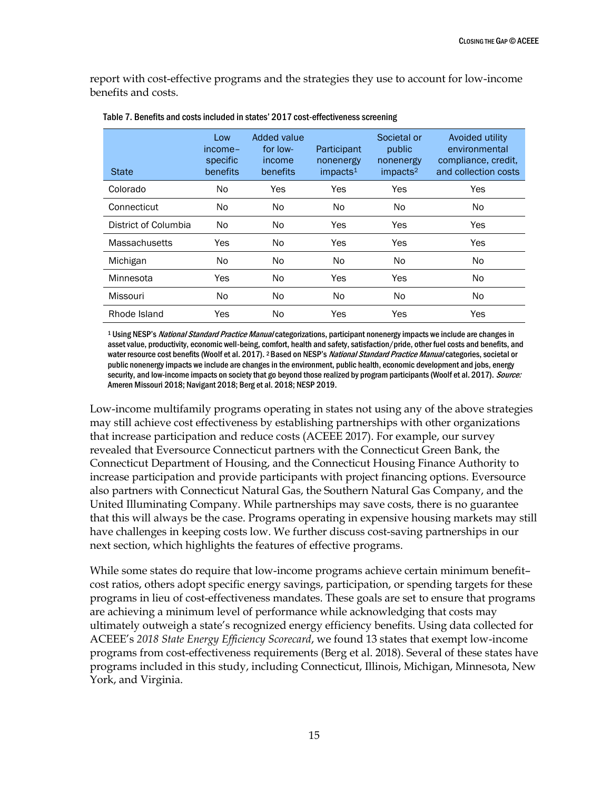report with cost-effective programs and the strategies they use to account for low-income benefits and costs.

| <b>State</b>         | Low<br>income-<br>specific<br>benefits | Added value<br>for low-<br>income<br>benefits | Participant<br>nonenergy<br>impacts <sup>1</sup> | Societal or<br>public<br>nonenergy<br>impacts <sup>2</sup> | Avoided utility<br>environmental<br>compliance, credit.<br>and collection costs |
|----------------------|----------------------------------------|-----------------------------------------------|--------------------------------------------------|------------------------------------------------------------|---------------------------------------------------------------------------------|
| Colorado             | No.                                    | Yes                                           | Yes                                              | Yes                                                        | Yes                                                                             |
| Connecticut          | No.                                    | N <sub>o</sub>                                | No.                                              | No                                                         | No.                                                                             |
| District of Columbia | No.                                    | N <sub>o</sub>                                | Yes                                              | Yes                                                        | Yes                                                                             |
| Massachusetts        | Yes                                    | N <sub>o</sub>                                | Yes                                              | Yes                                                        | Yes                                                                             |
| Michigan             | No.                                    | N <sub>o</sub>                                | No.                                              | No                                                         | No                                                                              |
| Minnesota            | <b>Yes</b>                             | N <sub>o</sub>                                | Yes                                              | Yes                                                        | No                                                                              |
| Missouri             | No.                                    | N <sub>o</sub>                                | No.                                              | No                                                         | No                                                                              |
| Rhode Island         | Yes                                    | N <sub>0</sub>                                | Yes                                              | Yes                                                        | Yes                                                                             |

Table 7. Benefits and costs included in states' 2017 cost-effectiveness screening

<sup>1</sup> Using NESP's National Standard Practice Manual categorizations, participant nonenergy impacts we include are changes in asset value, productivity, economic well-being, comfort, health and safety, satisfaction/pride, other fuel costs and benefits, and water resource cost benefits (Woolf et al. 2017). <sup>2</sup> Based on NESP's *National Standard Practice Manual* categories, societal or public nonenergy impacts we include are changes in the environment, public health, economic development and jobs, energy security, and low-income impacts on society that go beyond those realized by program participants (Woolf et al. 2017). Source: Ameren Missouri 2018; Navigant 2018; Berg et al. 2018; NESP 2019.

Low-income multifamily programs operating in states not using any of the above strategies may still achieve cost effectiveness by establishing partnerships with other organizations that increase participation and reduce costs (ACEEE 2017). For example, our survey revealed that Eversource Connecticut partners with the Connecticut Green Bank, the Connecticut Department of Housing, and the Connecticut Housing Finance Authority to increase participation and provide participants with project financing options. Eversource also partners with Connecticut Natural Gas, the Southern Natural Gas Company, and the United Illuminating Company. While partnerships may save costs, there is no guarantee that this will always be the case. Programs operating in expensive housing markets may still have challenges in keeping costs low. We further discuss cost-saving partnerships in our next section, which highlights the features of effective programs.

While some states do require that low-income programs achieve certain minimum benefit– cost ratios, others adopt specific energy savings, participation, or spending targets for these programs in lieu of cost-effectiveness mandates. These goals are set to ensure that programs are achieving a minimum level of performance while acknowledging that costs may ultimately outweigh a state's recognized energy efficiency benefits. Using data collected for ACEEE's *2018 State Energy Efficiency Scorecard*, we found 13 states that exempt low-income programs from cost-effectiveness requirements (Berg et al. 2018). Several of these states have programs included in this study, including Connecticut, Illinois, Michigan, Minnesota, New York, and Virginia.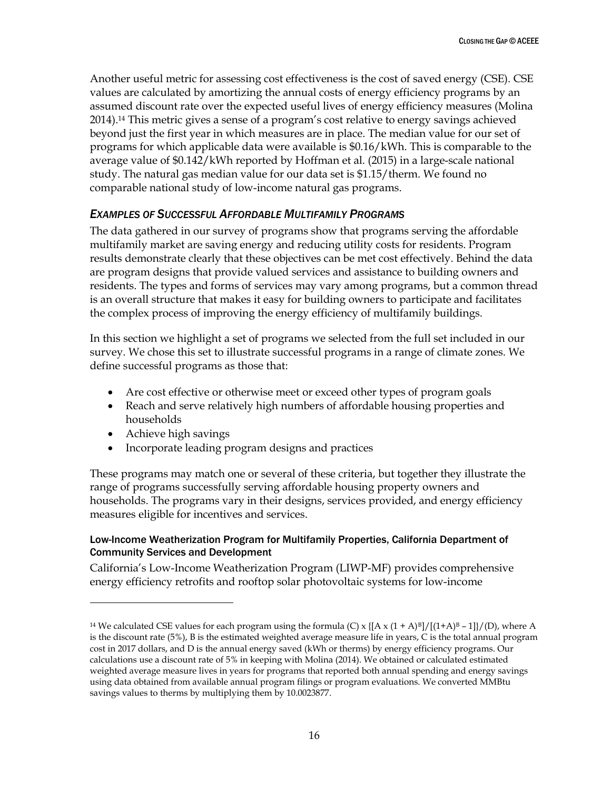Another useful metric for assessing cost effectiveness is the cost of saved energy (CSE). CSE values are calculated by amortizing the annual costs of energy efficiency programs by an assumed discount rate over the expected useful lives of energy efficiency measures (Molina 2014).<sup>14</sup> This metric gives a sense of a program's cost relative to energy savings achieved beyond just the first year in which measures are in place. The median value for our set of programs for which applicable data were available is \$0.16/kWh. This is comparable to the average value of \$0.142/kWh reported by Hoffman et al. (2015) in a large-scale national study. The natural gas median value for our data set is \$1.15/therm. We found no comparable national study of low-income natural gas programs.

#### <span id="page-21-0"></span>*EXAMPLES OF SUCCESSFUL AFFORDABLE MULTIFAMILY PROGRAMS*

The data gathered in our survey of programs show that programs serving the affordable multifamily market are saving energy and reducing utility costs for residents. Program results demonstrate clearly that these objectives can be met cost effectively. Behind the data are program designs that provide valued services and assistance to building owners and residents. The types and forms of services may vary among programs, but a common thread is an overall structure that makes it easy for building owners to participate and facilitates the complex process of improving the energy efficiency of multifamily buildings.

In this section we highlight a set of programs we selected from the full set included in our survey. We chose this set to illustrate successful programs in a range of climate zones. We define successful programs as those that:

- Are cost effective or otherwise meet or exceed other types of program goals
- Reach and serve relatively high numbers of affordable housing properties and households
- Achieve high savings

 $\overline{a}$ 

• Incorporate leading program designs and practices

These programs may match one or several of these criteria, but together they illustrate the range of programs successfully serving affordable housing property owners and households. The programs vary in their designs, services provided, and energy efficiency measures eligible for incentives and services.

#### Low-Income Weatherization Program for Multifamily Properties, California Department of Community Services and Development

California's Low-Income Weatherization Program (LIWP-MF) provides comprehensive energy efficiency retrofits and rooftop solar photovoltaic systems for low-income

<sup>&</sup>lt;sup>14</sup> We calculated CSE values for each program using the formula (C) x  $\frac{1}{A} \times (1 + A)^{B}$ [(1+A)<sup>B</sup> – 1] $/(D)$ , where A is the discount rate (5%), B is the estimated weighted average measure life in years, C is the total annual program cost in 2017 dollars, and D is the annual energy saved (kWh or therms) by energy efficiency programs. Our calculations use a discount rate of 5% in keeping with Molina (2014). We obtained or calculated estimated weighted average measure lives in years for programs that reported both annual spending and energy savings using data obtained from available annual program filings or program evaluations. We converted MMBtu savings values to therms by multiplying them by 10.0023877.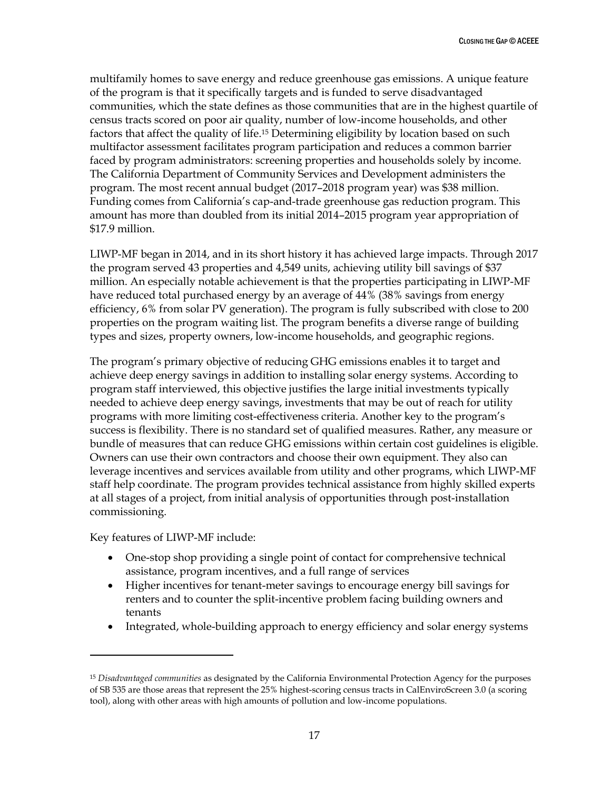multifamily homes to save energy and reduce greenhouse gas emissions. A unique feature of the program is that it specifically targets and is funded to serve disadvantaged communities, which the state defines as those communities that are in the highest quartile of census tracts scored on poor air quality, number of low-income households, and other factors that affect the quality of life.<sup>15</sup> Determining eligibility by location based on such multifactor assessment facilitates program participation and reduces a common barrier faced by program administrators: screening properties and households solely by income. The California Department of Community Services and Development administers the program. The most recent annual budget (2017–2018 program year) was \$38 million. Funding comes from California's cap-and-trade greenhouse gas reduction program. This amount has more than doubled from its initial 2014–2015 program year appropriation of \$17.9 million.

LIWP-MF began in 2014, and in its short history it has achieved large impacts. Through 2017 the program served 43 properties and 4,549 units, achieving utility bill savings of \$37 million. An especially notable achievement is that the properties participating in LIWP-MF have reduced total purchased energy by an average of 44% (38% savings from energy efficiency, 6% from solar PV generation). The program is fully subscribed with close to 200 properties on the program waiting list. The program benefits a diverse range of building types and sizes, property owners, low-income households, and geographic regions.

The program's primary objective of reducing GHG emissions enables it to target and achieve deep energy savings in addition to installing solar energy systems. According to program staff interviewed, this objective justifies the large initial investments typically needed to achieve deep energy savings, investments that may be out of reach for utility programs with more limiting cost-effectiveness criteria. Another key to the program's success is flexibility. There is no standard set of qualified measures. Rather, any measure or bundle of measures that can reduce GHG emissions within certain cost guidelines is eligible. Owners can use their own contractors and choose their own equipment. They also can leverage incentives and services available from utility and other programs, which LIWP-MF staff help coordinate. The program provides technical assistance from highly skilled experts at all stages of a project, from initial analysis of opportunities through post-installation commissioning.

Key features of LIWP-MF include:

 $\ddot{\phantom{a}}$ 

- One-stop shop providing a single point of contact for comprehensive technical assistance, program incentives, and a full range of services
- Higher incentives for tenant-meter savings to encourage energy bill savings for renters and to counter the split-incentive problem facing building owners and tenants
- Integrated, whole-building approach to energy efficiency and solar energy systems

<sup>15</sup> *Disadvantaged communities* as designated by the California Environmental Protection Agency for the purposes of SB 535 are those areas that represent the 25% highest-scoring census tracts in CalEnviroScreen 3.0 (a scoring tool), along with other areas with high amounts of pollution and low-income populations.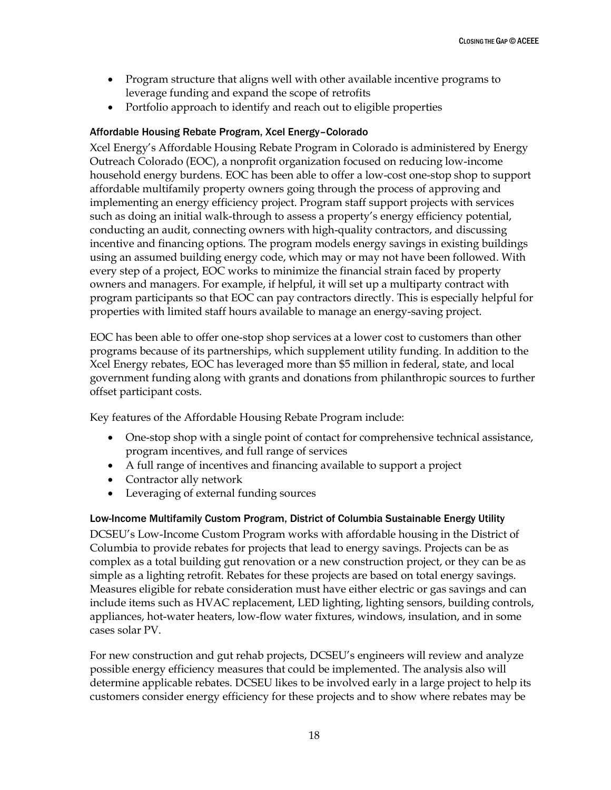- Program structure that aligns well with other available incentive programs to leverage funding and expand the scope of retrofits
- Portfolio approach to identify and reach out to eligible properties

#### Affordable Housing Rebate Program, Xcel Energy–Colorado

Xcel Energy's Affordable Housing Rebate Program in Colorado is administered by Energy Outreach Colorado (EOC), a nonprofit organization focused on reducing low-income household energy burdens. EOC has been able to offer a low-cost one-stop shop to support affordable multifamily property owners going through the process of approving and implementing an energy efficiency project. Program staff support projects with services such as doing an initial walk-through to assess a property's energy efficiency potential, conducting an audit, connecting owners with high-quality contractors, and discussing incentive and financing options. The program models energy savings in existing buildings using an assumed building energy code, which may or may not have been followed. With every step of a project, EOC works to minimize the financial strain faced by property owners and managers. For example, if helpful, it will set up a multiparty contract with program participants so that EOC can pay contractors directly. This is especially helpful for properties with limited staff hours available to manage an energy-saving project.

EOC has been able to offer one-stop shop services at a lower cost to customers than other programs because of its partnerships, which supplement utility funding. In addition to the Xcel Energy rebates, EOC has leveraged more than \$5 million in federal, state, and local government funding along with grants and donations from philanthropic sources to further offset participant costs.

Key features of the Affordable Housing Rebate Program include:

- One-stop shop with a single point of contact for comprehensive technical assistance, program incentives, and full range of services
- A full range of incentives and financing available to support a project
- Contractor ally network
- Leveraging of external funding sources

## Low-Income Multifamily Custom Program, District of Columbia Sustainable Energy Utility

DCSEU's Low-Income Custom Program works with affordable housing in the District of Columbia to provide rebates for projects that lead to energy savings. Projects can be as complex as a total building gut renovation or a new construction project, or they can be as simple as a lighting retrofit. Rebates for these projects are based on total energy savings. Measures eligible for rebate consideration must have either electric or gas savings and can include items such as HVAC replacement, LED lighting, lighting sensors, building controls, appliances, hot-water heaters, low-flow water fixtures, windows, insulation, and in some cases solar PV.

For new construction and gut rehab projects, DCSEU's engineers will review and analyze possible energy efficiency measures that could be implemented. The analysis also will determine applicable rebates. DCSEU likes to be involved early in a large project to help its customers consider energy efficiency for these projects and to show where rebates may be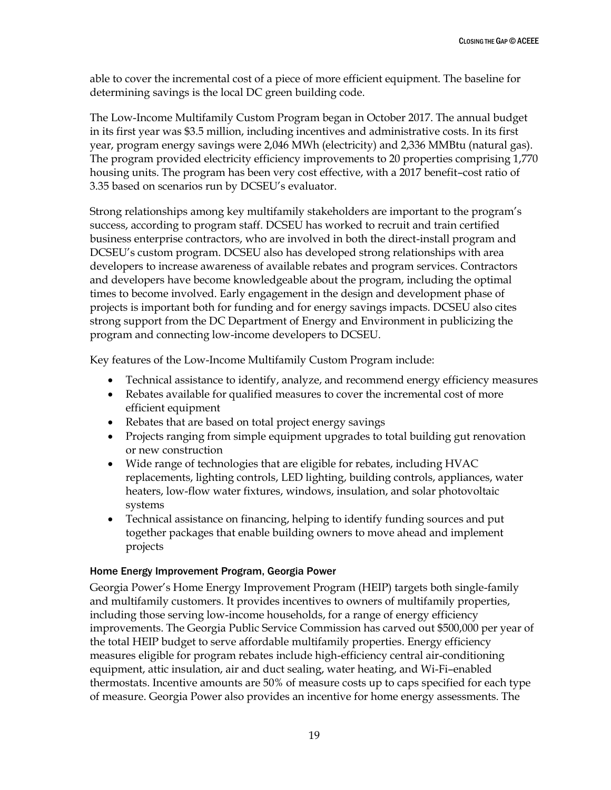able to cover the incremental cost of a piece of more efficient equipment. The baseline for determining savings is the local DC green building code.

The Low-Income Multifamily Custom Program began in October 2017. The annual budget in its first year was \$3.5 million, including incentives and administrative costs. In its first year, program energy savings were 2,046 MWh (electricity) and 2,336 MMBtu (natural gas). The program provided electricity efficiency improvements to 20 properties comprising 1,770 housing units. The program has been very cost effective, with a 2017 benefit–cost ratio of 3.35 based on scenarios run by DCSEU's evaluator.

Strong relationships among key multifamily stakeholders are important to the program's success, according to program staff. DCSEU has worked to recruit and train certified business enterprise contractors, who are involved in both the direct-install program and DCSEU's custom program. DCSEU also has developed strong relationships with area developers to increase awareness of available rebates and program services. Contractors and developers have become knowledgeable about the program, including the optimal times to become involved. Early engagement in the design and development phase of projects is important both for funding and for energy savings impacts. DCSEU also cites strong support from the DC Department of Energy and Environment in publicizing the program and connecting low-income developers to DCSEU.

Key features of the Low-Income Multifamily Custom Program include:

- Technical assistance to identify, analyze, and recommend energy efficiency measures
- Rebates available for qualified measures to cover the incremental cost of more efficient equipment
- Rebates that are based on total project energy savings
- Projects ranging from simple equipment upgrades to total building gut renovation or new construction
- Wide range of technologies that are eligible for rebates, including HVAC replacements, lighting controls, LED lighting, building controls, appliances, water heaters, low-flow water fixtures, windows, insulation, and solar photovoltaic systems
- Technical assistance on financing, helping to identify funding sources and put together packages that enable building owners to move ahead and implement projects

#### Home Energy Improvement Program, Georgia Power

Georgia Power's Home Energy Improvement Program (HEIP) targets both single-family and multifamily customers. It provides incentives to owners of multifamily properties, including those serving low-income households, for a range of energy efficiency improvements. The Georgia Public Service Commission has carved out \$500,000 per year of the total HEIP budget to serve affordable multifamily properties. Energy efficiency measures eligible for program rebates include high-efficiency central air-conditioning equipment, attic insulation, air and duct sealing, water heating, and Wi-Fi–enabled thermostats. Incentive amounts are 50% of measure costs up to caps specified for each type of measure. Georgia Power also provides an incentive for home energy assessments. The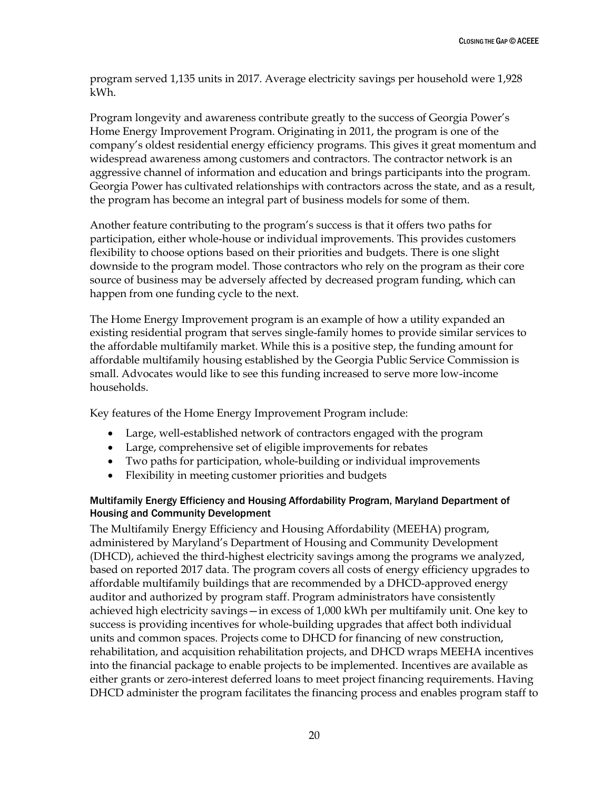program served 1,135 units in 2017. Average electricity savings per household were 1,928 kWh.

Program longevity and awareness contribute greatly to the success of Georgia Power's Home Energy Improvement Program. Originating in 2011, the program is one of the company's oldest residential energy efficiency programs. This gives it great momentum and widespread awareness among customers and contractors. The contractor network is an aggressive channel of information and education and brings participants into the program. Georgia Power has cultivated relationships with contractors across the state, and as a result, the program has become an integral part of business models for some of them.

Another feature contributing to the program's success is that it offers two paths for participation, either whole-house or individual improvements. This provides customers flexibility to choose options based on their priorities and budgets. There is one slight downside to the program model. Those contractors who rely on the program as their core source of business may be adversely affected by decreased program funding, which can happen from one funding cycle to the next.

The Home Energy Improvement program is an example of how a utility expanded an existing residential program that serves single-family homes to provide similar services to the affordable multifamily market. While this is a positive step, the funding amount for affordable multifamily housing established by the Georgia Public Service Commission is small. Advocates would like to see this funding increased to serve more low-income households.

Key features of the Home Energy Improvement Program include:

- Large, well-established network of contractors engaged with the program
- Large, comprehensive set of eligible improvements for rebates
- Two paths for participation, whole-building or individual improvements
- Flexibility in meeting customer priorities and budgets

#### Multifamily Energy Efficiency and Housing Affordability Program, Maryland Department of Housing and Community Development

The Multifamily Energy Efficiency and Housing Affordability (MEEHA) program, administered by Maryland's Department of Housing and Community Development (DHCD), achieved the third-highest electricity savings among the programs we analyzed, based on reported 2017 data. The program covers all costs of energy efficiency upgrades to affordable multifamily buildings that are recommended by a DHCD-approved energy auditor and authorized by program staff. Program administrators have consistently achieved high electricity savings—in excess of 1,000 kWh per multifamily unit. One key to success is providing incentives for whole-building upgrades that affect both individual units and common spaces. Projects come to DHCD for financing of new construction, rehabilitation, and acquisition rehabilitation projects, and DHCD wraps MEEHA incentives into the financial package to enable projects to be implemented. Incentives are available as either grants or zero-interest deferred loans to meet project financing requirements. Having DHCD administer the program facilitates the financing process and enables program staff to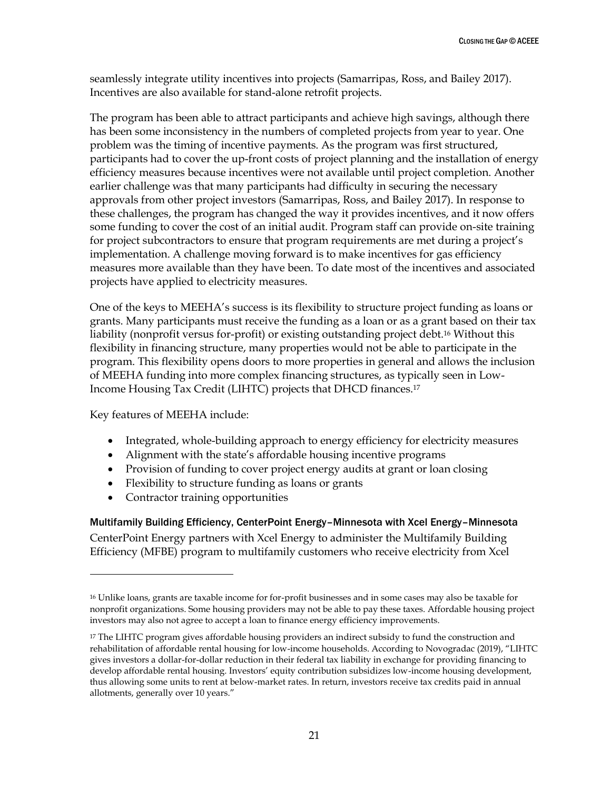seamlessly integrate utility incentives into projects (Samarripas, Ross, and Bailey 2017). Incentives are also available for stand-alone retrofit projects.

The program has been able to attract participants and achieve high savings, although there has been some inconsistency in the numbers of completed projects from year to year. One problem was the timing of incentive payments. As the program was first structured, participants had to cover the up-front costs of project planning and the installation of energy efficiency measures because incentives were not available until project completion. Another earlier challenge was that many participants had difficulty in securing the necessary approvals from other project investors (Samarripas, Ross, and Bailey 2017). In response to these challenges, the program has changed the way it provides incentives, and it now offers some funding to cover the cost of an initial audit. Program staff can provide on-site training for project subcontractors to ensure that program requirements are met during a project's implementation. A challenge moving forward is to make incentives for gas efficiency measures more available than they have been. To date most of the incentives and associated projects have applied to electricity measures.

One of the keys to MEEHA's success is its flexibility to structure project funding as loans or grants. Many participants must receive the funding as a loan or as a grant based on their tax liability (nonprofit versus for-profit) or existing outstanding project debt.<sup>16</sup> Without this flexibility in financing structure, many properties would not be able to participate in the program. This flexibility opens doors to more properties in general and allows the inclusion of MEEHA funding into more complex financing structures, as typically seen in Low-Income Housing Tax Credit (LIHTC) projects that DHCD finances.<sup>17</sup>

Key features of MEEHA include:

 $\overline{a}$ 

- Integrated, whole-building approach to energy efficiency for electricity measures
- Alignment with the state's affordable housing incentive programs
- Provision of funding to cover project energy audits at grant or loan closing
- Flexibility to structure funding as loans or grants
- Contractor training opportunities

Multifamily Building Efficiency, CenterPoint Energy–Minnesota with Xcel Energy–Minnesota

CenterPoint Energy partners with Xcel Energy to administer the Multifamily Building Efficiency (MFBE) program to multifamily customers who receive electricity from Xcel

<sup>16</sup> Unlike loans, grants are taxable income for for-profit businesses and in some cases may also be taxable for nonprofit organizations. Some housing providers may not be able to pay these taxes. Affordable housing project investors may also not agree to accept a loan to finance energy efficiency improvements.

<sup>&</sup>lt;sup>17</sup> The LIHTC program gives affordable housing providers an indirect subsidy to fund the construction and rehabilitation of affordable rental housing for low-income households. According to Novogradac (2019), "LIHTC gives investors a dollar-for-dollar reduction in their federal tax liability in exchange for providing financing to develop affordable rental housing. Investors' equity contribution subsidizes low-income housing development, thus allowing some units to rent at below-market rates. In return, investors receive tax credits paid in annual allotments, generally over 10 years."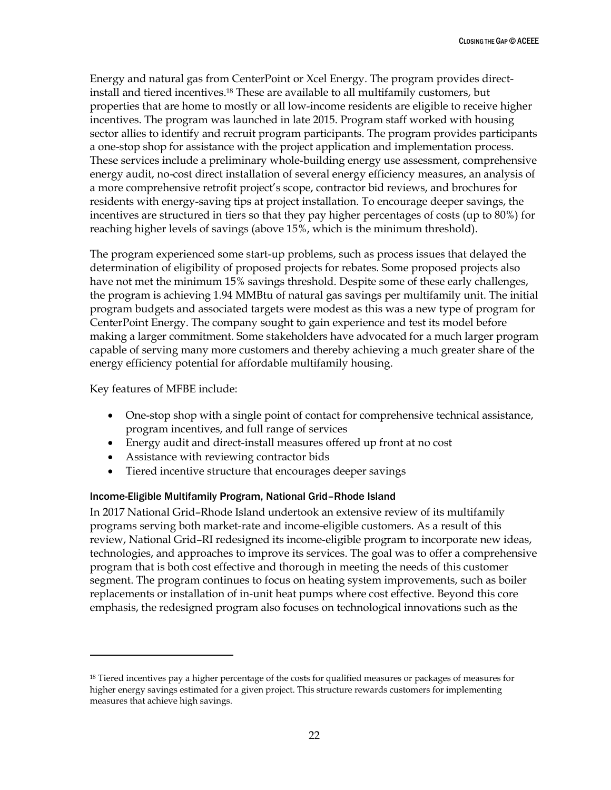Energy and natural gas from CenterPoint or Xcel Energy. The program provides directinstall and tiered incentives.<sup>18</sup> These are available to all multifamily customers, but properties that are home to mostly or all low-income residents are eligible to receive higher incentives. The program was launched in late 2015. Program staff worked with housing sector allies to identify and recruit program participants. The program provides participants a one-stop shop for assistance with the project application and implementation process. These services include a preliminary whole-building energy use assessment, comprehensive energy audit, no-cost direct installation of several energy efficiency measures, an analysis of a more comprehensive retrofit project's scope, contractor bid reviews, and brochures for residents with energy-saving tips at project installation. To encourage deeper savings, the incentives are structured in tiers so that they pay higher percentages of costs (up to 80%) for reaching higher levels of savings (above 15%, which is the minimum threshold).

The program experienced some start-up problems, such as process issues that delayed the determination of eligibility of proposed projects for rebates. Some proposed projects also have not met the minimum 15% savings threshold. Despite some of these early challenges, the program is achieving 1.94 MMBtu of natural gas savings per multifamily unit. The initial program budgets and associated targets were modest as this was a new type of program for CenterPoint Energy. The company sought to gain experience and test its model before making a larger commitment. Some stakeholders have advocated for a much larger program capable of serving many more customers and thereby achieving a much greater share of the energy efficiency potential for affordable multifamily housing.

Key features of MFBE include:

 $\ddot{\phantom{a}}$ 

- One-stop shop with a single point of contact for comprehensive technical assistance, program incentives, and full range of services
- Energy audit and direct-install measures offered up front at no cost
- Assistance with reviewing contractor bids
- Tiered incentive structure that encourages deeper savings

#### Income-Eligible Multifamily Program, National Grid–Rhode Island

In 2017 National Grid–Rhode Island undertook an extensive review of its multifamily programs serving both market-rate and income-eligible customers. As a result of this review, National Grid–RI redesigned its income-eligible program to incorporate new ideas, technologies, and approaches to improve its services. The goal was to offer a comprehensive program that is both cost effective and thorough in meeting the needs of this customer segment. The program continues to focus on heating system improvements, such as boiler replacements or installation of in-unit heat pumps where cost effective. Beyond this core emphasis, the redesigned program also focuses on technological innovations such as the

<sup>&</sup>lt;sup>18</sup> Tiered incentives pay a higher percentage of the costs for qualified measures or packages of measures for higher energy savings estimated for a given project. This structure rewards customers for implementing measures that achieve high savings.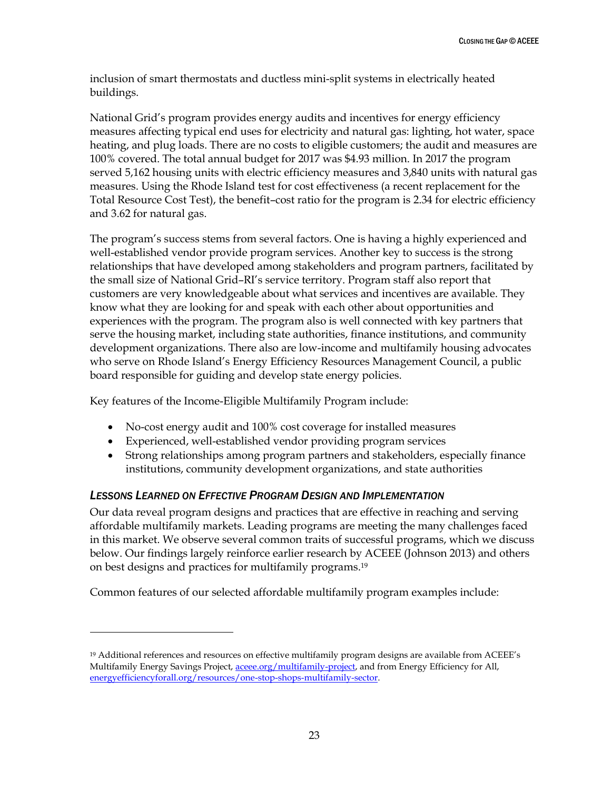inclusion of smart thermostats and ductless mini-split systems in electrically heated buildings.

National Grid's program provides energy audits and incentives for energy efficiency measures affecting typical end uses for electricity and natural gas: lighting, hot water, space heating, and plug loads. There are no costs to eligible customers; the audit and measures are 100% covered. The total annual budget for 2017 was \$4.93 million. In 2017 the program served 5,162 housing units with electric efficiency measures and 3,840 units with natural gas measures. Using the Rhode Island test for cost effectiveness (a recent replacement for the Total Resource Cost Test), the benefit–cost ratio for the program is 2.34 for electric efficiency and 3.62 for natural gas.

The program's success stems from several factors. One is having a highly experienced and well-established vendor provide program services. Another key to success is the strong relationships that have developed among stakeholders and program partners, facilitated by the small size of National Grid–RI's service territory. Program staff also report that customers are very knowledgeable about what services and incentives are available. They know what they are looking for and speak with each other about opportunities and experiences with the program. The program also is well connected with key partners that serve the housing market, including state authorities, finance institutions, and community development organizations. There also are low-income and multifamily housing advocates who serve on Rhode Island's Energy Efficiency Resources Management Council, a public board responsible for guiding and develop state energy policies.

Key features of the Income-Eligible Multifamily Program include:

- No-cost energy audit and 100% cost coverage for installed measures
- Experienced, well-established vendor providing program services
- Strong relationships among program partners and stakeholders, especially finance institutions, community development organizations, and state authorities

#### <span id="page-28-0"></span>*LESSONS LEARNED ON EFFECTIVE PROGRAM DESIGN AND IMPLEMENTATION*

 $\overline{a}$ 

Our data reveal program designs and practices that are effective in reaching and serving affordable multifamily markets. Leading programs are meeting the many challenges faced in this market. We observe several common traits of successful programs, which we discuss below. Our findings largely reinforce earlier research by ACEEE (Johnson 2013) and others on best designs and practices for multifamily programs.<sup>19</sup>

Common features of our selected affordable multifamily program examples include:

<sup>19</sup> Additional references and resources on effective multifamily program designs are available from ACEEE's Multifamily Energy Savings Project, [aceee.org/multifamily-project,](https://aceee.org/multifamily-project) and from Energy Efficiency for All, [energyefficiencyforall.org/resources/one-stop-shops-multifamily-sector.](http://energyefficiencyforall.org/resources/one-stop-shops-multifamily-sector)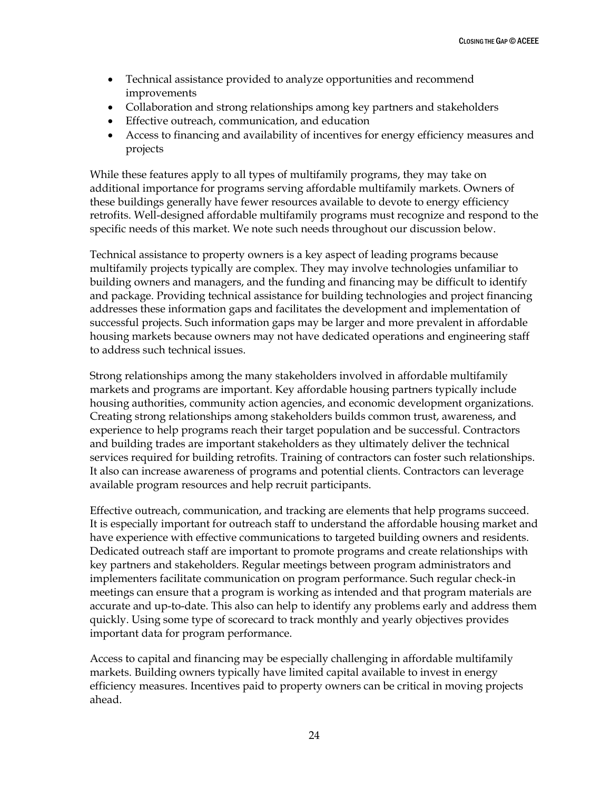- Technical assistance provided to analyze opportunities and recommend improvements
- Collaboration and strong relationships among key partners and stakeholders
- Effective outreach, communication, and education
- Access to financing and availability of incentives for energy efficiency measures and projects

While these features apply to all types of multifamily programs, they may take on additional importance for programs serving affordable multifamily markets. Owners of these buildings generally have fewer resources available to devote to energy efficiency retrofits. Well-designed affordable multifamily programs must recognize and respond to the specific needs of this market. We note such needs throughout our discussion below.

Technical assistance to property owners is a key aspect of leading programs because multifamily projects typically are complex. They may involve technologies unfamiliar to building owners and managers, and the funding and financing may be difficult to identify and package. Providing technical assistance for building technologies and project financing addresses these information gaps and facilitates the development and implementation of successful projects. Such information gaps may be larger and more prevalent in affordable housing markets because owners may not have dedicated operations and engineering staff to address such technical issues.

Strong relationships among the many stakeholders involved in affordable multifamily markets and programs are important. Key affordable housing partners typically include housing authorities, community action agencies, and economic development organizations. Creating strong relationships among stakeholders builds common trust, awareness, and experience to help programs reach their target population and be successful. Contractors and building trades are important stakeholders as they ultimately deliver the technical services required for building retrofits. Training of contractors can foster such relationships. It also can increase awareness of programs and potential clients. Contractors can leverage available program resources and help recruit participants.

Effective outreach, communication, and tracking are elements that help programs succeed. It is especially important for outreach staff to understand the affordable housing market and have experience with effective communications to targeted building owners and residents. Dedicated outreach staff are important to promote programs and create relationships with key partners and stakeholders. Regular meetings between program administrators and implementers facilitate communication on program performance. Such regular check-in meetings can ensure that a program is working as intended and that program materials are accurate and up-to-date. This also can help to identify any problems early and address them quickly. Using some type of scorecard to track monthly and yearly objectives provides important data for program performance.

Access to capital and financing may be especially challenging in affordable multifamily markets. Building owners typically have limited capital available to invest in energy efficiency measures. Incentives paid to property owners can be critical in moving projects ahead.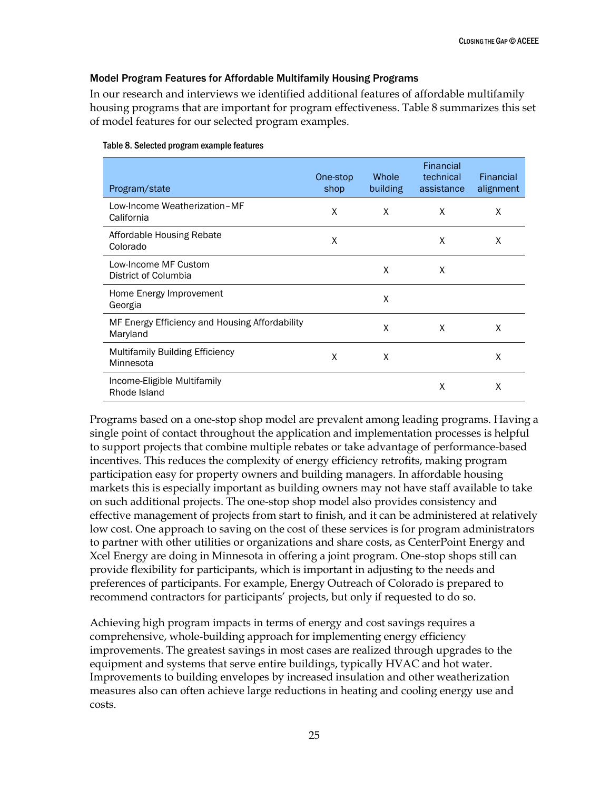#### Model Program Features for Affordable Multifamily Housing Programs

In our research and interviews we identified additional features of affordable multifamily housing programs that are important for program effectiveness. Table 8 summarizes this set of model features for our selected program examples.

| Program/state                                              | One-stop<br>shop | Whole<br>building | Financial<br>technical<br>assistance | Financial<br>alignment |
|------------------------------------------------------------|------------------|-------------------|--------------------------------------|------------------------|
| Low-Income Weatherization-MF<br>California                 | X                | X                 | X                                    | X                      |
| Affordable Housing Rebate<br>Colorado                      | X                |                   | X                                    | X                      |
| Low-Income MF Custom<br>District of Columbia               |                  | X                 | X                                    |                        |
| Home Energy Improvement<br>Georgia                         |                  | X                 |                                      |                        |
| MF Energy Efficiency and Housing Affordability<br>Maryland |                  | X                 | X                                    | X                      |
| Multifamily Building Efficiency<br>Minnesota               | X                | X                 |                                      | X                      |
| Income-Eligible Multifamily<br>Rhode Island                |                  |                   | X                                    | X                      |

#### Table 8. Selected program example features

Programs based on a one-stop shop model are prevalent among leading programs. Having a single point of contact throughout the application and implementation processes is helpful to support projects that combine multiple rebates or take advantage of performance-based incentives. This reduces the complexity of energy efficiency retrofits, making program participation easy for property owners and building managers. In affordable housing markets this is especially important as building owners may not have staff available to take on such additional projects. The one-stop shop model also provides consistency and effective management of projects from start to finish, and it can be administered at relatively low cost. One approach to saving on the cost of these services is for program administrators to partner with other utilities or organizations and share costs, as CenterPoint Energy and Xcel Energy are doing in Minnesota in offering a joint program. One-stop shops still can provide flexibility for participants, which is important in adjusting to the needs and preferences of participants. For example, Energy Outreach of Colorado is prepared to recommend contractors for participants' projects, but only if requested to do so.

Achieving high program impacts in terms of energy and cost savings requires a comprehensive, whole-building approach for implementing energy efficiency improvements. The greatest savings in most cases are realized through upgrades to the equipment and systems that serve entire buildings, typically HVAC and hot water. Improvements to building envelopes by increased insulation and other weatherization measures also can often achieve large reductions in heating and cooling energy use and costs.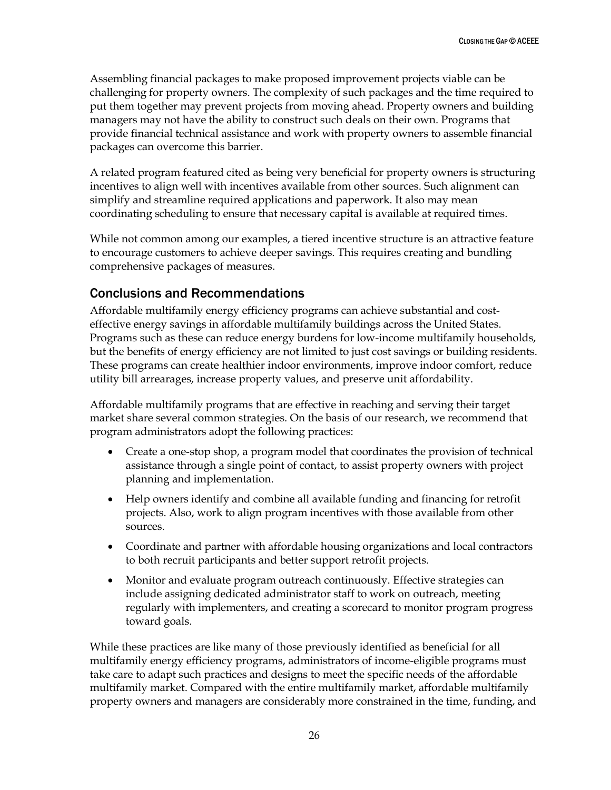Assembling financial packages to make proposed improvement projects viable can be challenging for property owners. The complexity of such packages and the time required to put them together may prevent projects from moving ahead. Property owners and building managers may not have the ability to construct such deals on their own. Programs that provide financial technical assistance and work with property owners to assemble financial packages can overcome this barrier.

A related program featured cited as being very beneficial for property owners is structuring incentives to align well with incentives available from other sources. Such alignment can simplify and streamline required applications and paperwork. It also may mean coordinating scheduling to ensure that necessary capital is available at required times.

While not common among our examples, a tiered incentive structure is an attractive feature to encourage customers to achieve deeper savings. This requires creating and bundling comprehensive packages of measures.

## <span id="page-31-0"></span>Conclusions and Recommendations

Affordable multifamily energy efficiency programs can achieve substantial and costeffective energy savings in affordable multifamily buildings across the United States. Programs such as these can reduce energy burdens for low-income multifamily households, but the benefits of energy efficiency are not limited to just cost savings or building residents. These programs can create healthier indoor environments, improve indoor comfort, reduce utility bill arrearages, increase property values, and preserve unit affordability.

Affordable multifamily programs that are effective in reaching and serving their target market share several common strategies. On the basis of our research, we recommend that program administrators adopt the following practices:

- Create a one-stop shop, a program model that coordinates the provision of technical assistance through a single point of contact, to assist property owners with project planning and implementation.
- Help owners identify and combine all available funding and financing for retrofit projects. Also, work to align program incentives with those available from other sources.
- Coordinate and partner with affordable housing organizations and local contractors to both recruit participants and better support retrofit projects.
- Monitor and evaluate program outreach continuously. Effective strategies can include assigning dedicated administrator staff to work on outreach, meeting regularly with implementers, and creating a scorecard to monitor program progress toward goals.

While these practices are like many of those previously identified as beneficial for all multifamily energy efficiency programs, administrators of income-eligible programs must take care to adapt such practices and designs to meet the specific needs of the affordable multifamily market. Compared with the entire multifamily market, affordable multifamily property owners and managers are considerably more constrained in the time, funding, and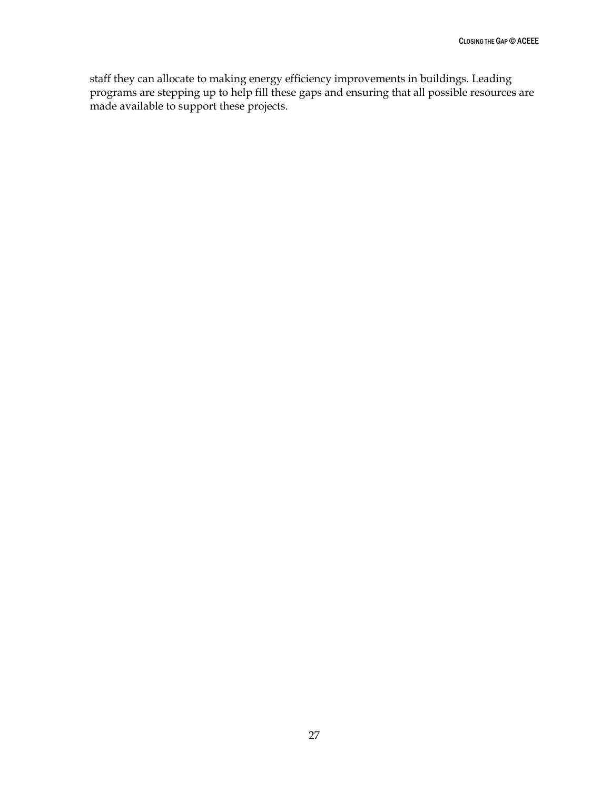staff they can allocate to making energy efficiency improvements in buildings. Leading programs are stepping up to help fill these gaps and ensuring that all possible resources are made available to support these projects.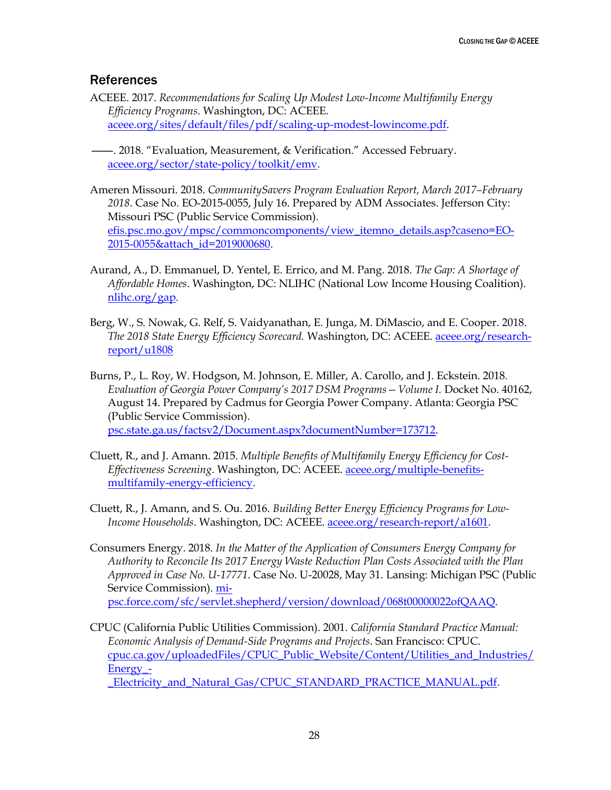#### <span id="page-33-0"></span>**References**

ACEEE. 2017. *Recommendations for Scaling Up Modest Low-Income Multifamily Energy Efficiency Programs*. Washington, DC: ACEEE. [aceee.org/sites/default/files/pdf/scaling-up-modest-lowincome.pdf.](https://aceee.org/sites/default/files/pdf/scaling-up-modest-lowincome.pdf)

———. 2018. "Evaluation, Measurement, & Verification." Accessed February. [aceee.org/sector/state-policy/toolkit/emv.](https://aceee.org/sector/state-policy/toolkit/emv)

- Ameren Missouri. 2018. *CommunitySavers Program Evaluation Report, March 2017–February 2018*. Case No. EO-2015-0055, July 16. Prepared by ADM Associates. Jefferson City: Missouri PSC (Public Service Commission). [efis.psc.mo.gov/mpsc/commoncomponents/view\\_itemno\\_details.asp?caseno=EO-](https://www.efis.psc.mo.gov/mpsc/commoncomponents/view_itemno_details.asp?caseno=EO-2015-0055&attach_id=2019000680)[2015-0055&attach\\_id=2019000680.](https://www.efis.psc.mo.gov/mpsc/commoncomponents/view_itemno_details.asp?caseno=EO-2015-0055&attach_id=2019000680)
- Aurand, A., D. Emmanuel, D. Yentel, E. Errico, and M. Pang. 2018. *The Gap: A Shortage of Affordable Homes*. Washington, DC: NLIHC (National Low Income Housing Coalition). [nlihc.org/gap.](https://nlihc.org/gap)
- Berg, W., S. Nowak, G. Relf, S. Vaidyanathan, E. Junga, M. DiMascio, and E. Cooper. 2018. *The 2018 State Energy Efficiency Scorecard.* Washington, DC: ACEEE. [aceee.org/research](https://aceee.org/research-report/u1808)[report/u1808](https://aceee.org/research-report/u1808)
- Burns, P., L. Roy, W. Hodgson, M. Johnson, E. Miller, A. Carollo, and J. Eckstein. 2018. *Evaluation of Georgia Power Company's 2017 DSM Programs—Volume I.* Docket No. 40162, August 14. Prepared by Cadmus for Georgia Power Company. Atlanta: Georgia PSC (Public Service Commission). [psc.state.ga.us/factsv2/Document.aspx?documentNumber=173712.](http://www.psc.state.ga.us/factsv2/Document.aspx?documentNumber=173712)
- Cluett, R., and J. Amann. 2015. *Multiple Benefits of Multifamily Energy Efficiency for Cost-Effectiveness Screening*. Washington, DC: ACEEE. [aceee.org/multiple-benefits](https://aceee.org/multiple-benefits-multifamily-energy-efficiency)[multifamily-energy-efficiency.](https://aceee.org/multiple-benefits-multifamily-energy-efficiency)
- Cluett, R., J. Amann, and S. Ou. 2016. *Building Better Energy Efficiency Programs for Low-Income Households*. Washington, DC: ACEEE. [aceee.org/research-report/a1601.](http://aceee.org/research-report/a1601)
- Consumers Energy. 2018. *In the Matter of the Application of Consumers Energy Company for Authority to Reconcile Its 2017 Energy Waste Reduction Plan Costs Associated with the Plan Approved in Case No. U-17771*. Case No. U-20028, May 31. Lansing: Michigan PSC (Public Service Commission). [mi](https://mi-psc.force.com/sfc/servlet.shepherd/version/download/068t00000022ofQAAQ)[psc.force.com/sfc/servlet.shepherd/version/download/068t00000022ofQAAQ.](https://mi-psc.force.com/sfc/servlet.shepherd/version/download/068t00000022ofQAAQ)
- CPUC (California Public Utilities Commission). 2001. *California Standard Practice Manual: Economic Analysis of Demand-Side Programs and Projects*. San Francisco: CPUC. [cpuc.ca.gov/uploadedFiles/CPUC\\_Public\\_Website/Content/Utilities\\_and\\_Industries/](http://www.cpuc.ca.gov/uploadedFiles/CPUC_Public_Website/Content/Utilities_and_Industries/Energy_-_Electricity_and_Natural_Gas/CPUC_STANDARD_PRACTICE_MANUAL.pdf) [Energy\\_-](http://www.cpuc.ca.gov/uploadedFiles/CPUC_Public_Website/Content/Utilities_and_Industries/Energy_-_Electricity_and_Natural_Gas/CPUC_STANDARD_PRACTICE_MANUAL.pdf)

[\\_Electricity\\_and\\_Natural\\_Gas/CPUC\\_STANDARD\\_PRACTICE\\_MANUAL.pdf.](http://www.cpuc.ca.gov/uploadedFiles/CPUC_Public_Website/Content/Utilities_and_Industries/Energy_-_Electricity_and_Natural_Gas/CPUC_STANDARD_PRACTICE_MANUAL.pdf)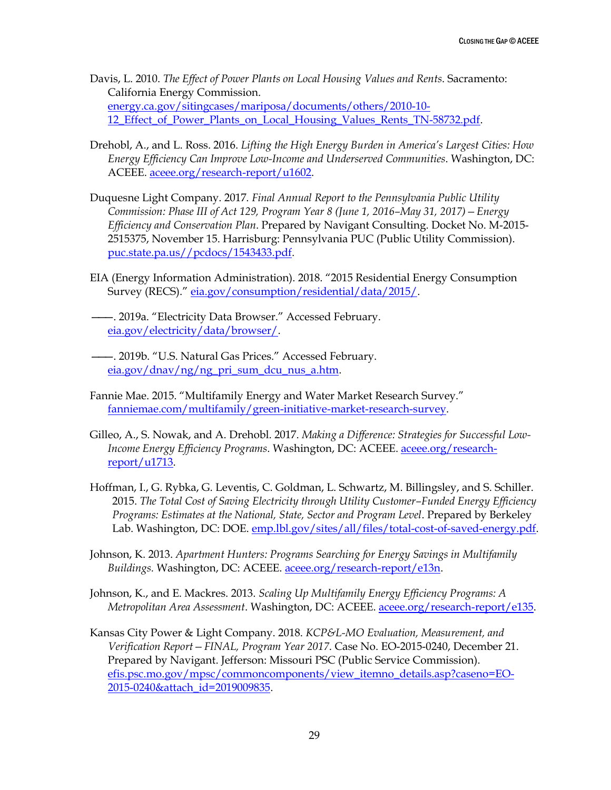- Davis, L. 2010. *The Effect of Power Plants on Local Housing Values and Rents*. Sacramento: California Energy Commission. [energy.ca.gov/sitingcases/mariposa/documents/others/2010-10-](http://www.energy.ca.gov/sitingcases/mariposa/documents/others/2010-10-12_Effect_of_Power_Plants_on_Local_Housing_Values_Rents_TN-58732.pdf) [12\\_Effect\\_of\\_Power\\_Plants\\_on\\_Local\\_Housing\\_Values\\_Rents\\_TN-58732.pdf.](http://www.energy.ca.gov/sitingcases/mariposa/documents/others/2010-10-12_Effect_of_Power_Plants_on_Local_Housing_Values_Rents_TN-58732.pdf)
- Drehobl, A., and L. Ross. 2016. *Lifting the High Energy Burden in America's Largest Cities: How Energy Efficiency Can Improve Low-Income and Underserved Communities*. Washington, DC: ACEEE. [aceee.org/research-report/u1602.](https://aceee.org/research-report/u1602)
- Duquesne Light Company. 2017. *Final Annual Report to the Pennsylvania Public Utility Commission: Phase III of Act 129, Program Year 8 (June 1, 2016–May 31, 2017)—Energy Efficiency and Conservation Plan*. Prepared by Navigant Consulting. Docket No. M-2015- 2515375, November 15. Harrisburg: Pennsylvania PUC (Public Utility Commission). [puc.state.pa.us//pcdocs/1543433.pdf.](http://www.puc.state.pa.us/pcdocs/1543433.pdf)
- EIA (Energy Information Administration). 2018. "2015 Residential Energy Consumption Survey (RECS)." [eia.gov/consumption/residential/data/2015/.](https://eia.gov/consumption/residential/data/2015/)
- ———. 2019a. "Electricity Data Browser." Accessed February. [eia.gov/electricity/data/browser/.](https://www.eia.gov/electricity/data/browser/)
- ———. 2019b. "U.S. Natural Gas Prices." Accessed February. [eia.gov/dnav/ng/ng\\_pri\\_sum\\_dcu\\_nus\\_a.htm.](https://www.eia.gov/dnav/ng/ng_pri_sum_dcu_nus_a.htm)
- Fannie Mae. 2015. "Multifamily Energy and Water Market Research Survey." [fanniemae.com/multifamily/green-initiative-market-research-survey.](https://www.fanniemae.com/multifamily/green-initiative-market-research-survey)
- Gilleo, A., S. Nowak, and A. Drehobl. 2017. *Making a Difference: Strategies for Successful Low-Income Energy Efficiency Programs*. Washington, DC: ACEEE. [aceee.org/research](https://aceee.org/research-report/u1713)[report/u1713.](https://aceee.org/research-report/u1713)
- Hoffman, I., G. Rybka, G. Leventis, C. Goldman, L. Schwartz, M. Billingsley, and S. Schiller. 2015. *The Total Cost of Saving Electricity through Utility Customer–Funded Energy Efficiency Programs: Estimates at the National, State, Sector and Program Level*. Prepared by Berkeley Lab. Washington, DC: DOE. [emp.lbl.gov/sites/all/files/total-cost-of-saved-energy.pdf.](https://emp.lbl.gov/sites/all/files/total-cost-of-saved-energy.pdf)
- Johnson, K. 2013. *Apartment Hunters: Programs Searching for Energy Savings in Multifamily Buildings.* Washington, DC: ACEEE. [aceee.org/research-report/e13n.](http://aceee.org/research-report/e13n)
- Johnson, K., and E. Mackres. 2013. *Scaling Up Multifamily Energy Efficiency Programs: A Metropolitan Area Assessment*. Washington, DC: ACEEE. [aceee.org/research-report/e135.](http://aceee.org/research-report/e135)
- Kansas City Power & Light Company. 2018. *KCP&L-MO Evaluation, Measurement, and Verification Report—FINAL, Program Year 2017*. Case No. EO-2015-0240, December 21. Prepared by Navigant. Jefferson: Missouri PSC (Public Service Commission). [efis.psc.mo.gov/mpsc/commoncomponents/view\\_itemno\\_details.asp?caseno=EO-](https://www.efis.psc.mo.gov/mpsc/commoncomponents/view_itemno_details.asp?caseno=EO-2015-0240&attach_id=2019009835)[2015-0240&attach\\_id=2019009835.](https://www.efis.psc.mo.gov/mpsc/commoncomponents/view_itemno_details.asp?caseno=EO-2015-0240&attach_id=2019009835)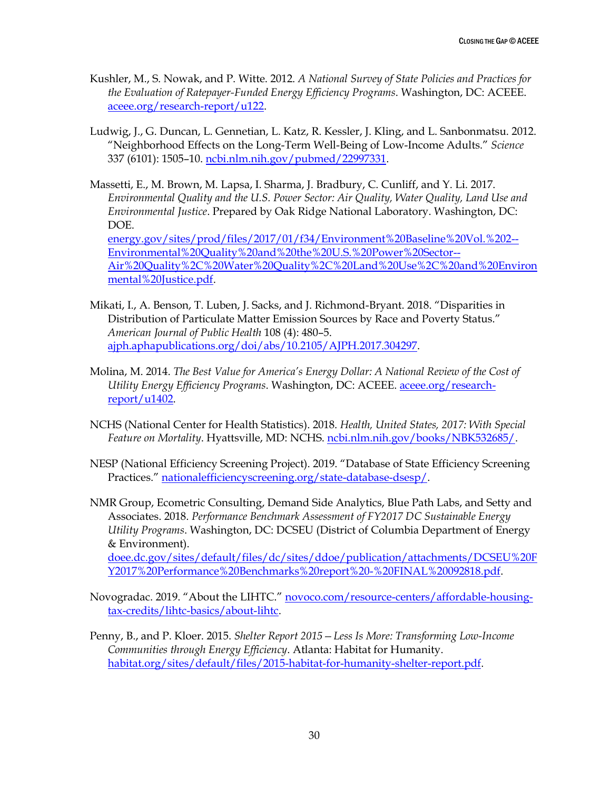- Kushler, M., S. Nowak, and P. Witte. 2012. *A National Survey of State Policies and Practices for the Evaluation of Ratepayer-Funded Energy Efficiency Programs*. Washington, DC: ACEEE. [aceee.org/research-report/u122.](https://aceee.org/research-report/u122)
- Ludwig, J., G. Duncan, L. Gennetian, L. Katz, R. Kessler, J. Kling, and L. Sanbonmatsu. 2012. "Neighborhood Effects on the Long-Term Well-Being of Low-Income Adults." *Science* 337 (6101): 1505–10. [ncbi.nlm.nih.gov/pubmed/22997331.](https://www.ncbi.nlm.nih.gov/pubmed/22997331)
- Massetti, E., M. Brown, M. Lapsa, I. Sharma, J. Bradbury, C. Cunliff, and Y. Li. 2017. *Environmental Quality and the U.S. Power Sector: Air Quality, Water Quality, Land Use and Environmental Justice*. Prepared by Oak Ridge National Laboratory. Washington, DC: DOE. [energy.gov/sites/prod/files/2017/01/f34/Environment%20Baseline%20Vol.%202--](https://www.energy.gov/sites/prod/files/2017/01/f34/Environment%20Baseline%20Vol.%202--Environmental%20Quality%20and%20the%20U.S.%20Power%20Sector--Air%20Quality%2C%20Water%20Quality%2C%20Land%20Use%2C%20and%20Environmental%20Justice.pdf) [Environmental%20Quality%20and%20the%20U.S.%20Power%20Sector--](https://www.energy.gov/sites/prod/files/2017/01/f34/Environment%20Baseline%20Vol.%202--Environmental%20Quality%20and%20the%20U.S.%20Power%20Sector--Air%20Quality%2C%20Water%20Quality%2C%20Land%20Use%2C%20and%20Environmental%20Justice.pdf) [Air%20Quality%2C%20Water%20Quality%2C%20Land%20Use%2C%20and%20Environ](https://www.energy.gov/sites/prod/files/2017/01/f34/Environment%20Baseline%20Vol.%202--Environmental%20Quality%20and%20the%20U.S.%20Power%20Sector--Air%20Quality%2C%20Water%20Quality%2C%20Land%20Use%2C%20and%20Environmental%20Justice.pdf) [mental%20Justice.pdf.](https://www.energy.gov/sites/prod/files/2017/01/f34/Environment%20Baseline%20Vol.%202--Environmental%20Quality%20and%20the%20U.S.%20Power%20Sector--Air%20Quality%2C%20Water%20Quality%2C%20Land%20Use%2C%20and%20Environmental%20Justice.pdf)
- Mikati, I., A. Benson, T. Luben, J. Sacks, and J. Richmond-Bryant. 2018. "Disparities in Distribution of Particulate Matter Emission Sources by Race and Poverty Status." *American Journal of Public Health* 108 (4): 480–5. [ajph.aphapublications.org/doi/abs/10.2105/AJPH.2017.304297.](http://ajph.aphapublications.org/doi/abs/10.2105/AJPH.2017.304297)
- Molina, M. 2014. *The Best Value for America's Energy Dollar: A National Review of the Cost of Utility Energy Efficiency Programs*. Washington, DC: ACEEE. [aceee.org/research](https://aceee.org/research-report/u1402)[report/u1402.](https://aceee.org/research-report/u1402)
- NCHS (National Center for Health Statistics). 2018. *Health, United States, 2017: With Special Feature on Mortality*. Hyattsville, MD: NCHS. [ncbi.nlm.nih.gov/books/NBK532685/.](https://www.ncbi.nlm.nih.gov/books/NBK532685/)
- NESP (National Efficiency Screening Project). 2019. "Database of State Efficiency Screening Practices." [nationalefficiencyscreening.org/state-database-dsesp/.](https://nationalefficiencyscreening.org/state-database-dsesp/)
- NMR Group, Ecometric Consulting, Demand Side Analytics, Blue Path Labs, and Setty and Associates. 2018. *Performance Benchmark Assessment of FY2017 DC Sustainable Energy Utility Programs*. Washington, DC: DCSEU (District of Columbia Department of Energy & Environment). [doee.dc.gov/sites/default/files/dc/sites/ddoe/publication/attachments/DCSEU%20F](https://doee.dc.gov/sites/default/files/dc/sites/ddoe/publication/attachments/DCSEU%20FY2017%20Performance%20Benchmarks%20report%20-%20FINAL%20092818.pdf)

[Y2017%20Performance%20Benchmarks%20report%20-%20FINAL%20092818.pdf.](https://doee.dc.gov/sites/default/files/dc/sites/ddoe/publication/attachments/DCSEU%20FY2017%20Performance%20Benchmarks%20report%20-%20FINAL%20092818.pdf)

- Novogradac. 2019. "About the LIHTC." [novoco.com/resource-centers/affordable-housing](https://www.novoco.com/resource-centers/affordable-housing-tax-credits/lihtc-basics/about-lihtc)[tax-credits/lihtc-basics/about-lihtc.](https://www.novoco.com/resource-centers/affordable-housing-tax-credits/lihtc-basics/about-lihtc)
- Penny, B., and P. Kloer. 2015. *Shelter Report 2015—Less Is More: Transforming Low-Income Communities through Energy Efficiency*. Atlanta: Habitat for Humanity. [habitat.org/sites/default/files/2015-habitat-for-humanity-shelter-report.pdf.](https://www.habitat.org/sites/default/files/2015-habitat-for-humanity-shelter-report.pdf)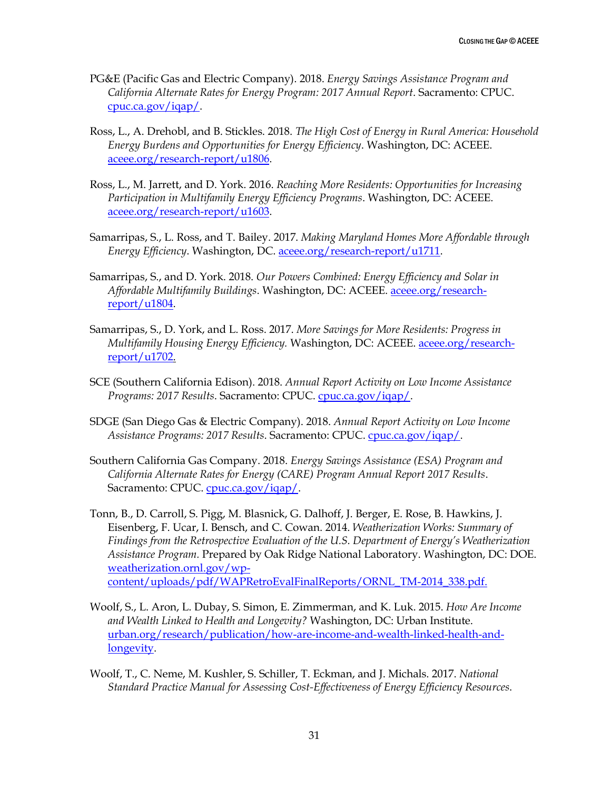- PG&E (Pacific Gas and Electric Company). 2018. *Energy Savings Assistance Program and California Alternate Rates for Energy Program: 2017 Annual Report*. Sacramento: CPUC. [cpuc.ca.gov/iqap/.](http://www.cpuc.ca.gov/iqap/)
- Ross, L., A. Drehobl, and B. Stickles. 2018. *The High Cost of Energy in Rural America: Household Energy Burdens and Opportunities for Energy Efficiency*. Washington, DC: ACEEE. [aceee.org/research-report/u1806.](https://aceee.org/research-report/u1806)
- Ross, L., M. Jarrett, and D. York. 2016. *Reaching More Residents: Opportunities for Increasing Participation in Multifamily Energy Efficiency Programs*. Washington, DC: ACEEE. [aceee.org/research-report/u1603.](https://aceee.org/research-report/u1603)
- Samarripas, S., L. Ross, and T. Bailey. 2017. *Making Maryland Homes More Affordable through Energy Efficiency*. Washington, DC. [aceee.org/research-report/u1711.](https://aceee.org/research-report/u1711)
- Samarripas, S., and D. York. 2018. *Our Powers Combined: Energy Efficiency and Solar in Affordable Multifamily Buildings*. Washington, DC: ACEEE. [aceee.org/research](https://aceee.org/research-report/u1804)[report/u1804.](https://aceee.org/research-report/u1804)
- Samarripas, S., D. York, and L. Ross. 2017. *More Savings for More Residents: Progress in Multifamily Housing Energy Efficiency.* Washington, DC: ACEEE. [aceee.org/research](https://aceee.org/research-report/u1702)[report/u1702.](https://aceee.org/research-report/u1702)
- SCE (Southern California Edison). 2018. *Annual Report Activity on Low Income Assistance Programs: 2017 Results*. Sacramento: CPUC. [cpuc.ca.gov/iqap/.](http://www.cpuc.ca.gov/iqap/)
- SDGE (San Diego Gas & Electric Company). 2018. *Annual Report Activity on Low Income Assistance Programs: 2017 Results*. Sacramento: CPUC. [cpuc.ca.gov/iqap/.](http://www.cpuc.ca.gov/iqap/)
- Southern California Gas Company. 2018. *Energy Savings Assistance (ESA) Program and California Alternate Rates for Energy (CARE) Program Annual Report 2017 Results*. Sacramento: CPUC. [cpuc.ca.gov/iqap/.](http://www.cpuc.ca.gov/iqap/)
- Tonn, B., D. Carroll, S. Pigg, M. Blasnick, G. Dalhoff, J. Berger, E. Rose, B. Hawkins, J. Eisenberg, F. Ucar, I. Bensch, and C. Cowan. 2014. *Weatherization Works: Summary of Findings from the Retrospective Evaluation of the U.S. Department of Energy's Weatherization Assistance Program.* Prepared by Oak Ridge National Laboratory. Washington, DC: DOE. [weatherization.ornl.gov/wp](https://weatherization.ornl.gov/wp-content/uploads/pdf/WAPRetroEvalFinalReports/ORNL_TM-2014_338.pdf)[content/uploads/pdf/WAPRetroEvalFinalReports/ORNL\\_TM-2014\\_338.pdf.](https://weatherization.ornl.gov/wp-content/uploads/pdf/WAPRetroEvalFinalReports/ORNL_TM-2014_338.pdf)
- Woolf, S., L. Aron, L. Dubay, S. Simon, E. Zimmerman, and K. Luk. 2015. *How Are Income and Wealth Linked to Health and Longevity?* Washington, DC: Urban Institute. [urban.org/research/publication/how-are-income-and-wealth-linked-health-and](https://www.urban.org/research/publication/how-are-income-and-wealth-linked-health-and-longevity)[longevity.](https://www.urban.org/research/publication/how-are-income-and-wealth-linked-health-and-longevity)
- Woolf, T., C. Neme, M. Kushler, S. Schiller, T. Eckman, and J. Michals. 2017. *National Standard Practice Manual for Assessing Cost-Effectiveness of Energy Efficiency Resources*.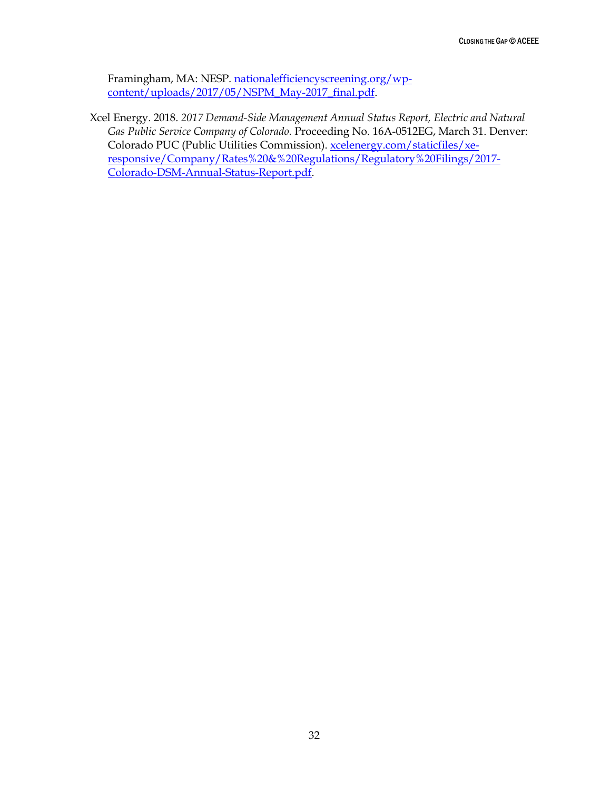Framingham, MA: NESP. [nationalefficiencyscreening.org/wp](https://nationalefficiencyscreening.org/wp-content/uploads/2017/05/NSPM_May-2017_final.pdf)[content/uploads/2017/05/NSPM\\_May-2017\\_final.pdf.](https://nationalefficiencyscreening.org/wp-content/uploads/2017/05/NSPM_May-2017_final.pdf)

Xcel Energy. 2018. *2017 Demand-Side Management Annual Status Report, Electric and Natural Gas Public Service Company of Colorado.* Proceeding No. 16A-0512EG, March 31. Denver: Colorado PUC (Public Utilities Commission). [xcelenergy.com/staticfiles/xe](https://www.xcelenergy.com/staticfiles/xe-responsive/Company/Rates%20&%20Regulations/Regulatory%20Filings/2017-Colorado-DSM-Annual-Status-Report.pdf)[responsive/Company/Rates%20&%20Regulations/Regulatory%20Filings/2017-](https://www.xcelenergy.com/staticfiles/xe-responsive/Company/Rates%20&%20Regulations/Regulatory%20Filings/2017-Colorado-DSM-Annual-Status-Report.pdf) [Colorado-DSM-Annual-Status-Report.pdf.](https://www.xcelenergy.com/staticfiles/xe-responsive/Company/Rates%20&%20Regulations/Regulatory%20Filings/2017-Colorado-DSM-Annual-Status-Report.pdf)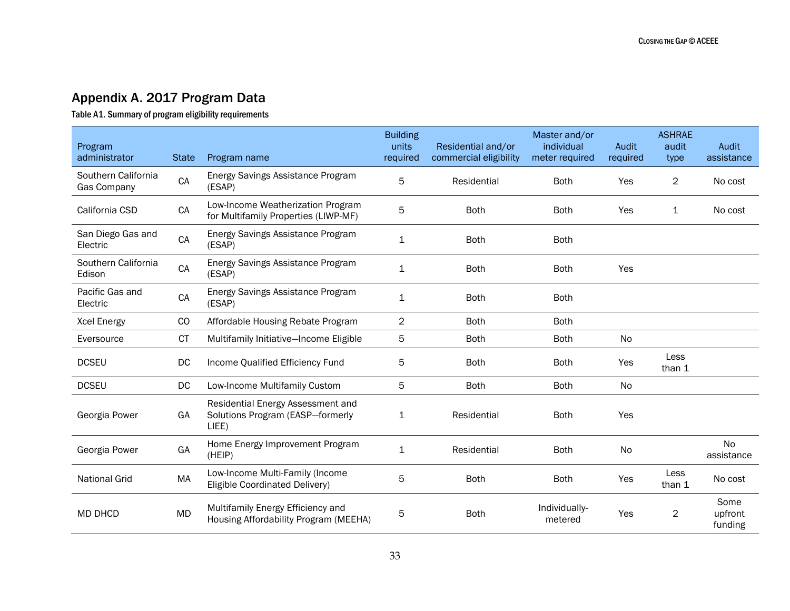# Appendix A. 2017 Program Data

Table A1. Summary of program eligibility requirements

<span id="page-38-0"></span>

| Program<br>administrator           | <b>State</b> | Program name                                                                   | <b>Building</b><br>units<br>required | Residential and/or<br>commercial eligibility | Master and/or<br>individual<br>meter required | Audit<br>required | <b>ASHRAE</b><br>audit<br>type | Audit<br>assistance        |
|------------------------------------|--------------|--------------------------------------------------------------------------------|--------------------------------------|----------------------------------------------|-----------------------------------------------|-------------------|--------------------------------|----------------------------|
| Southern California<br>Gas Company | CA           | Energy Savings Assistance Program<br>(ESAP)                                    | 5                                    | Residential                                  | <b>Both</b>                                   | Yes               | $\overline{2}$                 | No cost                    |
| California CSD                     | CA           | Low-Income Weatherization Program<br>for Multifamily Properties (LIWP-MF)      | 5                                    | <b>Both</b>                                  | <b>Both</b>                                   | Yes               | 1                              | No cost                    |
| San Diego Gas and<br>Electric      | CA           | Energy Savings Assistance Program<br>(ESAP)                                    | $\mathbf{1}$                         | <b>Both</b>                                  | <b>Both</b>                                   |                   |                                |                            |
| Southern California<br>Edison      | CA           | Energy Savings Assistance Program<br>(ESAP)                                    | 1                                    | <b>Both</b>                                  | <b>Both</b>                                   | Yes               |                                |                            |
| Pacific Gas and<br>Electric        | CA           | Energy Savings Assistance Program<br>(ESAP)                                    | 1                                    | <b>Both</b>                                  | <b>Both</b>                                   |                   |                                |                            |
| Xcel Energy                        | CO           | Affordable Housing Rebate Program                                              | $\overline{c}$                       | <b>Both</b>                                  | <b>Both</b>                                   |                   |                                |                            |
| Eversource                         | СT           | Multifamily Initiative-Income Eligible                                         | 5                                    | <b>Both</b>                                  | <b>Both</b>                                   | No                |                                |                            |
| <b>DCSEU</b>                       | DC           | Income Qualified Efficiency Fund                                               | 5                                    | <b>Both</b>                                  | <b>Both</b>                                   | Yes               | Less<br>than 1                 |                            |
| <b>DCSEU</b>                       | DC           | Low-Income Multifamily Custom                                                  | 5                                    | <b>Both</b>                                  | <b>Both</b>                                   | No                |                                |                            |
| Georgia Power                      | GA           | Residential Energy Assessment and<br>Solutions Program (EASP-formerly<br>LIEE) | 1                                    | Residential                                  | <b>Both</b>                                   | Yes               |                                |                            |
| Georgia Power                      | GA           | Home Energy Improvement Program<br>(HEIP)                                      | 1                                    | Residential                                  | <b>Both</b>                                   | No                |                                | <b>No</b><br>assistance    |
| <b>National Grid</b>               | MA           | Low-Income Multi-Family (Income<br>Eligible Coordinated Delivery)              | 5                                    | <b>Both</b>                                  | <b>Both</b>                                   | Yes               | Less<br>than 1                 | No cost                    |
| <b>MD DHCD</b>                     | <b>MD</b>    | Multifamily Energy Efficiency and<br>Housing Affordability Program (MEEHA)     | 5                                    | <b>Both</b>                                  | Individually-<br>metered                      | Yes               | $\overline{2}$                 | Some<br>upfront<br>funding |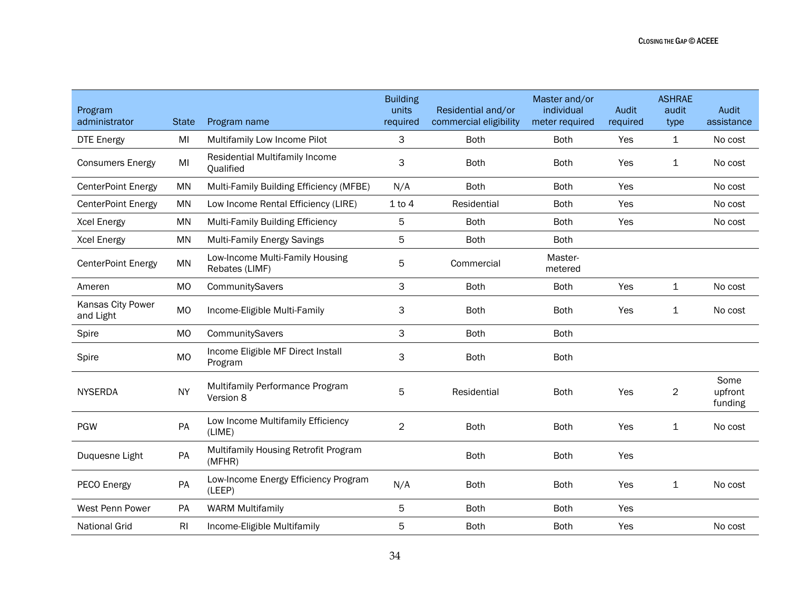| Program<br>administrator       | <b>State</b>   | Program name                                      | <b>Building</b><br>units<br>required | Residential and/or<br>commercial eligibility | Master and/or<br>individual<br>meter required | Audit<br>required | <b>ASHRAE</b><br>audit<br>type | Audit<br>assistance        |
|--------------------------------|----------------|---------------------------------------------------|--------------------------------------|----------------------------------------------|-----------------------------------------------|-------------------|--------------------------------|----------------------------|
| <b>DTE Energy</b>              | MI             | Multifamily Low Income Pilot                      | 3                                    | <b>Both</b>                                  | <b>Both</b>                                   | Yes               | $\mathbf 1$                    | No cost                    |
| <b>Consumers Energy</b>        | MI             | Residential Multifamily Income<br>Qualified       | 3                                    | <b>Both</b>                                  | <b>Both</b>                                   | Yes               | 1                              | No cost                    |
| <b>CenterPoint Energy</b>      | <b>MN</b>      | Multi-Family Building Efficiency (MFBE)           | N/A                                  | <b>Both</b>                                  | Both                                          | Yes               |                                | No cost                    |
| <b>CenterPoint Energy</b>      | <b>MN</b>      | Low Income Rental Efficiency (LIRE)               | $1$ to $4$                           | Residential                                  | <b>Both</b>                                   | Yes               |                                | No cost                    |
| <b>Xcel Energy</b>             | <b>MN</b>      | <b>Multi-Family Building Efficiency</b>           | 5                                    | <b>Both</b>                                  | <b>Both</b>                                   | Yes               |                                | No cost                    |
| <b>Xcel Energy</b>             | <b>MN</b>      | <b>Multi-Family Energy Savings</b>                | 5                                    | <b>Both</b>                                  | <b>Both</b>                                   |                   |                                |                            |
| CenterPoint Energy             | <b>MN</b>      | Low-Income Multi-Family Housing<br>Rebates (LIMF) | 5                                    | Commercial                                   | Master-<br>metered                            |                   |                                |                            |
| Ameren                         | <b>MO</b>      | CommunitySavers                                   | 3                                    | <b>Both</b>                                  | <b>Both</b>                                   | Yes               | $\mathbf 1$                    | No cost                    |
| Kansas City Power<br>and Light | <b>MO</b>      | Income-Eligible Multi-Family                      | 3                                    | <b>Both</b>                                  | <b>Both</b>                                   | Yes               | $\mathbf{1}$                   | No cost                    |
| Spire                          | <b>MO</b>      | CommunitySavers                                   | 3                                    | <b>Both</b>                                  | <b>Both</b>                                   |                   |                                |                            |
| Spire                          | <b>MO</b>      | Income Eligible MF Direct Install<br>Program      | 3                                    | <b>Both</b>                                  | <b>Both</b>                                   |                   |                                |                            |
| <b>NYSERDA</b>                 | <b>NY</b>      | Multifamily Performance Program<br>Version 8      | 5                                    | Residential                                  | <b>Both</b>                                   | Yes               | $\overline{c}$                 | Some<br>upfront<br>funding |
| <b>PGW</b>                     | PA             | Low Income Multifamily Efficiency<br>(LIME)       | $\overline{2}$                       | <b>Both</b>                                  | <b>Both</b>                                   | Yes               | 1                              | No cost                    |
| Duquesne Light                 | PA             | Multifamily Housing Retrofit Program<br>(MFHR)    |                                      | <b>Both</b>                                  | <b>Both</b>                                   | Yes               |                                |                            |
| PECO Energy                    | PA             | Low-Income Energy Efficiency Program<br>(LEEP)    | N/A                                  | <b>Both</b>                                  | <b>Both</b>                                   | Yes               | $\mathbf{1}$                   | No cost                    |
| West Penn Power                | PA             | <b>WARM Multifamily</b>                           | 5                                    | <b>Both</b>                                  | <b>Both</b>                                   | Yes               |                                |                            |
| <b>National Grid</b>           | R <sub>l</sub> | Income-Eligible Multifamily                       | 5                                    | <b>Both</b>                                  | <b>Both</b>                                   | Yes               |                                | No cost                    |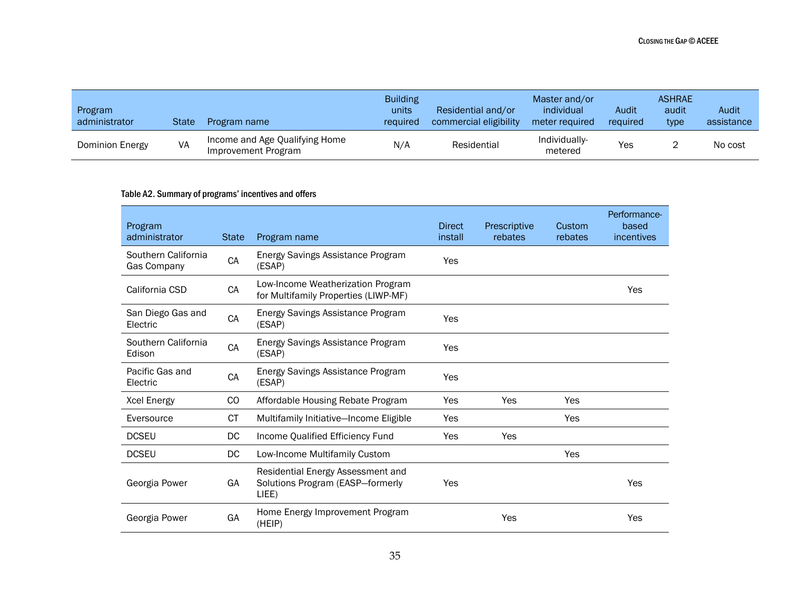| Program<br>administrator | <b>State</b> | Program name                                          | <b>Building</b><br>units<br>required | Residential and/or<br>commercial eligibility | Master and/or<br>individual<br>meter required | Audit<br>required | <b>ASHRAE</b><br>audit<br>type | Audit<br>assistance |
|--------------------------|--------------|-------------------------------------------------------|--------------------------------------|----------------------------------------------|-----------------------------------------------|-------------------|--------------------------------|---------------------|
| Dominion Energy          | VA           | Income and Age Qualifying Home<br>Improvement Program | N/A                                  | Residential                                  | Individually-<br>metered                      | Yes               |                                | No cost             |

#### Table A2. Summary of programs' incentives and offers

| Program<br>administrator           | <b>State</b> | Program name                                                                   | <b>Direct</b><br>install | Prescriptive<br>rebates | Custom<br>rebates | Performance-<br>based<br>incentives |
|------------------------------------|--------------|--------------------------------------------------------------------------------|--------------------------|-------------------------|-------------------|-------------------------------------|
| Southern California<br>Gas Company | CA           | Energy Savings Assistance Program<br>(ESAP)                                    | Yes                      |                         |                   |                                     |
| California CSD                     | CA           | Low-Income Weatherization Program<br>for Multifamily Properties (LIWP-MF)      |                          |                         |                   | Yes                                 |
| San Diego Gas and<br>Electric      | CA           | Energy Savings Assistance Program<br>(ESAP)                                    | Yes                      |                         |                   |                                     |
| Southern California<br>Edison      | CA           | Energy Savings Assistance Program<br>(ESAP)                                    | Yes                      |                         |                   |                                     |
| Pacific Gas and<br>Electric        | CA           | Energy Savings Assistance Program<br>(ESAP)                                    | Yes                      |                         |                   |                                     |
| Xcel Energy                        | CO           | Affordable Housing Rebate Program                                              | Yes                      | Yes                     | Yes               |                                     |
| Eversource                         | CT.          | Multifamily Initiative-Income Eligible                                         | Yes                      |                         | Yes               |                                     |
| <b>DCSEU</b>                       | DC           | Income Qualified Efficiency Fund                                               | <b>Yes</b>               | Yes                     |                   |                                     |
| <b>DCSEU</b>                       | DC           | Low-Income Multifamily Custom                                                  |                          |                         | Yes               |                                     |
| Georgia Power                      | GA           | Residential Energy Assessment and<br>Solutions Program (EASP-formerly<br>LIEE) | Yes                      |                         |                   | Yes                                 |
| Georgia Power                      | GA           | Home Energy Improvement Program<br>(HEIP)                                      |                          | Yes                     |                   | Yes                                 |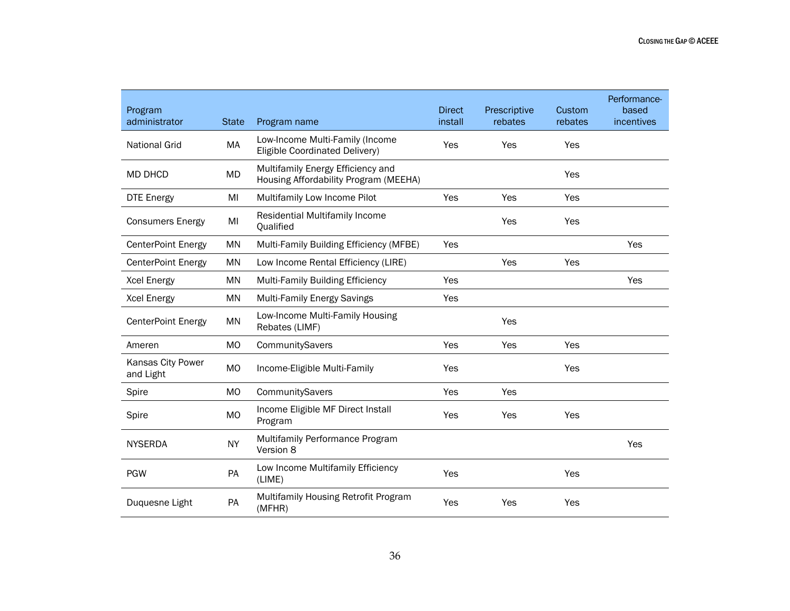| Program<br>administrator       | <b>State</b>   | Program name                                                               | <b>Direct</b><br>install | Prescriptive<br>rebates | Custom<br>rebates | Performance-<br>based<br>incentives |
|--------------------------------|----------------|----------------------------------------------------------------------------|--------------------------|-------------------------|-------------------|-------------------------------------|
| <b>National Grid</b>           | МA             | Low-Income Multi-Family (Income<br>Eligible Coordinated Delivery)          | Yes                      | Yes                     | Yes               |                                     |
| <b>MD DHCD</b>                 | MD             | Multifamily Energy Efficiency and<br>Housing Affordability Program (MEEHA) |                          |                         | Yes               |                                     |
| <b>DTE Energy</b>              | MI             | Multifamily Low Income Pilot                                               | Yes                      | Yes                     | Yes               |                                     |
| <b>Consumers Energy</b>        | MI             | Residential Multifamily Income<br>Qualified                                |                          | Yes                     | Yes               |                                     |
| <b>CenterPoint Energy</b>      | <b>MN</b>      | Multi-Family Building Efficiency (MFBE)                                    | Yes                      |                         |                   | Yes                                 |
| CenterPoint Energy             | <b>MN</b>      | Low Income Rental Efficiency (LIRE)                                        |                          | Yes                     | Yes               |                                     |
| <b>Xcel Energy</b>             | <b>MN</b>      | Multi-Family Building Efficiency                                           | Yes                      |                         |                   | Yes                                 |
| <b>Xcel Energy</b>             | <b>MN</b>      | <b>Multi-Family Energy Savings</b>                                         | Yes                      |                         |                   |                                     |
| <b>CenterPoint Energy</b>      | <b>MN</b>      | Low-Income Multi-Family Housing<br>Rebates (LIMF)                          |                          | Yes                     |                   |                                     |
| Ameren                         | M <sub>O</sub> | CommunitySavers                                                            | Yes                      | Yes                     | Yes               |                                     |
| Kansas City Power<br>and Light | M <sub>O</sub> | Income-Eligible Multi-Family                                               | Yes                      |                         | Yes               |                                     |
| Spire                          | M <sub>O</sub> | CommunitySavers                                                            | Yes                      | Yes                     |                   |                                     |
| Spire                          | <b>MO</b>      | Income Eligible MF Direct Install<br>Program                               | Yes                      | Yes                     | Yes               |                                     |
| <b>NYSERDA</b>                 | <b>NY</b>      | Multifamily Performance Program<br>Version 8                               |                          |                         |                   | Yes                                 |
| <b>PGW</b>                     | PA             | Low Income Multifamily Efficiency<br>(LIME)                                | Yes                      |                         | Yes               |                                     |
| Duquesne Light                 | <b>PA</b>      | Multifamily Housing Retrofit Program<br>(MFHR)                             | Yes                      | Yes                     | Yes               |                                     |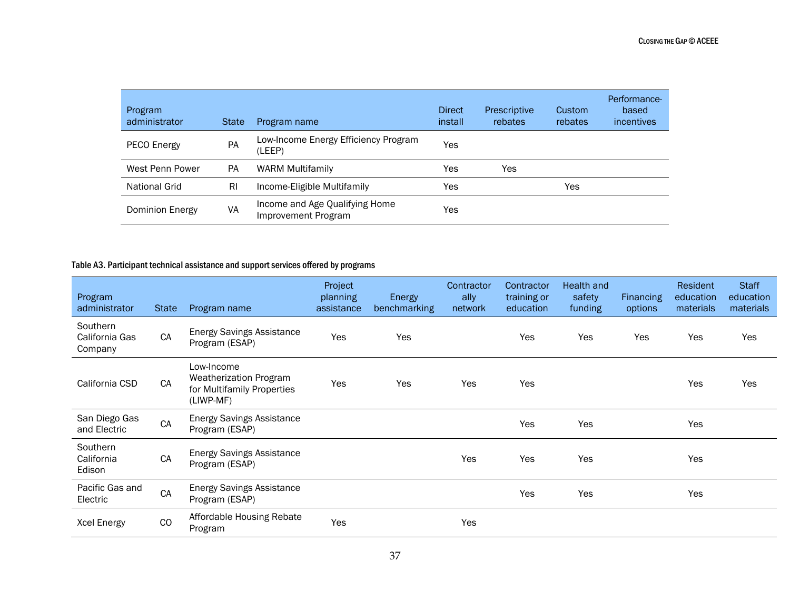| Program<br>administrator | <b>State</b> | Program name                                          | <b>Direct</b><br>install | Prescriptive<br>rebates | Custom<br>rebates | Performance-<br>based<br>incentives |
|--------------------------|--------------|-------------------------------------------------------|--------------------------|-------------------------|-------------------|-------------------------------------|
| PECO Energy              | PA           | Low-Income Energy Efficiency Program<br>(LEEP)        | Yes                      |                         |                   |                                     |
| West Penn Power          | <b>PA</b>    | <b>WARM Multifamily</b>                               | Yes                      | Yes                     |                   |                                     |
| National Grid            | RI           | Income-Eligible Multifamily                           | Yes                      |                         | Yes               |                                     |
| Dominion Energy          | VA           | Income and Age Qualifying Home<br>Improvement Program | Yes                      |                         |                   |                                     |

#### Table A3. Participant technical assistance and support services offered by programs

| <b>Program</b><br>administrator       | <b>State</b> | Program name                                                                    | Project<br>planning<br>assistance | <b>Energy</b><br>benchmarking | Contractor<br>ally<br>network | Contractor<br>training or<br>education | Health and<br>safety<br>funding | <b>Financing</b><br>options | Resident<br>education<br>materials | <b>Staff</b><br>education<br>materials |
|---------------------------------------|--------------|---------------------------------------------------------------------------------|-----------------------------------|-------------------------------|-------------------------------|----------------------------------------|---------------------------------|-----------------------------|------------------------------------|----------------------------------------|
| Southern<br>California Gas<br>Company | CA           | <b>Energy Savings Assistance</b><br>Program (ESAP)                              | Yes                               | Yes                           |                               | Yes                                    | Yes                             | Yes                         | Yes                                | Yes                                    |
| California CSD                        | CA           | Low-Income<br>Weatherization Program<br>for Multifamily Properties<br>(LIWP-MF) | Yes                               | <b>Yes</b>                    | Yes                           | Yes                                    |                                 |                             | Yes                                | Yes                                    |
| San Diego Gas<br>and Electric         | CA           | <b>Energy Savings Assistance</b><br>Program (ESAP)                              |                                   |                               |                               | Yes                                    | Yes                             |                             | Yes                                |                                        |
| Southern<br>California<br>Edison      | CA           | <b>Energy Savings Assistance</b><br>Program (ESAP)                              |                                   |                               | Yes                           | Yes                                    | Yes                             |                             | Yes                                |                                        |
| Pacific Gas and<br>Electric           | CA           | <b>Energy Savings Assistance</b><br>Program (ESAP)                              |                                   |                               |                               | Yes                                    | Yes                             |                             | Yes                                |                                        |
| <b>Xcel Energy</b>                    | CO           | Affordable Housing Rebate<br>Program                                            | Yes                               |                               | Yes                           |                                        |                                 |                             |                                    |                                        |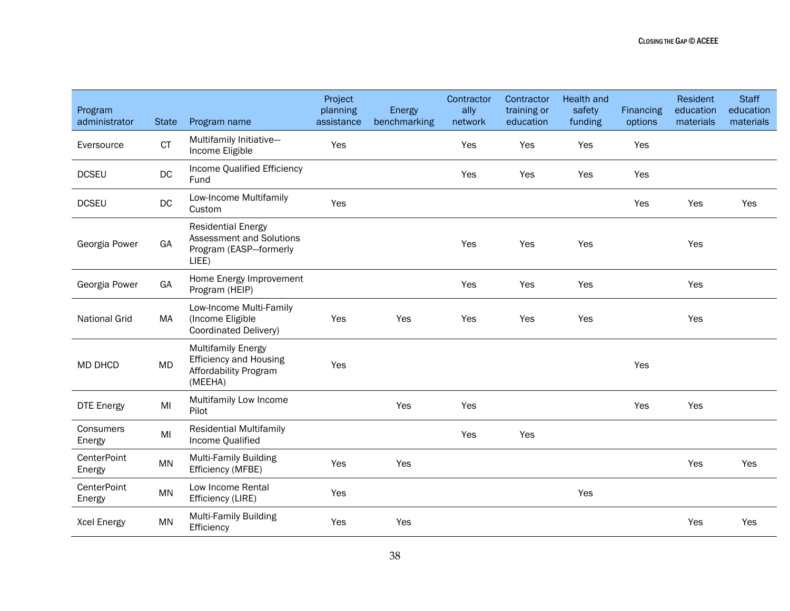| Program<br>administrator | <b>State</b> | Program name                                                                                   | Project<br>planning<br>assistance | Energy<br>benchmarking | Contractor<br>ally<br>network | Contractor<br>training or<br>education | <b>Health and</b><br>safety<br>funding | <b>Financing</b><br>options | Resident<br>education<br>materials | <b>Staff</b><br>education<br>materials |
|--------------------------|--------------|------------------------------------------------------------------------------------------------|-----------------------------------|------------------------|-------------------------------|----------------------------------------|----------------------------------------|-----------------------------|------------------------------------|----------------------------------------|
| Eversource               | CT           | Multifamily Initiative-<br>Income Eligible                                                     | Yes                               |                        | Yes                           | Yes                                    | Yes                                    | Yes                         |                                    |                                        |
| <b>DCSEU</b>             | DC           | Income Qualified Efficiency<br>Fund                                                            |                                   |                        | Yes                           | Yes                                    | Yes                                    | Yes                         |                                    |                                        |
| <b>DCSEU</b>             | DC           | Low-Income Multifamily<br>Custom                                                               | Yes                               |                        |                               |                                        |                                        | Yes                         | Yes                                | Yes                                    |
| Georgia Power            | GA           | <b>Residential Energy</b><br>Assessment and Solutions<br>Program (EASP-formerly<br>LIEE)       |                                   |                        | Yes                           | Yes                                    | Yes                                    |                             | Yes                                |                                        |
| Georgia Power            | GA           | Home Energy Improvement<br>Program (HEIP)                                                      |                                   |                        | Yes                           | Yes                                    | Yes                                    |                             | Yes                                |                                        |
| <b>National Grid</b>     | MA           | Low-Income Multi-Family<br>(Income Eligible<br>Coordinated Delivery)                           | Yes                               | Yes                    | Yes                           | Yes                                    | Yes                                    |                             | Yes                                |                                        |
| MD DHCD                  | MD           | <b>Multifamily Energy</b><br><b>Efficiency and Housing</b><br>Affordability Program<br>(MEEHA) | Yes                               |                        |                               |                                        |                                        | Yes                         |                                    |                                        |
| <b>DTE Energy</b>        | MI           | Multifamily Low Income<br>Pilot                                                                |                                   | Yes                    | Yes                           |                                        |                                        | Yes                         | Yes                                |                                        |
| Consumers<br>Energy      | MI           | <b>Residential Multifamily</b><br>Income Qualified                                             |                                   |                        | Yes                           | Yes                                    |                                        |                             |                                    |                                        |
| CenterPoint<br>Energy    | MN           | <b>Multi-Family Building</b><br>Efficiency (MFBE)                                              | Yes                               | Yes                    |                               |                                        |                                        |                             | Yes                                | Yes                                    |
| CenterPoint<br>Energy    | <b>MN</b>    | Low Income Rental<br>Efficiency (LIRE)                                                         | Yes                               |                        |                               |                                        | Yes                                    |                             |                                    |                                        |
| <b>Xcel Energy</b>       | <b>MN</b>    | <b>Multi-Family Building</b><br>Efficiency                                                     | Yes                               | Yes                    |                               |                                        |                                        |                             | Yes                                | Yes                                    |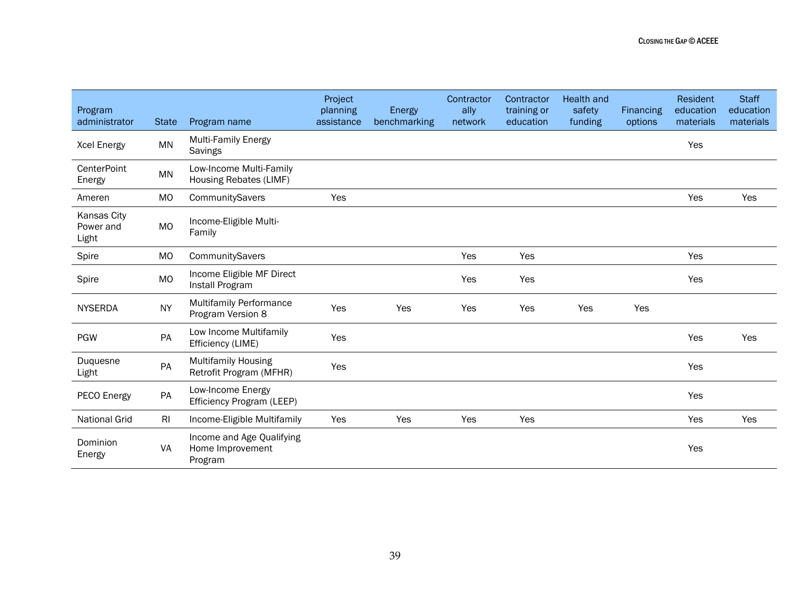| Program<br>administrator          | <b>State</b>   | Program name                                             | Project<br>planning<br>assistance | Energy<br>benchmarking | Contractor<br>ally<br>network | Contractor<br>training or<br>education | <b>Health and</b><br>safety<br>funding | Financing<br>options | Resident<br>education<br>materials | <b>Staff</b><br>education<br>materials |
|-----------------------------------|----------------|----------------------------------------------------------|-----------------------------------|------------------------|-------------------------------|----------------------------------------|----------------------------------------|----------------------|------------------------------------|----------------------------------------|
| <b>Xcel Energy</b>                | <b>MN</b>      | <b>Multi-Family Energy</b><br>Savings                    |                                   |                        |                               |                                        |                                        |                      | Yes                                |                                        |
| <b>CenterPoint</b><br>Energy      | <b>MN</b>      | Low-Income Multi-Family<br>Housing Rebates (LIMF)        |                                   |                        |                               |                                        |                                        |                      |                                    |                                        |
| Ameren                            | <b>MO</b>      | CommunitySavers                                          | Yes                               |                        |                               |                                        |                                        |                      | Yes                                | Yes                                    |
| Kansas City<br>Power and<br>Light | MO             | Income-Eligible Multi-<br>Family                         |                                   |                        |                               |                                        |                                        |                      |                                    |                                        |
| Spire                             | <b>MO</b>      | CommunitySavers                                          |                                   |                        | Yes                           | Yes                                    |                                        |                      | Yes                                |                                        |
| Spire                             | <b>MO</b>      | Income Eligible MF Direct<br>Install Program             |                                   |                        | Yes                           | Yes                                    |                                        |                      | Yes                                |                                        |
| <b>NYSERDA</b>                    | <b>NY</b>      | <b>Multifamily Performance</b><br>Program Version 8      | Yes                               | Yes                    | Yes                           | Yes                                    | Yes                                    | Yes                  |                                    |                                        |
| <b>PGW</b>                        | PA             | Low Income Multifamily<br>Efficiency (LIME)              | Yes                               |                        |                               |                                        |                                        |                      | Yes                                | Yes                                    |
| Duquesne<br>Light                 | PA             | <b>Multifamily Housing</b><br>Retrofit Program (MFHR)    | Yes                               |                        |                               |                                        |                                        |                      | Yes                                |                                        |
| PECO Energy                       | PA             | Low-Income Energy<br>Efficiency Program (LEEP)           |                                   |                        |                               |                                        |                                        |                      | Yes                                |                                        |
| <b>National Grid</b>              | R <sub>l</sub> | Income-Eligible Multifamily                              | Yes                               | Yes                    | Yes                           | Yes                                    |                                        |                      | Yes                                | Yes                                    |
| Dominion<br>Energy                | VA             | Income and Age Qualifying<br>Home Improvement<br>Program |                                   |                        |                               |                                        |                                        |                      | Yes                                |                                        |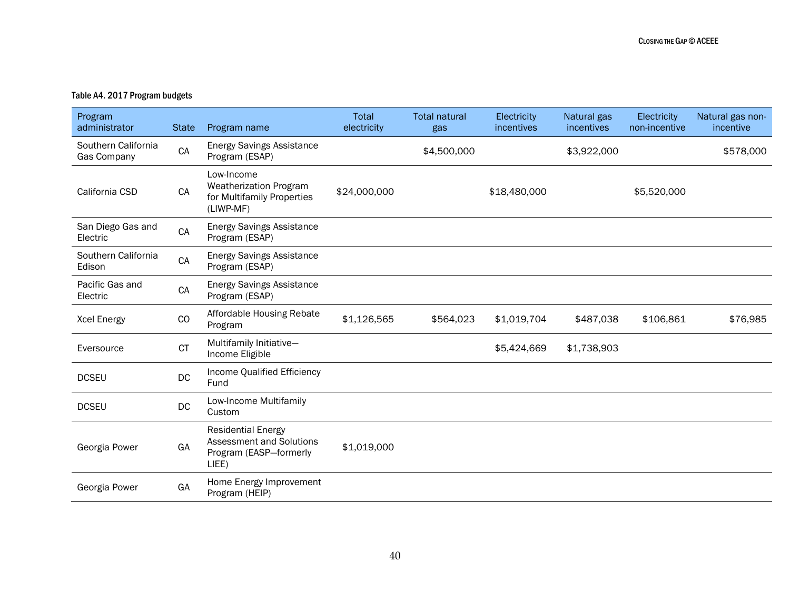#### Table A4. 2017 Program budgets

| Program<br>administrator           | <b>State</b> | Program name                                                                             | Total<br>electricity | <b>Total natural</b><br>gas | Electricity<br>incentives | Natural gas<br>incentives | Electricity<br>non-incentive | Natural gas non-<br>incentive |
|------------------------------------|--------------|------------------------------------------------------------------------------------------|----------------------|-----------------------------|---------------------------|---------------------------|------------------------------|-------------------------------|
| Southern California<br>Gas Company | CA           | <b>Energy Savings Assistance</b><br>Program (ESAP)                                       |                      | \$4,500,000                 |                           | \$3,922,000               |                              | \$578,000                     |
| California CSD                     | CA           | Low-Income<br>Weatherization Program<br>for Multifamily Properties<br>(LIWP-MF)          | \$24,000,000         |                             | \$18,480,000              |                           | \$5,520,000                  |                               |
| San Diego Gas and<br>Electric      | ${\sf CA}$   | <b>Energy Savings Assistance</b><br>Program (ESAP)                                       |                      |                             |                           |                           |                              |                               |
| Southern California<br>Edison      | CA           | <b>Energy Savings Assistance</b><br>Program (ESAP)                                       |                      |                             |                           |                           |                              |                               |
| Pacific Gas and<br>Electric        | CA           | <b>Energy Savings Assistance</b><br>Program (ESAP)                                       |                      |                             |                           |                           |                              |                               |
| <b>Xcel Energy</b>                 | CO           | Affordable Housing Rebate<br>Program                                                     | \$1,126,565          | \$564,023                   | \$1,019,704               | \$487,038                 | \$106,861                    | \$76,985                      |
| Eversource                         | <b>CT</b>    | Multifamily Initiative-<br>Income Eligible                                               |                      |                             | \$5,424,669               | \$1,738,903               |                              |                               |
| <b>DCSEU</b>                       | DC           | Income Qualified Efficiency<br>Fund                                                      |                      |                             |                           |                           |                              |                               |
| <b>DCSEU</b>                       | DC           | Low-Income Multifamily<br>Custom                                                         |                      |                             |                           |                           |                              |                               |
| Georgia Power                      | GA           | <b>Residential Energy</b><br>Assessment and Solutions<br>Program (EASP-formerly<br>LIEE) | \$1,019,000          |                             |                           |                           |                              |                               |
| Georgia Power                      | GA           | Home Energy Improvement<br>Program (HEIP)                                                |                      |                             |                           |                           |                              |                               |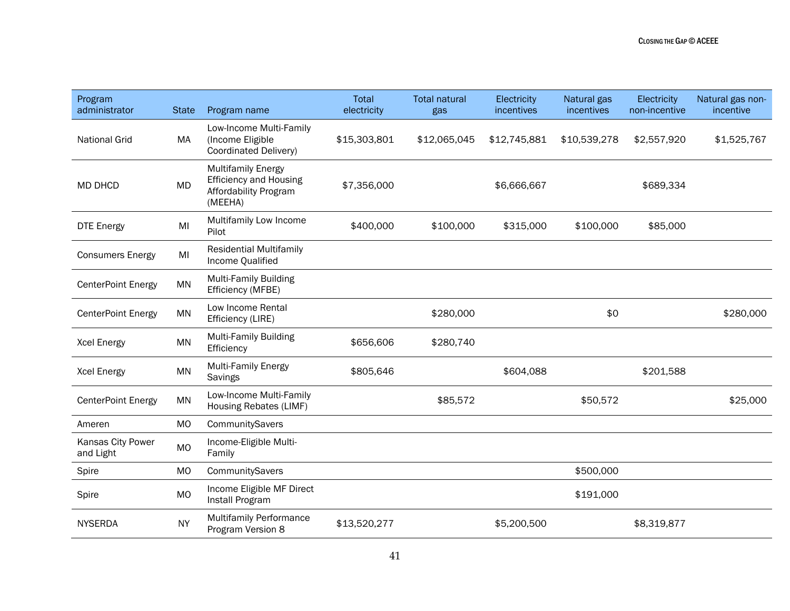| Program<br>administrator       | <b>State</b>   | Program name                                                                                   | Total<br>electricity | <b>Total natural</b><br>gas | Electricity<br>incentives | Natural gas<br>incentives | Electricity<br>non-incentive | Natural gas non-<br>incentive |
|--------------------------------|----------------|------------------------------------------------------------------------------------------------|----------------------|-----------------------------|---------------------------|---------------------------|------------------------------|-------------------------------|
| <b>National Grid</b>           | MA             | Low-Income Multi-Family<br>(Income Eligible<br>Coordinated Delivery)                           | \$15,303,801         | \$12,065,045                | \$12,745,881              | \$10,539,278              | \$2,557,920                  | \$1,525,767                   |
| MD DHCD                        | <b>MD</b>      | <b>Multifamily Energy</b><br><b>Efficiency and Housing</b><br>Affordability Program<br>(MEEHA) | \$7,356,000          |                             | \$6,666,667               |                           | \$689,334                    |                               |
| <b>DTE Energy</b>              | MI             | Multifamily Low Income<br>Pilot                                                                | \$400,000            | \$100,000                   | \$315,000                 | \$100,000                 | \$85,000                     |                               |
| <b>Consumers Energy</b>        | MI             | <b>Residential Multifamily</b><br>Income Qualified                                             |                      |                             |                           |                           |                              |                               |
| CenterPoint Energy             | <b>MN</b>      | <b>Multi-Family Building</b><br>Efficiency (MFBE)                                              |                      |                             |                           |                           |                              |                               |
| <b>CenterPoint Energy</b>      | <b>MN</b>      | Low Income Rental<br>Efficiency (LIRE)                                                         |                      | \$280,000                   |                           | \$0                       |                              | \$280,000                     |
| <b>Xcel Energy</b>             | <b>MN</b>      | <b>Multi-Family Building</b><br>Efficiency                                                     | \$656,606            | \$280,740                   |                           |                           |                              |                               |
| <b>Xcel Energy</b>             | <b>MN</b>      | <b>Multi-Family Energy</b><br>Savings                                                          | \$805,646            |                             | \$604,088                 |                           | \$201,588                    |                               |
| CenterPoint Energy             | <b>MN</b>      | Low-Income Multi-Family<br>Housing Rebates (LIMF)                                              |                      | \$85,572                    |                           | \$50,572                  |                              | \$25,000                      |
| Ameren                         | <b>MO</b>      | CommunitySavers                                                                                |                      |                             |                           |                           |                              |                               |
| Kansas City Power<br>and Light | <b>MO</b>      | Income-Eligible Multi-<br>Family                                                               |                      |                             |                           |                           |                              |                               |
| Spire                          | M <sub>O</sub> | CommunitySavers                                                                                |                      |                             |                           | \$500,000                 |                              |                               |
| Spire                          | <b>MO</b>      | Income Eligible MF Direct<br>Install Program                                                   |                      |                             |                           | \$191,000                 |                              |                               |
| <b>NYSERDA</b>                 | <b>NY</b>      | <b>Multifamily Performance</b><br>Program Version 8                                            | \$13,520,277         |                             | \$5,200,500               |                           | \$8,319,877                  |                               |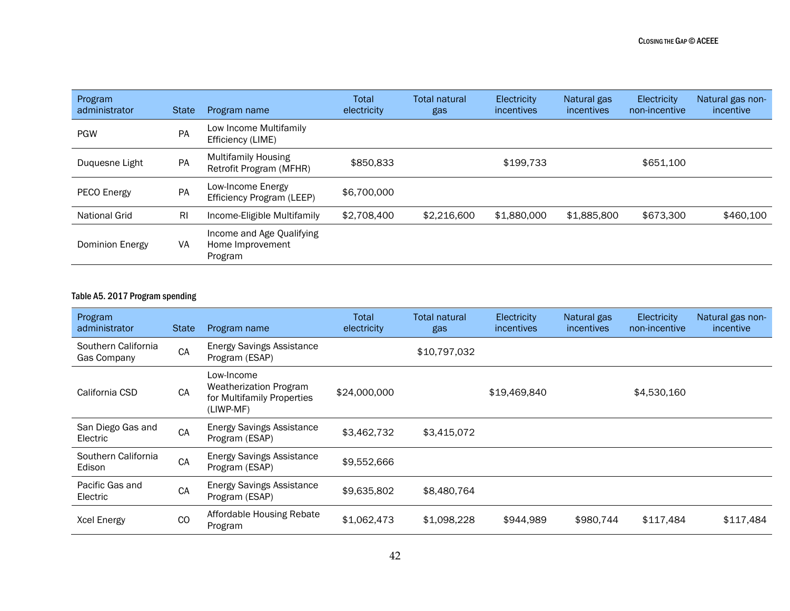| Program<br>administrator | <b>State</b>   | Program name                                             | Total<br>electricity | Total natural<br>gas | Electricity<br>incentives | Natural gas<br>incentives | Electricity<br>non-incentive | Natural gas non-<br>incentive |
|--------------------------|----------------|----------------------------------------------------------|----------------------|----------------------|---------------------------|---------------------------|------------------------------|-------------------------------|
| <b>PGW</b>               | PA             | Low Income Multifamily<br>Efficiency (LIME)              |                      |                      |                           |                           |                              |                               |
| Duquesne Light           | PA             | <b>Multifamily Housing</b><br>Retrofit Program (MFHR)    | \$850,833            |                      | \$199,733                 |                           | \$651,100                    |                               |
| PECO Energy              | PA             | Low-Income Energy<br>Efficiency Program (LEEP)           | \$6,700,000          |                      |                           |                           |                              |                               |
| National Grid            | R <sub>l</sub> | Income-Eligible Multifamily                              | \$2,708,400          | \$2,216,600          | \$1,880,000               | \$1,885,800               | \$673,300                    | \$460,100                     |
| Dominion Energy          | VA             | Income and Age Qualifying<br>Home Improvement<br>Program |                      |                      |                           |                           |                              |                               |

#### Table A5. 2017 Program spending

| Program<br>administrator           | <b>State</b> | Program name                                                                    | Total<br>electricity | Total natural<br>gas | Electricity<br><i>incentives</i> | Natural gas<br>incentives | Electricity<br>non-incentive | Natural gas non-<br>incentive |
|------------------------------------|--------------|---------------------------------------------------------------------------------|----------------------|----------------------|----------------------------------|---------------------------|------------------------------|-------------------------------|
| Southern California<br>Gas Company | CA           | <b>Energy Savings Assistance</b><br>Program (ESAP)                              |                      | \$10,797,032         |                                  |                           |                              |                               |
| California CSD                     | <b>CA</b>    | Low-Income<br>Weatherization Program<br>for Multifamily Properties<br>(LIWP-MF) | \$24,000,000         |                      | \$19,469,840                     |                           | \$4,530,160                  |                               |
| San Diego Gas and<br>Electric      | CA           | <b>Energy Savings Assistance</b><br>Program (ESAP)                              | \$3,462,732          | \$3,415,072          |                                  |                           |                              |                               |
| Southern California<br>Edison      | CA           | <b>Energy Savings Assistance</b><br>Program (ESAP)                              | \$9,552,666          |                      |                                  |                           |                              |                               |
| Pacific Gas and<br>Electric        | CA           | <b>Energy Savings Assistance</b><br>Program (ESAP)                              | \$9,635,802          | \$8,480,764          |                                  |                           |                              |                               |
| <b>Xcel Energy</b>                 | CO           | Affordable Housing Rebate<br>Program                                            | \$1,062,473          | \$1,098,228          | \$944,989                        | \$980,744                 | \$117,484                    | \$117,484                     |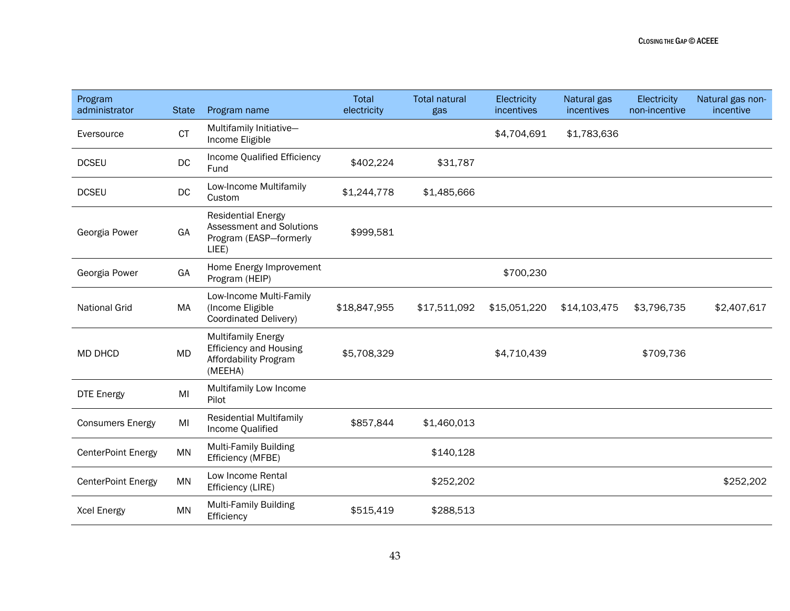| Program<br>administrator | <b>State</b> | Program name                                                                                    | Total<br>electricity | <b>Total natural</b><br>gas | Electricity<br>incentives | Natural gas<br>incentives | Electricity<br>non-incentive | Natural gas non-<br>incentive |
|--------------------------|--------------|-------------------------------------------------------------------------------------------------|----------------------|-----------------------------|---------------------------|---------------------------|------------------------------|-------------------------------|
| Eversource               | <b>CT</b>    | Multifamily Initiative-<br>Income Eligible                                                      |                      |                             | \$4,704,691               | \$1,783,636               |                              |                               |
| <b>DCSEU</b>             | DC           | Income Qualified Efficiency<br>Fund                                                             | \$402,224            | \$31,787                    |                           |                           |                              |                               |
| <b>DCSEU</b>             | $DC$         | Low-Income Multifamily<br>Custom                                                                | \$1,244,778          | \$1,485,666                 |                           |                           |                              |                               |
| Georgia Power            | GA           | <b>Residential Energy</b><br><b>Assessment and Solutions</b><br>Program (EASP-formerly<br>LIEE) | \$999,581            |                             |                           |                           |                              |                               |
| Georgia Power            | GA           | Home Energy Improvement<br>Program (HEIP)                                                       |                      |                             | \$700,230                 |                           |                              |                               |
| <b>National Grid</b>     | MA           | Low-Income Multi-Family<br>(Income Eligible<br>Coordinated Delivery)                            | \$18,847,955         | \$17,511,092                | \$15,051,220              | \$14,103,475              | \$3,796,735                  | \$2,407,617                   |
| <b>MD DHCD</b>           | <b>MD</b>    | <b>Multifamily Energy</b><br><b>Efficiency and Housing</b><br>Affordability Program<br>(MEEHA)  | \$5,708,329          |                             | \$4,710,439               |                           | \$709,736                    |                               |
| <b>DTE Energy</b>        | MI           | Multifamily Low Income<br>Pilot                                                                 |                      |                             |                           |                           |                              |                               |
| <b>Consumers Energy</b>  | MI           | <b>Residential Multifamily</b><br>Income Qualified                                              | \$857,844            | \$1,460,013                 |                           |                           |                              |                               |
| CenterPoint Energy       | <b>MN</b>    | <b>Multi-Family Building</b><br>Efficiency (MFBE)                                               |                      | \$140,128                   |                           |                           |                              |                               |
| CenterPoint Energy       | <b>MN</b>    | Low Income Rental<br>Efficiency (LIRE)                                                          |                      | \$252,202                   |                           |                           |                              | \$252,202                     |
| Xcel Energy              | <b>MN</b>    | Multi-Family Building<br>Efficiency                                                             | \$515,419            | \$288,513                   |                           |                           |                              |                               |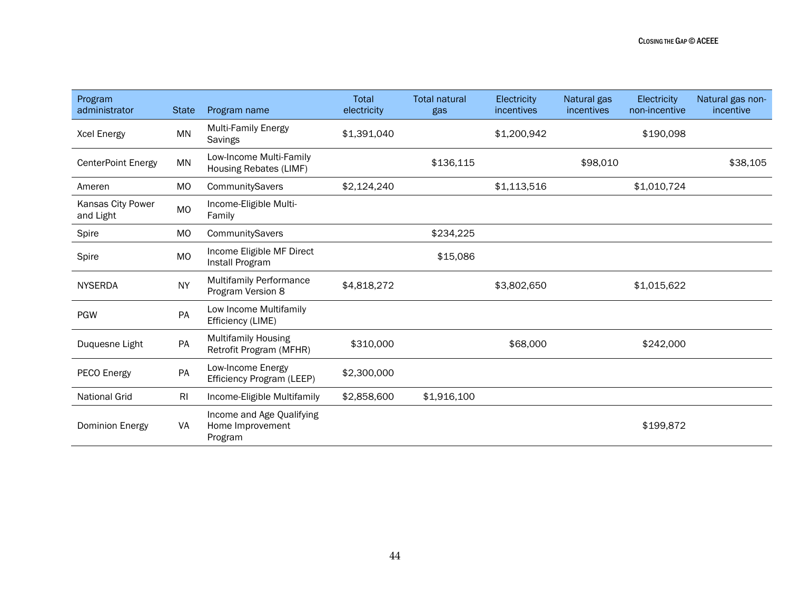| Program<br>administrator       | <b>State</b>   | Program name                                             | Total<br>electricity | <b>Total natural</b><br>gas | Electricity<br>incentives | Natural gas<br>incentives | Electricity<br>non-incentive | Natural gas non-<br>incentive |
|--------------------------------|----------------|----------------------------------------------------------|----------------------|-----------------------------|---------------------------|---------------------------|------------------------------|-------------------------------|
| <b>Xcel Energy</b>             | MN             | <b>Multi-Family Energy</b><br>Savings                    | \$1,391,040          |                             | \$1,200,942               |                           | \$190,098                    |                               |
| <b>CenterPoint Energy</b>      | <b>MN</b>      | Low-Income Multi-Family<br>Housing Rebates (LIMF)        |                      | \$136,115                   |                           | \$98,010                  |                              | \$38,105                      |
| Ameren                         | <b>MO</b>      | CommunitySavers                                          | \$2,124,240          |                             | \$1,113,516               |                           | \$1,010,724                  |                               |
| Kansas City Power<br>and Light | <b>MO</b>      | Income-Eligible Multi-<br>Family                         |                      |                             |                           |                           |                              |                               |
| Spire                          | <b>MO</b>      | CommunitySavers                                          |                      | \$234,225                   |                           |                           |                              |                               |
| Spire                          | <b>MO</b>      | Income Eligible MF Direct<br>Install Program             |                      | \$15,086                    |                           |                           |                              |                               |
| <b>NYSERDA</b>                 | <b>NY</b>      | <b>Multifamily Performance</b><br>Program Version 8      | \$4,818,272          |                             | \$3,802,650               |                           | \$1,015,622                  |                               |
| <b>PGW</b>                     | PA             | Low Income Multifamily<br>Efficiency (LIME)              |                      |                             |                           |                           |                              |                               |
| Duquesne Light                 | PA             | <b>Multifamily Housing</b><br>Retrofit Program (MFHR)    | \$310,000            |                             | \$68,000                  |                           | \$242,000                    |                               |
| PECO Energy                    | PA             | Low-Income Energy<br>Efficiency Program (LEEP)           | \$2,300,000          |                             |                           |                           |                              |                               |
| <b>National Grid</b>           | R <sub>l</sub> | Income-Eligible Multifamily                              | \$2,858,600          | \$1,916,100                 |                           |                           |                              |                               |
| Dominion Energy                | VA             | Income and Age Qualifying<br>Home Improvement<br>Program |                      |                             |                           |                           | \$199,872                    |                               |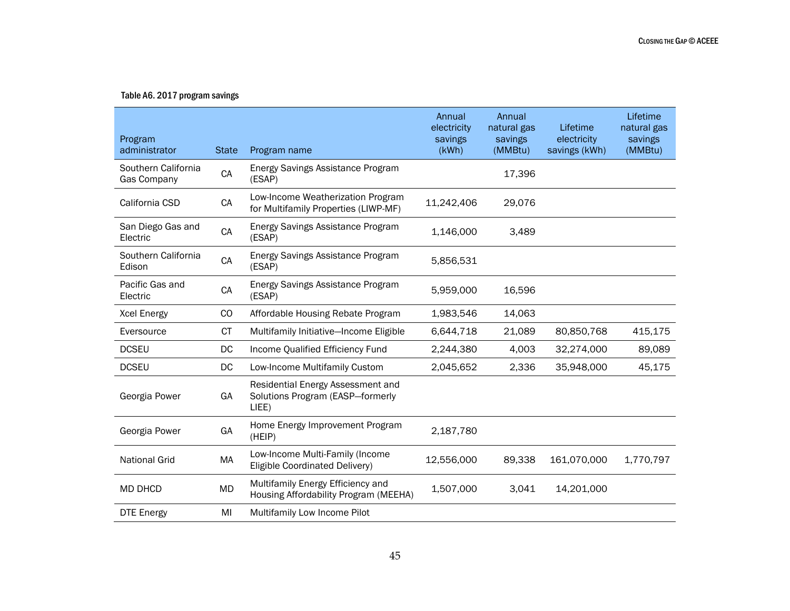#### Table A6. 2017 program savings

| Program<br>administrator           | <b>State</b> | Program name                                                                   | Annual<br>electricity<br>savings<br>(kWh) | Annual<br>natural gas<br>savings<br>(MMBtu) | Lifetime<br>electricity<br>savings (kWh) | Lifetime<br>natural gas<br>savings<br>(MMBtu) |
|------------------------------------|--------------|--------------------------------------------------------------------------------|-------------------------------------------|---------------------------------------------|------------------------------------------|-----------------------------------------------|
| Southern California<br>Gas Company | CA           | Energy Savings Assistance Program<br>(ESAP)                                    |                                           | 17,396                                      |                                          |                                               |
| California CSD                     | CA           | Low-Income Weatherization Program<br>for Multifamily Properties (LIWP-MF)      | 11,242,406                                | 29,076                                      |                                          |                                               |
| San Diego Gas and<br>Electric      | CA           | Energy Savings Assistance Program<br>(ESAP)                                    | 1,146,000                                 | 3,489                                       |                                          |                                               |
| Southern California<br>Edison      | CA           | Energy Savings Assistance Program<br>(ESAP)                                    | 5,856,531                                 |                                             |                                          |                                               |
| Pacific Gas and<br>Electric        | CA           | Energy Savings Assistance Program<br>(ESAP)                                    | 5,959,000                                 | 16,596                                      |                                          |                                               |
| <b>Xcel Energy</b>                 | CO           | Affordable Housing Rebate Program                                              | 1,983,546                                 | 14,063                                      |                                          |                                               |
| Eversource                         | <b>CT</b>    | Multifamily Initiative-Income Eligible                                         | 6,644,718                                 | 21,089                                      | 80,850,768                               | 415,175                                       |
| <b>DCSEU</b>                       | DC           | Income Qualified Efficiency Fund                                               | 2,244,380                                 | 4,003                                       | 32,274,000                               | 89,089                                        |
| <b>DCSEU</b>                       | DC           | Low-Income Multifamily Custom                                                  | 2,045,652                                 | 2,336                                       | 35,948,000                               | 45,175                                        |
| Georgia Power                      | GA           | Residential Energy Assessment and<br>Solutions Program (EASP-formerly<br>LIEE) |                                           |                                             |                                          |                                               |
| Georgia Power                      | GA           | Home Energy Improvement Program<br>(HEIP)                                      | 2,187,780                                 |                                             |                                          |                                               |
| <b>National Grid</b>               | MA           | Low-Income Multi-Family (Income<br>Eligible Coordinated Delivery)              | 12,556,000                                | 89,338                                      | 161,070,000                              | 1,770,797                                     |
| <b>MD DHCD</b>                     | <b>MD</b>    | Multifamily Energy Efficiency and<br>Housing Affordability Program (MEEHA)     | 1,507,000                                 | 3,041                                       | 14,201,000                               |                                               |
| <b>DTE Energy</b>                  | MI           | Multifamily Low Income Pilot                                                   |                                           |                                             |                                          |                                               |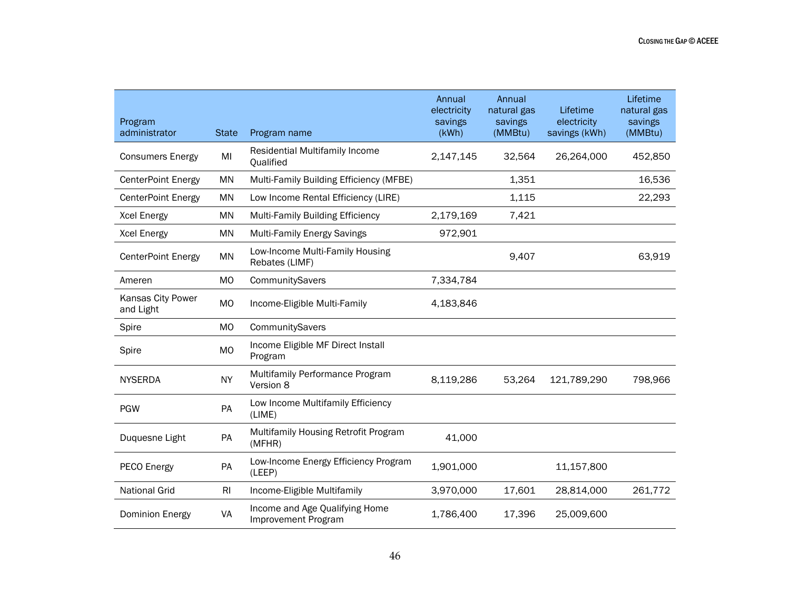| Program<br>administrator       | <b>State</b>   | Program name                                          | Annual<br>electricity<br>savings<br>(kWh) | Annual<br>natural gas<br>savings<br>(MMBtu) | Lifetime<br>electricity<br>savings (kWh) | Lifetime<br>natural gas<br>savings<br>(MMBtu) |
|--------------------------------|----------------|-------------------------------------------------------|-------------------------------------------|---------------------------------------------|------------------------------------------|-----------------------------------------------|
| <b>Consumers Energy</b>        | MI             | Residential Multifamily Income<br><b>Oualified</b>    | 2,147,145                                 | 32,564                                      | 26,264,000                               | 452,850                                       |
| <b>CenterPoint Energy</b>      | MN             | Multi-Family Building Efficiency (MFBE)               |                                           | 1,351                                       |                                          | 16,536                                        |
| <b>CenterPoint Energy</b>      | <b>MN</b>      | Low Income Rental Efficiency (LIRE)                   |                                           | 1,115                                       |                                          | 22,293                                        |
| <b>Xcel Energy</b>             | MN             | <b>Multi-Family Building Efficiency</b>               | 2,179,169                                 | 7,421                                       |                                          |                                               |
| <b>Xcel Energy</b>             | MN             | <b>Multi-Family Energy Savings</b>                    | 972,901                                   |                                             |                                          |                                               |
| <b>CenterPoint Energy</b>      | MN             | Low-Income Multi-Family Housing<br>Rebates (LIMF)     |                                           | 9,407                                       |                                          | 63,919                                        |
| Ameren                         | MO             | CommunitySavers                                       | 7,334,784                                 |                                             |                                          |                                               |
| Kansas City Power<br>and Light | MO             | Income-Eligible Multi-Family                          | 4,183,846                                 |                                             |                                          |                                               |
| Spire                          | MO             | CommunitySavers                                       |                                           |                                             |                                          |                                               |
| Spire                          | <b>MO</b>      | Income Eligible MF Direct Install<br>Program          |                                           |                                             |                                          |                                               |
| <b>NYSERDA</b>                 | <b>NY</b>      | Multifamily Performance Program<br>Version 8          | 8,119,286                                 | 53,264                                      | 121,789,290                              | 798,966                                       |
| <b>PGW</b>                     | PA             | Low Income Multifamily Efficiency<br>(LIME)           |                                           |                                             |                                          |                                               |
| Duquesne Light                 | PA             | Multifamily Housing Retrofit Program<br>(MFHR)        | 41,000                                    |                                             |                                          |                                               |
| PECO Energy                    | PA             | Low-Income Energy Efficiency Program<br>(LEEP)        | 1,901,000                                 |                                             | 11,157,800                               |                                               |
| <b>National Grid</b>           | R <sub>l</sub> | Income-Eligible Multifamily                           | 3,970,000                                 | 17,601                                      | 28,814,000                               | 261,772                                       |
| <b>Dominion Energy</b>         | VA             | Income and Age Qualifying Home<br>Improvement Program | 1,786,400                                 | 17,396                                      | 25,009,600                               |                                               |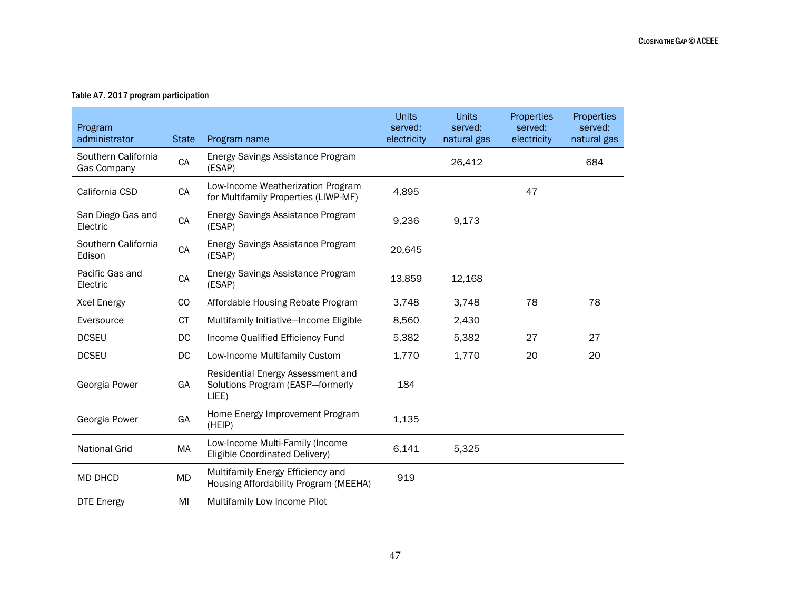#### Table A7. 2017 program participation

| Program<br>administrator           | <b>State</b> | Program name                                                                   | <b>Units</b><br>served:<br>electricity | <b>Units</b><br>served:<br>natural gas | Properties<br>served:<br>electricity | Properties<br>served:<br>natural gas |
|------------------------------------|--------------|--------------------------------------------------------------------------------|----------------------------------------|----------------------------------------|--------------------------------------|--------------------------------------|
| Southern California<br>Gas Company | CA           | Energy Savings Assistance Program<br>(ESAP)                                    |                                        | 26,412                                 |                                      | 684                                  |
| California CSD                     | CA           | Low-Income Weatherization Program<br>for Multifamily Properties (LIWP-MF)      | 4,895                                  |                                        | 47                                   |                                      |
| San Diego Gas and<br>Electric      | CA           | Energy Savings Assistance Program<br>(ESAP)                                    | 9,236                                  | 9,173                                  |                                      |                                      |
| Southern California<br>Edison      | CA           | Energy Savings Assistance Program<br>(ESAP)                                    | 20,645                                 |                                        |                                      |                                      |
| Pacific Gas and<br>Electric        | CA           | Energy Savings Assistance Program<br>(ESAP)                                    | 13,859                                 | 12,168                                 |                                      |                                      |
| <b>Xcel Energy</b>                 | CO           | Affordable Housing Rebate Program                                              | 3,748                                  | 3,748                                  | 78                                   | 78                                   |
| Eversource                         | <b>CT</b>    | Multifamily Initiative-Income Eligible                                         | 8,560                                  | 2,430                                  |                                      |                                      |
| <b>DCSEU</b>                       | DC           | Income Qualified Efficiency Fund                                               | 5,382                                  | 5,382                                  | 27                                   | 27                                   |
| <b>DCSEU</b>                       | DC.          | Low-Income Multifamily Custom                                                  | 1,770                                  | 1,770                                  | 20                                   | 20                                   |
| Georgia Power                      | GA           | Residential Energy Assessment and<br>Solutions Program (EASP-formerly<br>LIEE) | 184                                    |                                        |                                      |                                      |
| Georgia Power                      | GA           | Home Energy Improvement Program<br>(HEIP)                                      | 1,135                                  |                                        |                                      |                                      |
| <b>National Grid</b>               | MA           | Low-Income Multi-Family (Income<br>Eligible Coordinated Delivery)              | 6,141                                  | 5,325                                  |                                      |                                      |
| <b>MD DHCD</b>                     | MD           | Multifamily Energy Efficiency and<br>Housing Affordability Program (MEEHA)     | 919                                    |                                        |                                      |                                      |
| <b>DTE Energy</b>                  | MI           | Multifamily Low Income Pilot                                                   |                                        |                                        |                                      |                                      |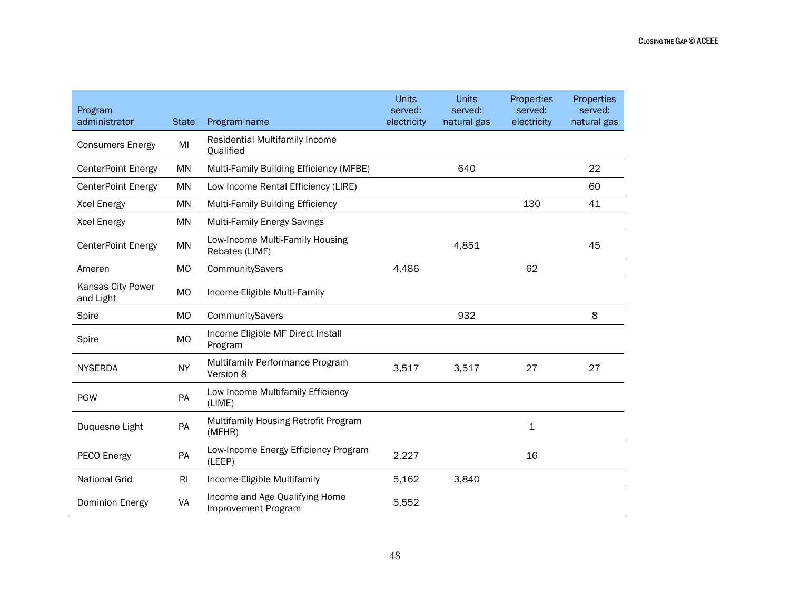| Program<br>administrator       | <b>State</b> |                                                       | <b>Units</b><br>served:<br>electricity | <b>Units</b><br>served:<br>natural gas | Properties<br>served:<br>electricity | Properties<br>served:<br>natural gas |
|--------------------------------|--------------|-------------------------------------------------------|----------------------------------------|----------------------------------------|--------------------------------------|--------------------------------------|
|                                |              | Program name                                          |                                        |                                        |                                      |                                      |
| <b>Consumers Energy</b>        | MI           | Residential Multifamily Income<br>Qualified           |                                        |                                        |                                      |                                      |
| <b>CenterPoint Energy</b>      | <b>MN</b>    | Multi-Family Building Efficiency (MFBE)               |                                        | 640                                    |                                      | 22                                   |
| <b>CenterPoint Energy</b>      | <b>MN</b>    | Low Income Rental Efficiency (LIRE)                   |                                        |                                        |                                      | 60                                   |
| <b>Xcel Energy</b>             | <b>MN</b>    | <b>Multi-Family Building Efficiency</b>               |                                        |                                        | 130                                  | 41                                   |
| <b>Xcel Energy</b>             | <b>MN</b>    | <b>Multi-Family Energy Savings</b>                    |                                        |                                        |                                      |                                      |
| <b>CenterPoint Energy</b>      | <b>MN</b>    | Low-Income Multi-Family Housing<br>Rebates (LIMF)     |                                        | 4,851                                  |                                      | 45                                   |
| Ameren                         | <b>MO</b>    | CommunitySavers                                       | 4,486                                  |                                        | 62                                   |                                      |
| Kansas City Power<br>and Light | <b>MO</b>    | Income-Eligible Multi-Family                          |                                        |                                        |                                      |                                      |
| Spire                          | <b>MO</b>    | CommunitySavers                                       |                                        | 932                                    |                                      | 8                                    |
| Spire                          | <b>MO</b>    | Income Eligible MF Direct Install<br>Program          |                                        |                                        |                                      |                                      |
| <b>NYSERDA</b>                 | <b>NY</b>    | Multifamily Performance Program<br>Version 8          | 3,517                                  | 3,517                                  | 27                                   | 27                                   |
| <b>PGW</b>                     | PA           | Low Income Multifamily Efficiency<br>(LIME)           |                                        |                                        |                                      |                                      |
| Duquesne Light                 | PA           | Multifamily Housing Retrofit Program<br>(MFHR)        |                                        |                                        | $\mathbf 1$                          |                                      |
| PECO Energy                    | PA           | Low-Income Energy Efficiency Program<br>(LEEP)        | 2,227                                  |                                        | 16                                   |                                      |
| <b>National Grid</b>           | <b>RI</b>    | Income-Eligible Multifamily                           | 5,162                                  | 3,840                                  |                                      |                                      |
| Dominion Energy                | VA           | Income and Age Qualifying Home<br>Improvement Program | 5,552                                  |                                        |                                      |                                      |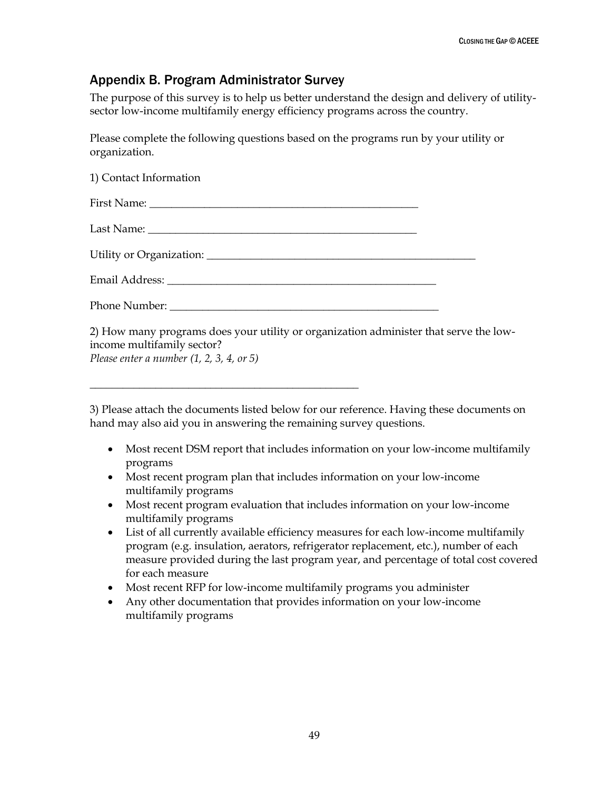# <span id="page-54-0"></span>Appendix B. Program Administrator Survey

\_\_\_\_\_\_\_\_\_\_\_\_\_\_\_\_\_\_\_\_\_\_\_\_\_\_\_\_\_\_\_\_\_\_\_\_\_\_\_\_\_\_\_\_\_\_\_\_\_

The purpose of this survey is to help us better understand the design and delivery of utilitysector low-income multifamily energy efficiency programs across the country.

Please complete the following questions based on the programs run by your utility or organization.

| 1) Contact Information                                                                                                                                            |  |
|-------------------------------------------------------------------------------------------------------------------------------------------------------------------|--|
|                                                                                                                                                                   |  |
|                                                                                                                                                                   |  |
|                                                                                                                                                                   |  |
|                                                                                                                                                                   |  |
|                                                                                                                                                                   |  |
| 2) How many programs does your utility or organization administer that serve the low-<br>income multifamily sector?<br>Please enter a number $(1, 2, 3, 4, 0r 5)$ |  |

3) Please attach the documents listed below for our reference. Having these documents on hand may also aid you in answering the remaining survey questions.

- Most recent DSM report that includes information on your low-income multifamily programs
- Most recent program plan that includes information on your low-income multifamily programs
- Most recent program evaluation that includes information on your low-income multifamily programs
- List of all currently available efficiency measures for each low-income multifamily program (e.g. insulation, aerators, refrigerator replacement, etc.), number of each measure provided during the last program year, and percentage of total cost covered for each measure
- Most recent RFP for low-income multifamily programs you administer
- Any other documentation that provides information on your low-income multifamily programs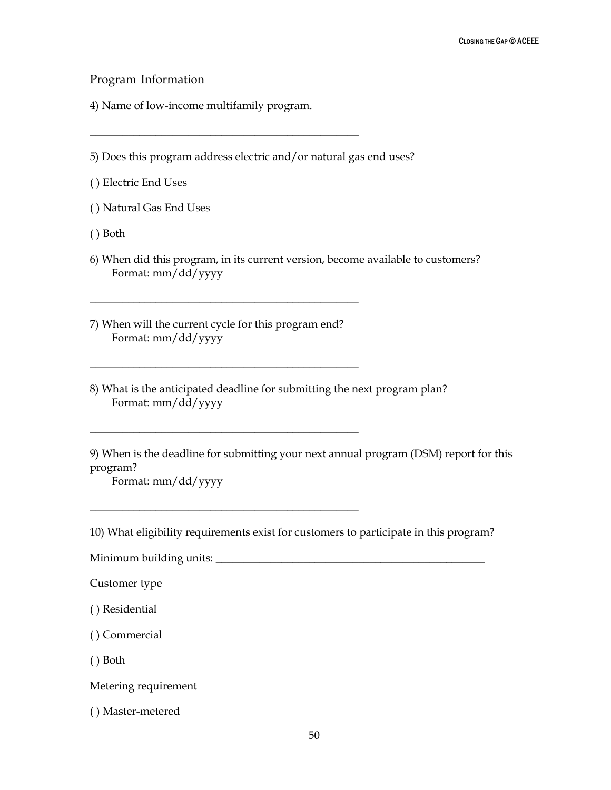Program Information

4) Name of low-income multifamily program.

\_\_\_\_\_\_\_\_\_\_\_\_\_\_\_\_\_\_\_\_\_\_\_\_\_\_\_\_\_\_\_\_\_\_\_\_\_\_\_\_\_\_\_\_\_\_\_\_\_

5) Does this program address electric and/or natural gas end uses?

( ) Electric End Uses

( ) Natural Gas End Uses

( ) Both

6) When did this program, in its current version, become available to customers? Format: mm/dd/yyyy

7) When will the current cycle for this program end? Format: mm/dd/yyyy

\_\_\_\_\_\_\_\_\_\_\_\_\_\_\_\_\_\_\_\_\_\_\_\_\_\_\_\_\_\_\_\_\_\_\_\_\_\_\_\_\_\_\_\_\_\_\_\_\_

\_\_\_\_\_\_\_\_\_\_\_\_\_\_\_\_\_\_\_\_\_\_\_\_\_\_\_\_\_\_\_\_\_\_\_\_\_\_\_\_\_\_\_\_\_\_\_\_\_

\_\_\_\_\_\_\_\_\_\_\_\_\_\_\_\_\_\_\_\_\_\_\_\_\_\_\_\_\_\_\_\_\_\_\_\_\_\_\_\_\_\_\_\_\_\_\_\_\_

\_\_\_\_\_\_\_\_\_\_\_\_\_\_\_\_\_\_\_\_\_\_\_\_\_\_\_\_\_\_\_\_\_\_\_\_\_\_\_\_\_\_\_\_\_\_\_\_\_

8) What is the anticipated deadline for submitting the next program plan? Format: mm/dd/yyyy

9) When is the deadline for submitting your next annual program (DSM) report for this program?

Format: mm/dd/yyyy

10) What eligibility requirements exist for customers to participate in this program?

Minimum building units: \_\_\_\_\_\_\_\_\_\_\_\_\_\_\_\_\_\_\_\_\_\_\_\_\_\_\_\_\_\_\_\_\_\_\_\_\_\_\_\_\_\_\_\_\_\_\_\_\_

Customer type

( ) Residential

( ) Commercial

( ) Both

Metering requirement

( ) Master-metered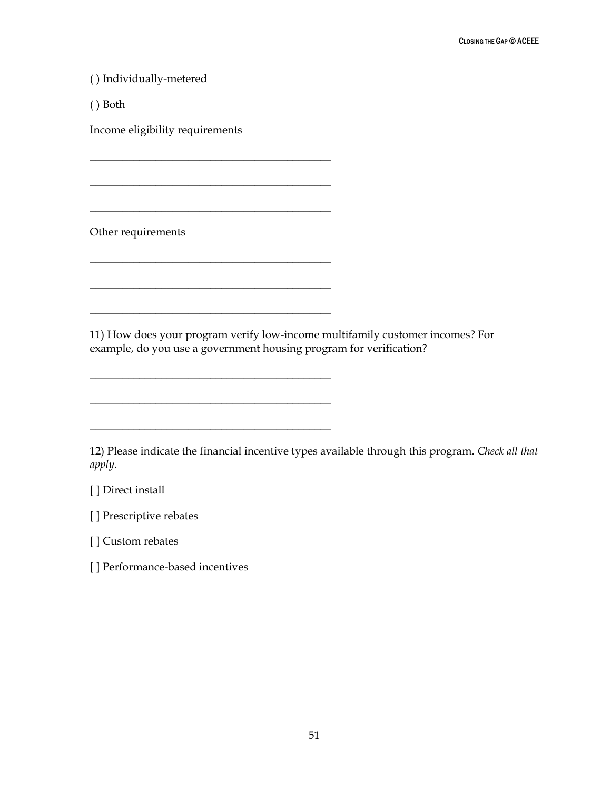( ) Individually-metered

( ) Both

Income eligibility requirements

\_\_\_\_\_\_\_\_\_\_\_\_\_\_\_\_\_\_\_\_\_\_\_\_\_\_\_\_\_\_\_\_\_\_\_\_\_\_\_\_\_\_\_\_

\_\_\_\_\_\_\_\_\_\_\_\_\_\_\_\_\_\_\_\_\_\_\_\_\_\_\_\_\_\_\_\_\_\_\_\_\_\_\_\_\_\_\_\_

\_\_\_\_\_\_\_\_\_\_\_\_\_\_\_\_\_\_\_\_\_\_\_\_\_\_\_\_\_\_\_\_\_\_\_\_\_\_\_\_\_\_\_\_

\_\_\_\_\_\_\_\_\_\_\_\_\_\_\_\_\_\_\_\_\_\_\_\_\_\_\_\_\_\_\_\_\_\_\_\_\_\_\_\_\_\_\_\_

\_\_\_\_\_\_\_\_\_\_\_\_\_\_\_\_\_\_\_\_\_\_\_\_\_\_\_\_\_\_\_\_\_\_\_\_\_\_\_\_\_\_\_\_

\_\_\_\_\_\_\_\_\_\_\_\_\_\_\_\_\_\_\_\_\_\_\_\_\_\_\_\_\_\_\_\_\_\_\_\_\_\_\_\_\_\_\_\_

\_\_\_\_\_\_\_\_\_\_\_\_\_\_\_\_\_\_\_\_\_\_\_\_\_\_\_\_\_\_\_\_\_\_\_\_\_\_\_\_\_\_\_\_

\_\_\_\_\_\_\_\_\_\_\_\_\_\_\_\_\_\_\_\_\_\_\_\_\_\_\_\_\_\_\_\_\_\_\_\_\_\_\_\_\_\_\_\_

\_\_\_\_\_\_\_\_\_\_\_\_\_\_\_\_\_\_\_\_\_\_\_\_\_\_\_\_\_\_\_\_\_\_\_\_\_\_\_\_\_\_\_\_

Other requirements

11) How does your program verify low-income multifamily customer incomes? For example, do you use a government housing program for verification?

12) Please indicate the financial incentive types available through this program. *Check all that apply*.

[ ] Direct install

[ ] Prescriptive rebates

[ ] Custom rebates

[ ] Performance-based incentives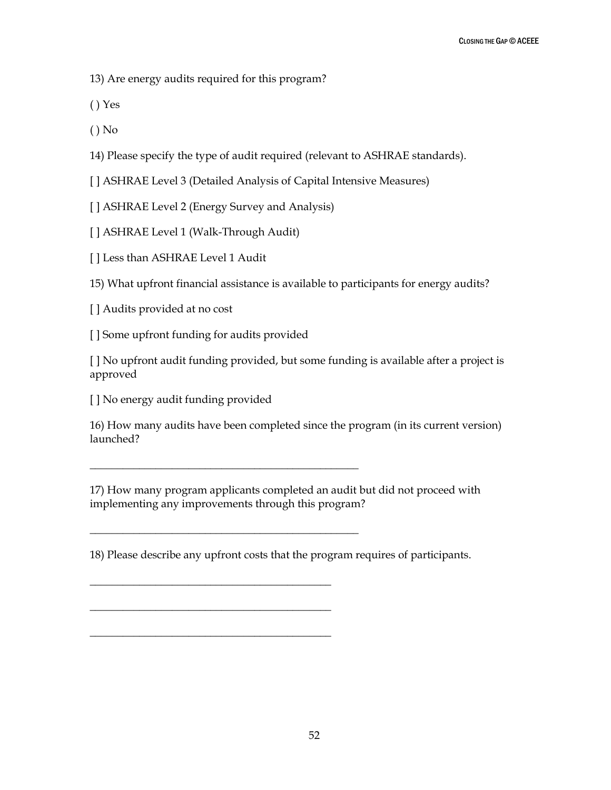13) Are energy audits required for this program?

( ) Yes

( ) No

14) Please specify the type of audit required (relevant to ASHRAE standards).

[ ] ASHRAE Level 3 (Detailed Analysis of Capital Intensive Measures)

[ ] ASHRAE Level 2 (Energy Survey and Analysis)

[ ] ASHRAE Level 1 (Walk-Through Audit)

[ ] Less than ASHRAE Level 1 Audit

15) What upfront financial assistance is available to participants for energy audits?

[] Audits provided at no cost

[ ] Some upfront funding for audits provided

\_\_\_\_\_\_\_\_\_\_\_\_\_\_\_\_\_\_\_\_\_\_\_\_\_\_\_\_\_\_\_\_\_\_\_\_\_\_\_\_\_\_\_\_\_\_\_\_\_

\_\_\_\_\_\_\_\_\_\_\_\_\_\_\_\_\_\_\_\_\_\_\_\_\_\_\_\_\_\_\_\_\_\_\_\_\_\_\_\_\_\_\_\_\_\_\_\_\_

\_\_\_\_\_\_\_\_\_\_\_\_\_\_\_\_\_\_\_\_\_\_\_\_\_\_\_\_\_\_\_\_\_\_\_\_\_\_\_\_\_\_\_\_

\_\_\_\_\_\_\_\_\_\_\_\_\_\_\_\_\_\_\_\_\_\_\_\_\_\_\_\_\_\_\_\_\_\_\_\_\_\_\_\_\_\_\_\_

\_\_\_\_\_\_\_\_\_\_\_\_\_\_\_\_\_\_\_\_\_\_\_\_\_\_\_\_\_\_\_\_\_\_\_\_\_\_\_\_\_\_\_\_

[ ] No upfront audit funding provided, but some funding is available after a project is approved

[ ] No energy audit funding provided

16) How many audits have been completed since the program (in its current version) launched?

17) How many program applicants completed an audit but did not proceed with implementing any improvements through this program?

18) Please describe any upfront costs that the program requires of participants.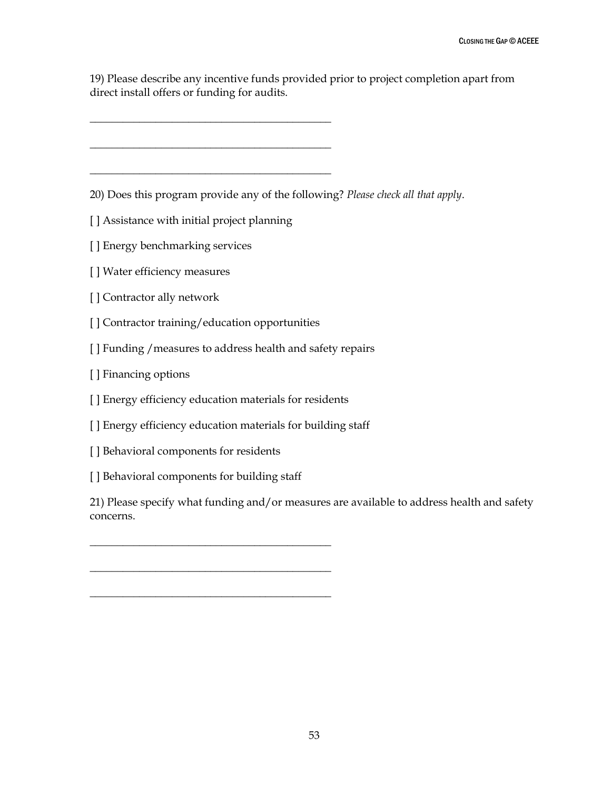19) Please describe any incentive funds provided prior to project completion apart from direct install offers or funding for audits.

20) Does this program provide any of the following? *Please check all that apply*.

[] Assistance with initial project planning

\_\_\_\_\_\_\_\_\_\_\_\_\_\_\_\_\_\_\_\_\_\_\_\_\_\_\_\_\_\_\_\_\_\_\_\_\_\_\_\_\_\_\_\_

\_\_\_\_\_\_\_\_\_\_\_\_\_\_\_\_\_\_\_\_\_\_\_\_\_\_\_\_\_\_\_\_\_\_\_\_\_\_\_\_\_\_\_\_

\_\_\_\_\_\_\_\_\_\_\_\_\_\_\_\_\_\_\_\_\_\_\_\_\_\_\_\_\_\_\_\_\_\_\_\_\_\_\_\_\_\_\_\_

- [ ] Energy benchmarking services
- [ ] Water efficiency measures
- [ ] Contractor ally network
- [] Contractor training/education opportunities
- [ ] Funding / measures to address health and safety repairs
- [ ] Financing options
- [ ] Energy efficiency education materials for residents
- [ ] Energy efficiency education materials for building staff
- [] Behavioral components for residents
- [] Behavioral components for building staff

\_\_\_\_\_\_\_\_\_\_\_\_\_\_\_\_\_\_\_\_\_\_\_\_\_\_\_\_\_\_\_\_\_\_\_\_\_\_\_\_\_\_\_\_

\_\_\_\_\_\_\_\_\_\_\_\_\_\_\_\_\_\_\_\_\_\_\_\_\_\_\_\_\_\_\_\_\_\_\_\_\_\_\_\_\_\_\_\_

\_\_\_\_\_\_\_\_\_\_\_\_\_\_\_\_\_\_\_\_\_\_\_\_\_\_\_\_\_\_\_\_\_\_\_\_\_\_\_\_\_\_\_\_

21) Please specify what funding and/or measures are available to address health and safety concerns.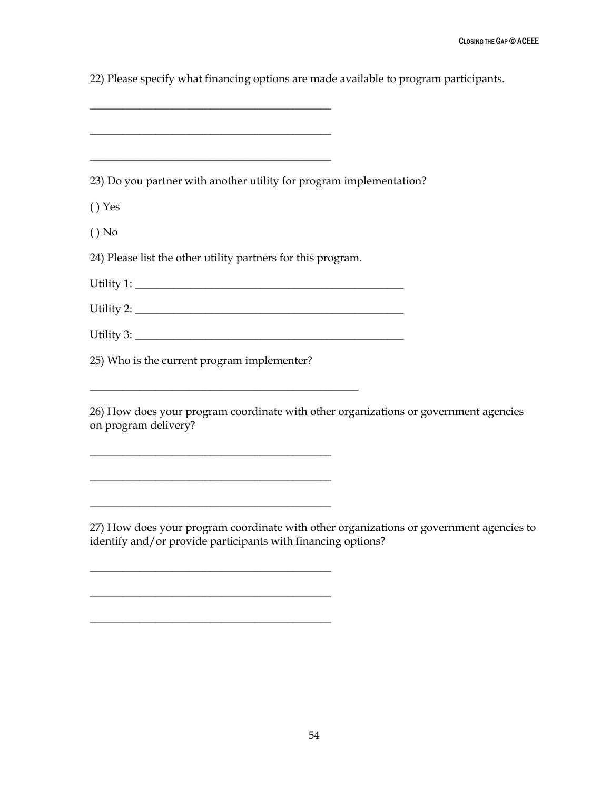22) Please specify what financing options are made available to program participants.

\_\_\_\_\_\_\_\_\_\_\_\_\_\_\_\_\_\_\_\_\_\_\_\_\_\_\_\_\_\_\_\_\_\_\_\_\_\_\_\_\_\_\_\_

\_\_\_\_\_\_\_\_\_\_\_\_\_\_\_\_\_\_\_\_\_\_\_\_\_\_\_\_\_\_\_\_\_\_\_\_\_\_\_\_\_\_\_\_

\_\_\_\_\_\_\_\_\_\_\_\_\_\_\_\_\_\_\_\_\_\_\_\_\_\_\_\_\_\_\_\_\_\_\_\_\_\_\_\_\_\_\_\_

\_\_\_\_\_\_\_\_\_\_\_\_\_\_\_\_\_\_\_\_\_\_\_\_\_\_\_\_\_\_\_\_\_\_\_\_\_\_\_\_\_\_\_\_

\_\_\_\_\_\_\_\_\_\_\_\_\_\_\_\_\_\_\_\_\_\_\_\_\_\_\_\_\_\_\_\_\_\_\_\_\_\_\_\_\_\_\_\_

\_\_\_\_\_\_\_\_\_\_\_\_\_\_\_\_\_\_\_\_\_\_\_\_\_\_\_\_\_\_\_\_\_\_\_\_\_\_\_\_\_\_\_\_

\_\_\_\_\_\_\_\_\_\_\_\_\_\_\_\_\_\_\_\_\_\_\_\_\_\_\_\_\_\_\_\_\_\_\_\_\_\_\_\_\_\_\_\_

| 23) Do you partner with another utility for program implementation?                                          |
|--------------------------------------------------------------------------------------------------------------|
| $()$ Yes                                                                                                     |
| $()$ No                                                                                                      |
| 24) Please list the other utility partners for this program.                                                 |
|                                                                                                              |
|                                                                                                              |
|                                                                                                              |
| 25) Who is the current program implementer?                                                                  |
|                                                                                                              |
| 26) How does your program coordinate with other organizations or government agencies<br>on program delivery? |

27) How does your program coordinate with other organizations or government agencies to identify and/or provide participants with financing options?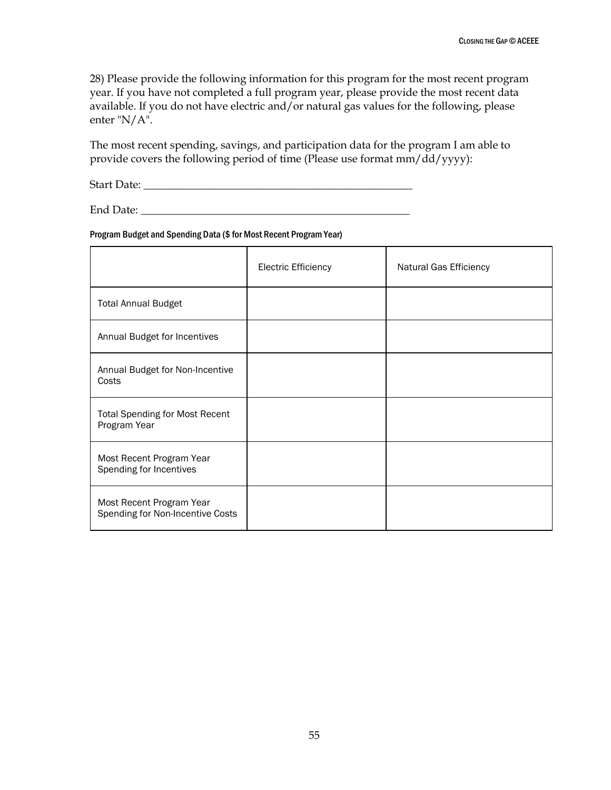28) Please provide the following information for this program for the most recent program year. If you have not completed a full program year, please provide the most recent data available. If you do not have electric and/or natural gas values for the following, please enter "N/A".

The most recent spending, savings, and participation data for the program I am able to provide covers the following period of time (Please use format mm/dd/yyyy):

Start Date: \_\_\_\_\_\_\_\_\_\_\_\_\_\_\_\_\_\_\_\_\_\_\_\_\_\_\_\_\_\_\_\_\_\_\_\_\_\_\_\_\_\_\_\_\_\_\_\_\_

End Date: \_\_\_\_\_\_\_\_\_\_\_\_\_\_\_\_\_\_\_\_\_\_\_\_\_\_\_\_\_\_\_\_\_\_\_\_\_\_\_\_\_\_\_\_\_\_\_\_\_

#### Program Budget and Spending Data (\$ for Most Recent Program Year)

|                                                              | <b>Electric Efficiency</b> | Natural Gas Efficiency |
|--------------------------------------------------------------|----------------------------|------------------------|
| <b>Total Annual Budget</b>                                   |                            |                        |
| Annual Budget for Incentives                                 |                            |                        |
| Annual Budget for Non-Incentive<br>Costs                     |                            |                        |
| <b>Total Spending for Most Recent</b><br>Program Year        |                            |                        |
| Most Recent Program Year<br>Spending for Incentives          |                            |                        |
| Most Recent Program Year<br>Spending for Non-Incentive Costs |                            |                        |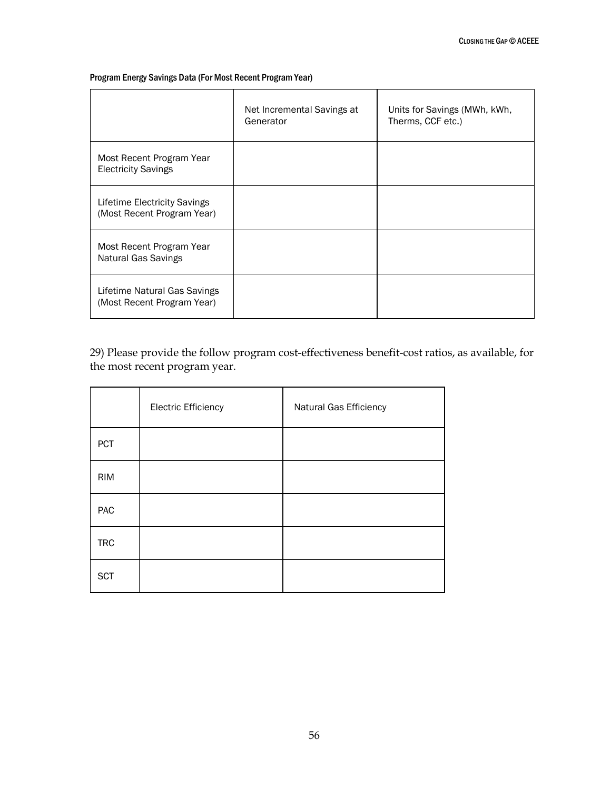#### Program Energy Savings Data (For Most Recent Program Year)

|                                                            | Net Incremental Savings at<br>Generator | Units for Savings (MWh, kWh,<br>Therms, CCF etc.) |
|------------------------------------------------------------|-----------------------------------------|---------------------------------------------------|
| Most Recent Program Year<br><b>Electricity Savings</b>     |                                         |                                                   |
| Lifetime Electricity Savings<br>(Most Recent Program Year) |                                         |                                                   |
| Most Recent Program Year<br><b>Natural Gas Savings</b>     |                                         |                                                   |
| Lifetime Natural Gas Savings<br>(Most Recent Program Year) |                                         |                                                   |

29) Please provide the follow program cost-effectiveness benefit-cost ratios, as available, for the most recent program year.

|            | <b>Electric Efficiency</b> | Natural Gas Efficiency |
|------------|----------------------------|------------------------|
| <b>PCT</b> |                            |                        |
| <b>RIM</b> |                            |                        |
| PAC        |                            |                        |
| <b>TRC</b> |                            |                        |
| <b>SCT</b> |                            |                        |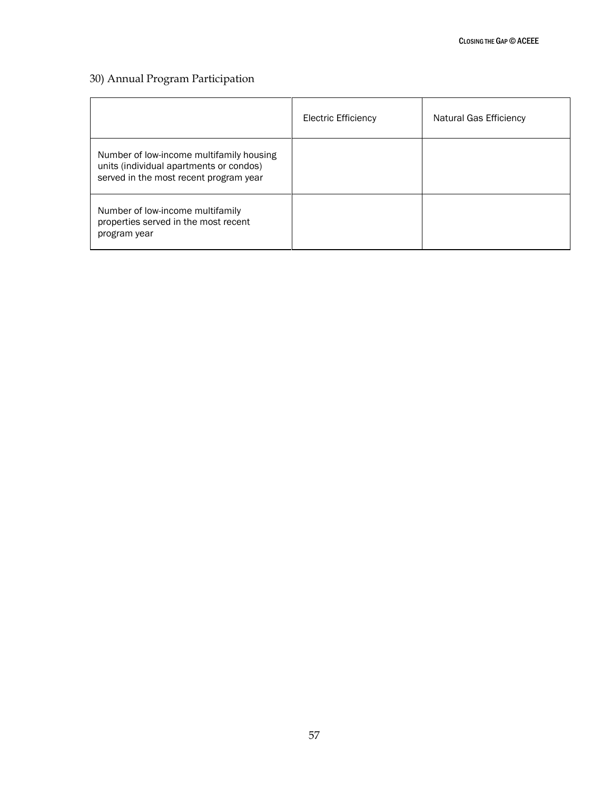## 30) Annual Program Participation

|                                                                                                                               | <b>Electric Efficiency</b> | Natural Gas Efficiency |
|-------------------------------------------------------------------------------------------------------------------------------|----------------------------|------------------------|
| Number of low-income multifamily housing<br>units (individual apartments or condos)<br>served in the most recent program year |                            |                        |
| Number of low-income multifamily<br>properties served in the most recent<br>program year                                      |                            |                        |